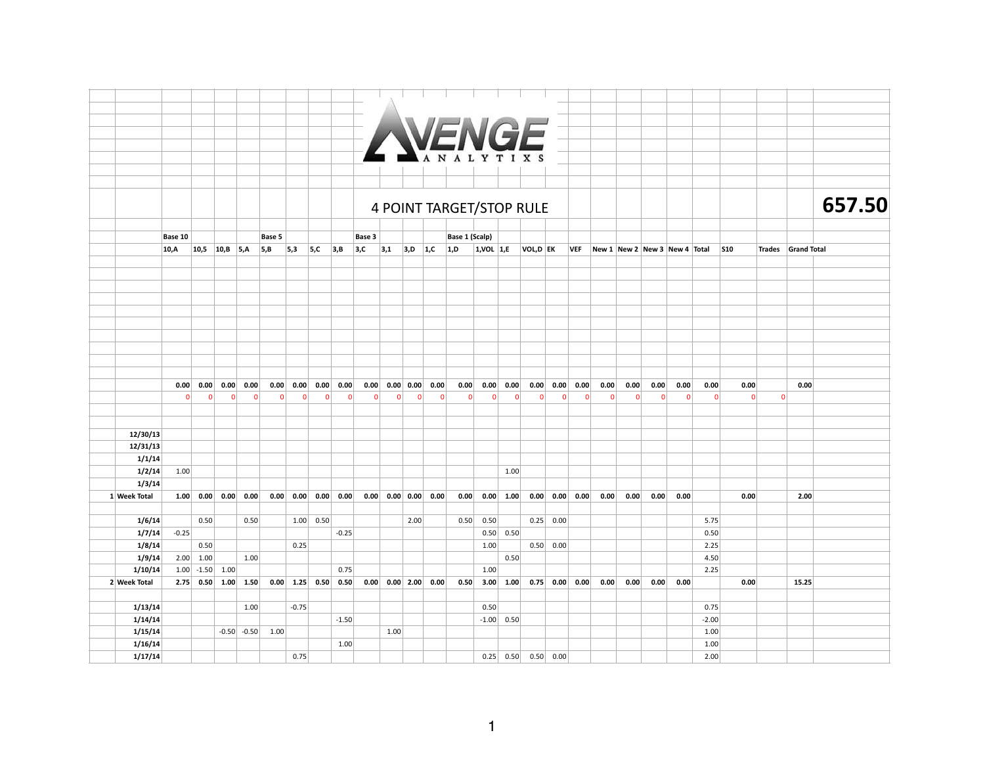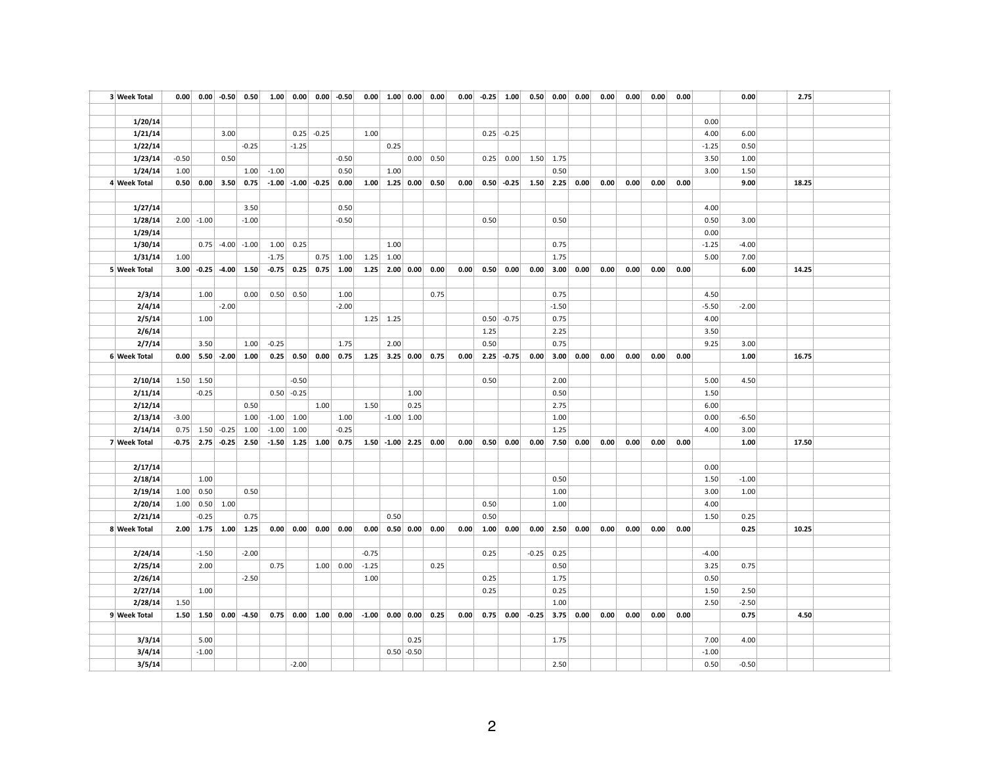| 3 Week Total            |         |                          |                        | $0.00$ 0.00 -0.50 0.50       |         |              |                         | $1.00$ 0.00 0.00 -0.50 |         |                       |                          | $0.00$ 1.00 0.00 0.00 | 0.00 |      |               | $-0.25$ 1.00 0.50 0.00 0.00 |              |      | 0.00 | 0.00 | 0.00 | 0.00 |         | 0.00    | 2.75  |  |
|-------------------------|---------|--------------------------|------------------------|------------------------------|---------|--------------|-------------------------|------------------------|---------|-----------------------|--------------------------|-----------------------|------|------|---------------|-----------------------------|--------------|------|------|------|------|------|---------|---------|-------|--|
|                         |         |                          |                        |                              |         |              |                         |                        |         |                       |                          |                       |      |      |               |                             |              |      |      |      |      |      |         |         |       |  |
| 1/20/14                 |         |                          |                        |                              |         |              |                         |                        |         |                       |                          |                       |      |      |               |                             |              |      |      |      |      |      | 0.00    |         |       |  |
| 1/21/14                 |         |                          | 3.00                   |                              |         |              | $0.25$ -0.25            |                        | 1.00    |                       |                          |                       |      |      | $0.25$ -0.25  |                             |              |      |      |      |      |      | 4.00    | 6.00    |       |  |
| 1/22/14                 |         |                          |                        | $-0.25$                      |         | $-1.25$      |                         |                        |         | 0.25                  |                          |                       |      |      |               |                             |              |      |      |      |      |      | $-1.25$ | 0.50    |       |  |
| 1/23/14                 | $-0.50$ |                          | 0.50                   |                              |         |              |                         | $-0.50$                |         |                       |                          | $0.00$ 0.50           |      | 0.25 | 0.00          | 1.50                        | 1.75         |      |      |      |      |      | 3.50    | 1.00    |       |  |
| 1/24/14                 | 1.00    |                          |                        | 1.00                         | $-1.00$ |              |                         | 0.50                   |         | 1.00                  |                          |                       |      |      |               |                             | 0.50         |      |      |      |      |      | 3.00    | 1.50    |       |  |
| 4 Week Total            |         | $0.50 \,   \, 0.00 \,  $ | 3.50                   | 0.75                         |         |              | $-1.00$ $-1.00$ $-0.25$ | 0.00                   |         | $1.00$ $1.25$ 0.00    |                          | 0.50                  | 0.00 |      | $0.50 - 0.25$ | 1.50                        | 2.25         | 0.00 | 0.00 | 0.00 | 0.00 | 0.00 |         | 9.00    | 18.25 |  |
|                         |         |                          |                        |                              |         |              |                         |                        |         |                       |                          |                       |      |      |               |                             |              |      |      |      |      |      |         |         |       |  |
| 1/27/14                 |         |                          |                        | 3.50                         |         |              |                         | 0.50                   |         |                       |                          |                       |      |      |               |                             |              |      |      |      |      |      | 4.00    |         |       |  |
| 1/28/14                 |         | $2.00$ -1.00             |                        | $-1.00$                      |         |              |                         | $-0.50$                |         |                       |                          |                       |      | 0.50 |               |                             | 0.50         |      |      |      |      |      | 0.50    | 3.00    |       |  |
| 1/29/14                 |         |                          |                        |                              |         |              |                         |                        |         |                       |                          |                       |      |      |               |                             |              |      |      |      |      |      | 0.00    |         |       |  |
| 1/30/14                 |         |                          | $0.75$ -4.00           | $-1.00$                      | 1.00    | 0.25         |                         |                        |         | 1.00                  |                          |                       |      |      |               |                             | 0.75         |      |      |      |      |      | $-1.25$ | $-4.00$ |       |  |
| 1/31/14                 | 1.00    |                          |                        |                              | $-1.75$ |              |                         | $0.75$ 1.00            |         | $1.25$ 1.00           |                          |                       |      |      |               |                             | 1.75         |      |      |      |      |      | 5.00    | 7.00    |       |  |
| 5 Week Total            |         |                          | $3.00$ -0.25 -4.00     | 1.50                         | $-0.75$ |              |                         | $0.25$ 0.75 1.00       |         | $1.25$ 2.00 0.00      |                          | 0.00                  | 0.00 | 0.50 | 0.00          | 0.00                        | 3.00         | 0.00 | 0.00 | 0.00 | 0.00 | 0.00 |         | 6.00    | 14.25 |  |
|                         |         |                          |                        |                              |         |              |                         |                        |         |                       |                          |                       |      |      |               |                             |              |      |      |      |      |      |         |         |       |  |
| 2/3/14                  |         | 1.00                     |                        | 0.00                         | 0.50    | 0.50         |                         | 1.00                   |         |                       |                          | 0.75                  |      |      |               |                             | 0.75         |      |      |      |      |      | 4.50    |         |       |  |
| 2/4/14                  |         |                          | $-2.00$                |                              |         |              |                         | $-2.00$                |         |                       |                          |                       |      |      |               |                             | $-1.50$      |      |      |      |      |      | $-5.50$ | $-2.00$ |       |  |
| 2/5/14                  |         | 1.00                     |                        |                              |         |              |                         |                        |         | $1.25$ 1.25           |                          |                       |      |      | $0.50$ -0.75  |                             | 0.75         |      |      |      |      |      | 4.00    |         |       |  |
| 2/6/14                  |         |                          |                        |                              |         |              |                         |                        |         |                       |                          |                       |      | 1.25 |               |                             | 2.25         |      |      |      |      |      | 3.50    |         |       |  |
| 2/7/14                  |         | 3.50                     |                        | 1.00                         | $-0.25$ |              |                         | 1.75                   |         | 2.00                  |                          |                       |      | 0.50 |               |                             | 0.75         |      |      |      |      |      | 9.25    | 3.00    |       |  |
| 6 Week Total            |         |                          | $0.00$ 5.50 -2.00 1.00 |                              | 0.25    |              |                         | $0.50$ 0.00 0.75       |         | $1.25$ 3.25 0.00 0.75 |                          |                       | 0.00 |      | $2.25 - 0.75$ | 0.00                        | 3.00         | 0.00 | 0.00 | 0.00 | 0.00 | 0.00 |         | 1.00    | 16.75 |  |
|                         |         |                          |                        |                              |         |              |                         |                        |         |                       |                          |                       |      |      |               |                             |              |      |      |      |      |      |         |         |       |  |
| 2/10/14                 |         | $1.50$ 1.50              |                        |                              |         | $-0.50$      |                         |                        |         |                       |                          |                       |      | 0.50 |               |                             | 2.00         |      |      |      |      |      | 5.00    | 4.50    |       |  |
| 2/11/14                 |         | $-0.25$                  |                        |                              |         | $0.50$ -0.25 |                         |                        |         |                       | 1.00                     |                       |      |      |               |                             | 0.50         |      |      |      |      |      | 1.50    |         |       |  |
| 2/12/14                 |         |                          |                        | 0.50                         |         |              | 1.00                    |                        | 1.50    |                       | 0.25                     |                       |      |      |               |                             | 2.75         |      |      |      |      |      | 6.00    |         |       |  |
| 2/13/14                 | $-3.00$ |                          |                        | 1.00                         | $-1.00$ | 1.00         |                         | 1.00                   |         |                       | $-1.00$ 1.00             |                       |      |      |               |                             | 1.00         |      |      |      |      |      | 0.00    | $-6.50$ |       |  |
| 2/14/14                 |         |                          | $0.75$ 1.50 -0.25      | 1.00                         | $-1.00$ | 1.00         |                         | $-0.25$                |         |                       |                          |                       |      |      |               |                             | 1.25         |      |      |      |      |      | 4.00    | 3.00    |       |  |
| 7 Week Total            |         |                          | $-0.75$ 2.75 $-0.25$   | 2.50                         | $-1.50$ |              |                         | $1.25$ $1.00$ 0.75     |         | $1.50$ -1.00 2.25     |                          | 0.00                  | 0.00 | 0.50 | 0.00          |                             | $0.00$ 7.50  | 0.00 | 0.00 | 0.00 | 0.00 | 0.00 |         | 1.00    | 17.50 |  |
|                         |         |                          |                        |                              |         |              |                         |                        |         |                       |                          |                       |      |      |               |                             |              |      |      |      |      |      |         |         |       |  |
| 2/17/14                 |         |                          |                        |                              |         |              |                         |                        |         |                       |                          |                       |      |      |               |                             |              |      |      |      |      |      | 0.00    |         |       |  |
| 2/18/14                 |         | 1.00                     |                        |                              |         |              |                         |                        |         |                       |                          |                       |      |      |               |                             | 0.50         |      |      |      |      |      | 1.50    | $-1.00$ |       |  |
| 2/19/14                 |         | 1.00   0.50              |                        | 0.50                         |         |              |                         |                        |         |                       |                          |                       |      |      |               |                             | 1.00         |      |      |      |      |      | 3.00    | 1.00    |       |  |
| 2/20/14                 | 1.00    | 0.50                     | 1.00                   |                              |         |              |                         |                        |         |                       |                          |                       |      | 0.50 |               |                             | 1.00         |      |      |      |      |      | 4.00    |         |       |  |
| 2/21/14                 |         | $-0.25$                  |                        | 0.75                         |         |              |                         |                        |         | 0.50                  |                          |                       |      | 0.50 |               |                             |              |      |      |      |      |      | 1.50    | 0.25    |       |  |
| 8 Week Total            |         | $2.00 \mid 1.75 \mid$    | 1.00                   | 1.25                         | 0.00    | 0.00         | 0.00                    | 0.00                   | 0.00    |                       | $0.50 \,   \, 0.00 \,  $ | 0.00                  | 0.00 | 1.00 | 0.00          | 0.00                        | 2.50         | 0.00 | 0.00 | 0.00 | 0.00 | 0.00 |         | 0.25    | 10.25 |  |
|                         |         |                          |                        |                              |         |              |                         |                        |         |                       |                          |                       |      |      |               |                             |              |      |      |      |      |      |         |         |       |  |
| 2/24/14                 |         | $-1.50$                  |                        | $-2.00$                      |         |              |                         |                        | $-0.75$ |                       |                          |                       |      | 0.25 |               |                             | $-0.25$ 0.25 |      |      |      |      |      | $-4.00$ |         |       |  |
| 2/25/14                 |         | 2.00                     |                        |                              | 0.75    |              |                         | 1.00 0.00              | $-1.25$ |                       |                          | 0.25                  |      |      |               |                             | 0.50         |      |      |      |      |      | 3.25    | 0.75    |       |  |
| 2/26/14                 |         |                          |                        | $-2.50$                      |         |              |                         |                        | 1.00    |                       |                          |                       |      | 0.25 |               |                             | 1.75         |      |      |      |      |      | 0.50    |         |       |  |
| 2/27/14                 |         | 1.00                     |                        |                              |         |              |                         |                        |         |                       |                          |                       |      | 0.25 |               |                             | 0.25         |      |      |      |      |      | 1.50    | 2.50    |       |  |
|                         | 1.50    |                          |                        |                              |         |              |                         |                        |         |                       |                          |                       |      |      |               |                             | 1.00         |      |      |      |      |      | 2.50    | $-2.50$ |       |  |
| 2/28/14<br>9 Week Total |         |                          |                        | $1.50$ $1.50$ $0.00$ $-4.50$ | 0.75    |              |                         | $0.00$ 1.00 0.00       |         | $-1.00$ 0.00 0.00     |                          | 0.25                  | 0.00 |      |               | $0.75$ $0.00$ $-0.25$ 3.75  |              | 0.00 | 0.00 | 0.00 | 0.00 | 0.00 |         | 0.75    | 4.50  |  |
|                         |         |                          |                        |                              |         |              |                         |                        |         |                       |                          |                       |      |      |               |                             |              |      |      |      |      |      |         |         |       |  |
|                         |         |                          |                        |                              |         |              |                         |                        |         |                       |                          |                       |      |      |               |                             |              |      |      |      |      |      |         |         |       |  |
| 3/3/14                  |         | 5.00                     |                        |                              |         |              |                         |                        |         |                       | 0.25                     |                       |      |      |               |                             | 1.75         |      |      |      |      |      | 7.00    | 4.00    |       |  |
| 3/4/14                  |         | $-1.00$                  |                        |                              |         |              |                         |                        |         |                       | $0.50$ -0.50             |                       |      |      |               |                             |              |      |      |      |      |      | $-1.00$ |         |       |  |
| 3/5/14                  |         |                          |                        |                              |         | $-2.00$      |                         |                        |         |                       |                          |                       |      |      |               |                             | 2.50         |      |      |      |      |      | 0.50    | $-0.50$ |       |  |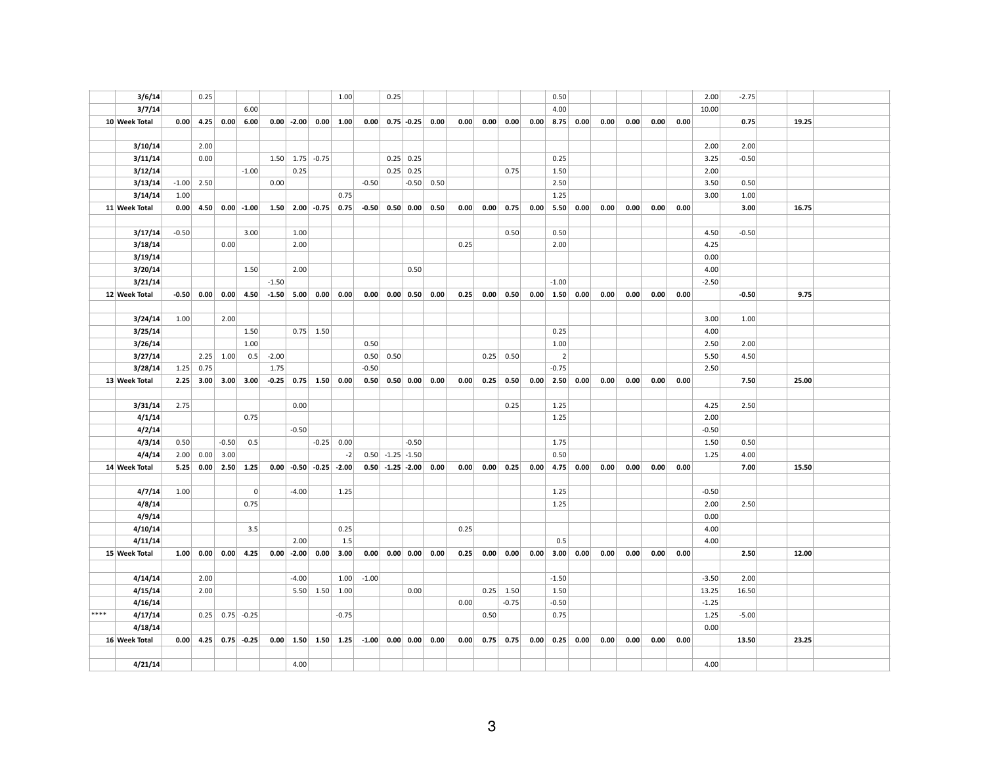|      | 3/6/14        |         | 0.25 |                   |                      |         |              |                          | 1.00         |         | 0.25               |                          |                             |      |      |                       |      | 0.50             |      |      |      |      |      | 2.00    | $-2.75$ |       |  |
|------|---------------|---------|------|-------------------|----------------------|---------|--------------|--------------------------|--------------|---------|--------------------|--------------------------|-----------------------------|------|------|-----------------------|------|------------------|------|------|------|------|------|---------|---------|-------|--|
|      | 3/7/14        |         |      |                   | 6.00                 |         |              |                          |              |         |                    |                          |                             |      |      |                       |      | 4.00             |      |      |      |      |      | 10.00   |         |       |  |
|      | 10 Week Total | 0.00    | 4.25 | 0.00              | 6.00                 |         | $0.00$ -2.00 |                          | 0.00   1.00  | 0.00    |                    |                          | $0.75$ -0.25 0.00           | 0.00 |      | $0.00 \,   \, 0.00  $ | 0.00 | 8.75             | 0.00 | 0.00 | 0.00 | 0.00 | 0.00 |         | 0.75    | 19.25 |  |
|      |               |         |      |                   |                      |         |              |                          |              |         |                    |                          |                             |      |      |                       |      |                  |      |      |      |      |      |         |         |       |  |
|      | 3/10/14       |         | 2.00 |                   |                      |         |              |                          |              |         |                    |                          |                             |      |      |                       |      |                  |      |      |      |      |      | 2.00    | 2.00    |       |  |
|      | 3/11/14       |         | 0.00 |                   |                      |         |              | $1.50$ $1.75$ $-0.75$    |              |         |                    | $0.25$ 0.25              |                             |      |      |                       |      | 0.25             |      |      |      |      |      | 3.25    | $-0.50$ |       |  |
|      | 3/12/14       |         |      |                   | $-1.00$              |         | 0.25         |                          |              |         |                    | $0.25$ 0.25              |                             |      |      | 0.75                  |      | 1.50             |      |      |      |      |      | 2.00    |         |       |  |
|      | 3/13/14       | $-1.00$ | 2.50 |                   |                      | 0.00    |              |                          |              | $-0.50$ |                    |                          | $-0.50$ 0.50                |      |      |                       |      | 2.50             |      |      |      |      |      | 3.50    | 0.50    |       |  |
|      | 3/14/14       | 1.00    |      |                   |                      |         |              |                          | 0.75         |         |                    |                          |                             |      |      |                       |      | 1.25             |      |      |      |      |      | 3.00    | 1.00    |       |  |
|      | 11 Week Total | 0.00    | 4.50 |                   | $0.00$ -1.00         |         |              | $1.50$ $2.00$ $-0.75$    | 0.75         |         | $-0.50$ 0.50 0.00  |                          | 0.50                        | 0.00 | 0.00 | 0.75                  | 0.00 | 5.50             | 0.00 | 0.00 | 0.00 | 0.00 | 0.00 |         | 3.00    | 16.75 |  |
|      |               |         |      |                   |                      |         |              |                          |              |         |                    |                          |                             |      |      |                       |      |                  |      |      |      |      |      |         |         |       |  |
|      | 3/17/14       | $-0.50$ |      |                   | 3.00                 |         | 1.00         |                          |              |         |                    |                          |                             |      |      | 0.50                  |      | 0.50             |      |      |      |      |      | 4.50    | $-0.50$ |       |  |
|      | 3/18/14       |         |      | 0.00              |                      |         | 2.00         |                          |              |         |                    |                          |                             | 0.25 |      |                       |      | 2.00             |      |      |      |      |      | 4.25    |         |       |  |
|      | 3/19/14       |         |      |                   |                      |         |              |                          |              |         |                    |                          |                             |      |      |                       |      |                  |      |      |      |      |      | 0.00    |         |       |  |
|      | 3/20/14       |         |      |                   | 1.50                 |         | 2.00         |                          |              |         |                    | 0.50                     |                             |      |      |                       |      |                  |      |      |      |      |      | 4.00    |         |       |  |
|      | 3/21/14       |         |      |                   |                      | $-1.50$ |              |                          |              |         |                    |                          |                             |      |      |                       |      | $-1.00$          |      |      |      |      |      | $-2.50$ |         |       |  |
|      | 12 Week Total | $-0.50$ | 0.00 | 0.00              | 4.50                 |         |              | $-1.50$ 5.00 0.00 0.00   |              |         |                    |                          | $0.00$ 0.00 0.50 0.00       | 0.25 | 0.00 | 0.50                  |      | $0.00$ 1.50 0.00 |      | 0.00 | 0.00 | 0.00 | 0.00 |         | $-0.50$ | 9.75  |  |
|      |               |         |      |                   |                      |         |              |                          |              |         |                    |                          |                             |      |      |                       |      |                  |      |      |      |      |      |         |         |       |  |
|      | 3/24/14       | 1.00    |      | 2.00              |                      |         |              |                          |              |         |                    |                          |                             |      |      |                       |      |                  |      |      |      |      |      | 3.00    | 1.00    |       |  |
|      | 3/25/14       |         |      |                   | 1.50                 |         |              | $0.75$ 1.50              |              |         |                    |                          |                             |      |      |                       |      | 0.25             |      |      |      |      |      | 4.00    |         |       |  |
|      | 3/26/14       |         |      |                   | 1.00                 |         |              |                          |              | 0.50    |                    |                          |                             |      |      |                       |      | 1.00             |      |      |      |      |      | 2.50    | 2.00    |       |  |
|      | 3/27/14       |         |      | $2.25$ 1.00       | 0.5                  | $-2.00$ |              |                          |              |         | $0.50$ 0.50        |                          |                             |      |      | $0.25$ 0.50           |      | $\overline{2}$   |      |      |      |      |      | 5.50    | 4.50    |       |  |
|      | 3/28/14       | 1.25    | 0.75 |                   |                      | 1.75    |              |                          |              | $-0.50$ |                    |                          |                             |      |      |                       |      | $-0.75$          |      |      |      |      |      | 2.50    |         |       |  |
|      | 13 Week Total | 2.25    |      |                   | $3.00$ $3.00$ $3.00$ |         |              | $-0.25$ 0.75 1.50 0.00   |              |         |                    |                          | $0.50$ $0.50$ $0.00$ $0.00$ | 0.00 |      | $0.25$ 0.50           | 0.00 | 2.50             | 0.00 | 0.00 | 0.00 | 0.00 | 0.00 |         | 7.50    | 25.00 |  |
|      |               |         |      |                   |                      |         |              |                          |              |         |                    |                          |                             |      |      |                       |      |                  |      |      |      |      |      |         |         |       |  |
|      | 3/31/14       | 2.75    |      |                   |                      |         | 0.00         |                          |              |         |                    |                          |                             |      |      | 0.25                  |      | 1.25             |      |      |      |      |      | 4.25    | 2.50    |       |  |
|      | 4/1/14        |         |      |                   | 0.75                 |         |              |                          |              |         |                    |                          |                             |      |      |                       |      | 1.25             |      |      |      |      |      | 2.00    |         |       |  |
|      | 4/2/14        |         |      |                   |                      |         | $-0.50$      |                          |              |         |                    |                          |                             |      |      |                       |      |                  |      |      |      |      |      | $-0.50$ |         |       |  |
|      | 4/3/14        | 0.50    |      | $-0.50$           | 0.5                  |         |              |                          | $-0.25$ 0.00 |         |                    | $-0.50$                  |                             |      |      |                       |      | 1.75             |      |      |      |      |      | 1.50    | 0.50    |       |  |
|      | 4/4/14        | 2.00    | 0.00 | 3.00              |                      |         |              |                          | $-2$         |         | $0.50$ -1.25 -1.50 |                          |                             |      |      |                       |      | 0.50             |      |      |      |      |      | 1.25    | 4.00    |       |  |
|      | 14 Week Total | 5.25    | 0.00 | 2.50              | 1.25                 |         |              | $0.00$ -0.50 -0.25 -2.00 |              |         |                    |                          | $0.50$ -1.25 -2.00 0.00     | 0.00 | 0.00 | 0.25                  | 0.00 | 4.75             | 0.00 | 0.00 | 0.00 | 0.00 | 0.00 |         | 7.00    | 15.50 |  |
|      |               |         |      |                   |                      |         |              |                          |              |         |                    |                          |                             |      |      |                       |      |                  |      |      |      |      |      |         |         |       |  |
|      | 4/7/14        | 1.00    |      |                   | $\overline{0}$       |         | $-4.00$      |                          | 1.25         |         |                    |                          |                             |      |      |                       |      | 1.25             |      |      |      |      |      | $-0.50$ |         |       |  |
|      | 4/8/14        |         |      |                   | 0.75                 |         |              |                          |              |         |                    |                          |                             |      |      |                       |      | 1.25             |      |      |      |      |      | 2.00    | 2.50    |       |  |
|      | 4/9/14        |         |      |                   |                      |         |              |                          |              |         |                    |                          |                             |      |      |                       |      |                  |      |      |      |      |      | 0.00    |         |       |  |
|      | 4/10/14       |         |      |                   | 3.5                  |         |              |                          | 0.25         |         |                    |                          |                             | 0.25 |      |                       |      |                  |      |      |      |      |      | 4.00    |         |       |  |
|      | 4/11/14       |         |      |                   |                      |         | 2.00         |                          | 1.5          |         |                    |                          |                             |      |      |                       |      | 0.5              |      |      |      |      |      | 4.00    |         |       |  |
|      | 15 Week Total | 1.00    | 0.00 | 0.00              | 4.25                 |         |              | $0.00$ -2.00 0.00        | 3.00         |         |                    |                          | $0.00$ $0.00$ $0.00$ $0.00$ | 0.25 | 0.00 | 0.00                  | 0.00 | 3.00             | 0.00 | 0.00 | 0.00 | 0.00 | 0.00 |         | 2.50    | 12.00 |  |
|      |               |         |      |                   |                      |         |              |                          |              |         |                    |                          |                             |      |      |                       |      |                  |      |      |      |      |      |         |         |       |  |
|      | 4/14/14       |         | 2.00 |                   |                      |         | $-4.00$      |                          | 1.00         | $-1.00$ |                    |                          |                             |      |      |                       |      | $-1.50$          |      |      |      |      |      | $-3.50$ | 2.00    |       |  |
|      | 4/15/14       |         | 2.00 |                   |                      |         |              | 5.50 1.50 1.00           |              |         |                    | 0.00                     |                             |      |      | $0.25$ 1.50           |      | 1.50             |      |      |      |      |      | 13.25   | 16.50   |       |  |
|      | 4/16/14       |         |      |                   |                      |         |              |                          |              |         |                    |                          |                             | 0.00 |      | $-0.75$               |      | $-0.50$          |      |      |      |      |      | $-1.25$ |         |       |  |
| **** | 4/17/14       |         |      | $0.25$ 0.75 -0.25 |                      |         |              |                          | $-0.75$      |         |                    |                          |                             |      | 0.50 |                       |      | 0.75             |      |      |      |      |      | 1.25    | $-5.00$ |       |  |
|      | 4/18/14       |         |      |                   |                      |         |              |                          |              |         |                    |                          |                             |      |      |                       |      |                  |      |      |      |      |      | 0.00    |         |       |  |
|      | 16 Week Total | 0.00    | 4.25 |                   | $0.75 - 0.25$        |         |              | $0.00$ 1.50 1.50 1.25    |              | $-1.00$ |                    | $0.00 \,   \, 0.00 \,  $ | 0.00                        | 0.00 |      | $0.75$ 0.75           | 0.00 | 0.25             | 0.00 | 0.00 | 0.00 | 0.00 | 0.00 |         | 13.50   | 23.25 |  |
|      |               |         |      |                   |                      |         |              |                          |              |         |                    |                          |                             |      |      |                       |      |                  |      |      |      |      |      |         |         |       |  |
|      | 4/21/14       |         |      |                   |                      |         | 4.00         |                          |              |         |                    |                          |                             |      |      |                       |      |                  |      |      |      |      |      | 4.00    |         |       |  |
|      |               |         |      |                   |                      |         |              |                          |              |         |                    |                          |                             |      |      |                       |      |                  |      |      |      |      |      |         |         |       |  |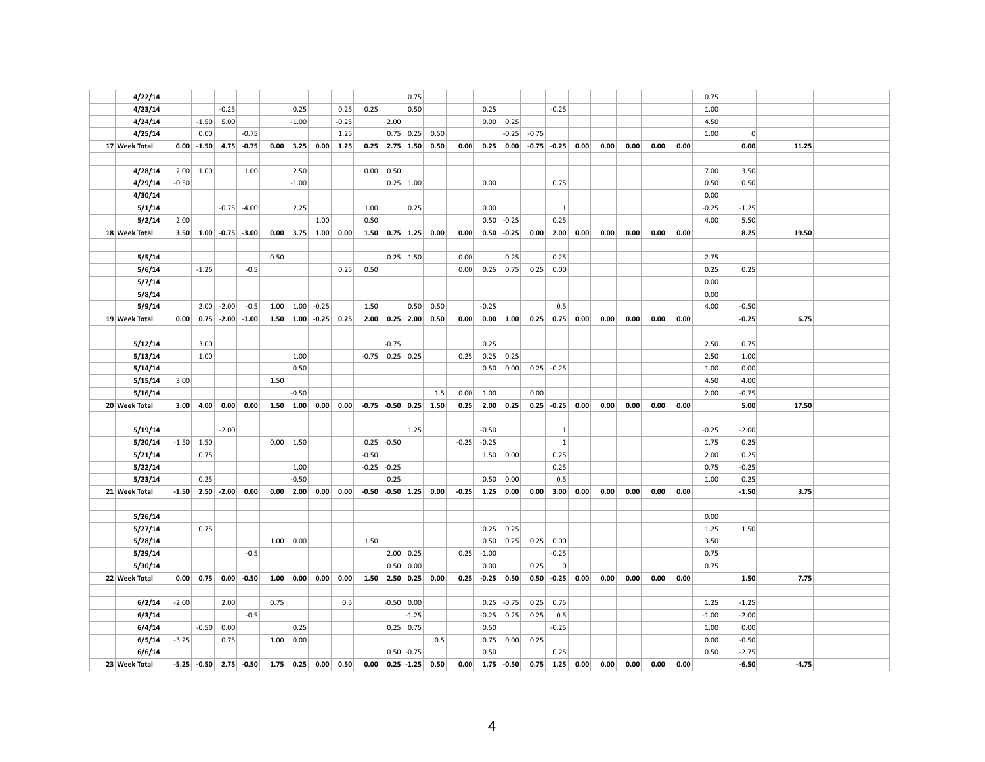| 4/22/14            |         |                         |               |               |      |             |                                                     |         |         |                           | 0.75             |                  |         |                 |              |         |                 |             |      |      |      |      | 0.75         |         |       |  |
|--------------------|---------|-------------------------|---------------|---------------|------|-------------|-----------------------------------------------------|---------|---------|---------------------------|------------------|------------------|---------|-----------------|--------------|---------|-----------------|-------------|------|------|------|------|--------------|---------|-------|--|
| 4/23/14            |         |                         | $-0.25$       |               |      | 0.25        |                                                     | 0.25    | 0.25    |                           | 0.50             |                  |         | 0.25            |              |         | $-0.25$         |             |      |      |      |      | 1.00         |         |       |  |
| 4/24/14            |         | $-1.50$                 | 5.00          |               |      | $-1.00$     |                                                     | $-0.25$ |         | 2.00                      |                  |                  |         |                 | $0.00$ 0.25  |         |                 |             |      |      |      |      | 4.50         |         |       |  |
| 4/25/14            |         | 0.00                    |               | $-0.75$       |      |             |                                                     | 1.25    |         |                           | $0.75$ 0.25 0.50 |                  |         |                 | $-0.25$      | $-0.75$ |                 |             |      |      |      |      | 1.00         | 0       |       |  |
| 17 Week Total      |         | $0.00$ -1.50            |               | $4.75 - 0.75$ | 0.00 |             | $3.25$ 0.00 1.25                                    |         | 0.25    |                           |                  | $2.75$ 1.50 0.50 | 0.00    | 0.25            | 0.00         |         | $-0.75$ $-0.25$ | 0.00        | 0.00 | 0.00 | 0.00 | 0.00 |              | 0.00    | 11.25 |  |
|                    |         |                         |               |               |      |             |                                                     |         |         |                           |                  |                  |         |                 |              |         |                 |             |      |      |      |      |              |         |       |  |
| 4/28/14            |         | $2.00$ 1.00             |               | 1.00          |      | 2.50        |                                                     |         | 0.00    | 0.50                      |                  |                  |         |                 |              |         |                 |             |      |      |      |      | 7.00         | 3.50    |       |  |
| 4/29/14            | $-0.50$ |                         |               |               |      | $-1.00$     |                                                     |         |         |                           | $0.25$ 1.00      |                  |         | 0.00            |              |         | 0.75            |             |      |      |      |      | 0.50         | 0.50    |       |  |
| 4/30/14            |         |                         |               |               |      |             |                                                     |         |         |                           |                  |                  |         |                 |              |         |                 |             |      |      |      |      | 0.00         |         |       |  |
| 5/1/14             |         |                         | $-0.75$       | $-4.00$       |      | 2.25        |                                                     |         | 1.00    |                           | 0.25             |                  |         | 0.00            |              |         | 1               |             |      |      |      |      | $-0.25$      | $-1.25$ |       |  |
| 5/2/14             | 2.00    |                         |               |               |      |             | 1.00                                                |         | 0.50    |                           |                  |                  |         | 0.50            | $-0.25$      |         | 0.25            |             |      |      |      |      | 4.00         | 5.50    |       |  |
| 18 Week Total      |         | $3.50$ 1.00 -0.75 -3.00 |               |               |      |             | $0.00$ 3.75 1.00 0.00                               |         |         | $1.50$ 0.75 1.25 0.00     |                  |                  | 0.00    |                 | $0.50$ -0.25 | 0.00    | 2.00            | 0.00        | 0.00 | 0.00 | 0.00 | 0.00 |              | 8.25    | 19.50 |  |
| 5/5/14             |         |                         |               |               | 0.50 |             |                                                     |         |         |                           | $0.25$ 1.50      |                  | 0.00    |                 | 0.25         |         | 0.25            |             |      |      |      |      | 2.75         |         |       |  |
| 5/6/14             |         | $-1.25$                 |               | $-0.5$        |      |             |                                                     | 0.25    | 0.50    |                           |                  |                  | 0.00    |                 | $0.25$ 0.75  | 0.25    | 0.00            |             |      |      |      |      | 0.25         | 0.25    |       |  |
| 5/7/14             |         |                         |               |               |      |             |                                                     |         |         |                           |                  |                  |         |                 |              |         |                 |             |      |      |      |      | 0.00         |         |       |  |
| 5/8/14             |         |                         |               |               |      |             |                                                     |         |         |                           |                  |                  |         |                 |              |         |                 |             |      |      |      |      | 0.00         |         |       |  |
| 5/9/14             |         |                         | $2.00$ -2.00  | $-0.5$        |      |             | $1.00$ $1.00$ $-0.25$                               |         | 1.50    |                           | 0.50             | 0.50             |         | $-0.25$         |              |         | 0.5             |             |      |      |      |      | 4.00         | $-0.50$ |       |  |
| 19 Week Total      | 0.00    |                         | $0.75 - 2.00$ | $-1.00$       | 1.50 |             | $1.00$ $-0.25$ 0.25                                 |         |         | $2.00$ 0.25 2.00          |                  | 0.50             | 0.00    |                 | 0.00   1.00  | 0.25    |                 | $0.75$ 0.00 | 0.00 | 0.00 | 0.00 | 0.00 |              | $-0.25$ | 6.75  |  |
|                    |         |                         |               |               |      |             |                                                     |         |         |                           |                  |                  |         |                 |              |         |                 |             |      |      |      |      |              |         |       |  |
| 5/12/14            |         | 3.00                    |               |               |      |             |                                                     |         |         | $-0.75$                   |                  |                  |         | 0.25            |              |         |                 |             |      |      |      |      | 2.50         | 0.75    |       |  |
| 5/13/14            |         | 1.00                    |               |               |      | 1.00        |                                                     |         | $-0.75$ | $0.25$ 0.25               |                  |                  | 0.25    |                 | $0.25$ 0.25  |         |                 |             |      |      |      |      | 2.50         | 1.00    |       |  |
| 5/14/14            |         |                         |               |               |      | 0.50        |                                                     |         |         |                           |                  |                  |         | 0.50            | 0.00         |         | $0.25$ -0.25    |             |      |      |      |      | 1.00         | 0.00    |       |  |
| 5/15/14            | 3.00    |                         |               |               | 1.50 |             |                                                     |         |         |                           |                  |                  |         |                 |              |         |                 |             |      |      |      |      | 4.50         | 4.00    |       |  |
| 5/16/14            |         |                         |               |               |      | $-0.50$     |                                                     |         |         |                           |                  | 1.5              | 0.00    | 1.00            |              | 0.00    |                 |             |      |      |      |      | 2.00         | $-0.75$ |       |  |
| 20 Week Total      | 3.00    | 4.00                    | 0.00          | 0.00          |      |             | $1.50$ $1.00$ 0.00                                  | 0.00    |         | $-0.75$ $-0.50$ 0.25 1.50 |                  |                  | 0.25    | 2.00            | 0.25         |         | $0.25 - 0.25$   | 0.00        | 0.00 | 0.00 | 0.00 | 0.00 |              | 5.00    | 17.50 |  |
|                    |         |                         |               |               |      |             |                                                     |         |         |                           |                  |                  |         |                 |              |         |                 |             |      |      |      |      |              |         |       |  |
| 5/19/14            |         |                         | $-2.00$       |               |      |             |                                                     |         |         |                           | 1.25             |                  |         | $-0.50$         |              |         | 1               |             |      |      |      |      | $-0.25$      | $-2.00$ |       |  |
| 5/20/14            |         | $-1.50$ 1.50            |               |               |      | $0.00$ 1.50 |                                                     |         |         | $0.25$ -0.50              |                  |                  | $-0.25$ | $-0.25$         |              |         | $\mathbf{1}$    |             |      |      |      |      | 1.75         | 0.25    |       |  |
| 5/21/14            |         | 0.75                    |               |               |      |             |                                                     |         | $-0.50$ |                           |                  |                  |         | 1.50            | 0.00         |         | 0.25            |             |      |      |      |      | 2.00         | 0.25    |       |  |
| 5/22/14            |         |                         |               |               |      | 1.00        |                                                     |         |         | $-0.25$ $-0.25$           |                  |                  |         |                 |              |         | 0.25            |             |      |      |      |      | 0.75         | $-0.25$ |       |  |
| 5/23/14            |         | 0.25                    |               |               |      | $-0.50$     |                                                     |         |         | 0.25                      |                  |                  |         | 0.50            | 0.00         |         | 0.5             |             |      |      |      |      | 1.00         | 0.25    |       |  |
| 21 Week Total      | $-1.50$ |                         | $2.50 - 2.00$ | 0.00          |      |             | $0.00$ 2.00 0.00                                    | 0.00    |         | $-0.50$ $-0.50$ 1.25 0.00 |                  |                  | $-0.25$ | 1.25  0.00      |              | 0.00    | 3.00            | 0.00        | 0.00 | 0.00 | 0.00 | 0.00 |              | $-1.50$ | 3.75  |  |
|                    |         |                         |               |               |      |             |                                                     |         |         |                           |                  |                  |         |                 |              |         |                 |             |      |      |      |      |              |         |       |  |
| 5/26/14            |         |                         |               |               |      |             |                                                     |         |         |                           |                  |                  |         |                 |              |         |                 |             |      |      |      |      | 0.00         |         |       |  |
| 5/27/14            |         | 0.75                    |               |               |      |             |                                                     |         |         |                           |                  |                  |         | 0.25            | 0.25         |         |                 |             |      |      |      |      | 1.25         | 1.50    |       |  |
| 5/28/14            |         |                         |               | $-0.5$        |      | 1.00   0.00 |                                                     |         | 1.50    |                           | 2.00   0.25      |                  | 0.25    | 0.50<br>$-1.00$ | 0.25         | 0.25    | 0.00<br>$-0.25$ |             |      |      |      |      | 3.50<br>0.75 |         |       |  |
| 5/29/14<br>5/30/14 |         |                         |               |               |      |             |                                                     |         |         |                           | 0.50   0.00      |                  |         | 0.00            |              | 0.25    | $\overline{0}$  |             |      |      |      |      | 0.75         |         |       |  |
| 22 Week Total      |         | $0.00 \,   \, 0.75  $   | 0.00          | $-0.50$       |      |             | $1.00 \begin{array}{ c c } 0.00 & 0.00 \end{array}$ | 0.00    |         | $1.50$ 2.50 0.25 0.00     |                  |                  | 0.25    | $-0.25$ 0.50    |              |         | $0.50 - 0.25$   | 0.00        | 0.00 | 0.00 | 0.00 | 0.00 |              | 1.50    | 7.75  |  |
|                    |         |                         |               |               |      |             |                                                     |         |         |                           |                  |                  |         |                 |              |         |                 |             |      |      |      |      |              |         |       |  |
| 6/2/14             | $-2.00$ |                         | 2.00          |               | 0.75 |             |                                                     | 0.5     |         | $-0.50$ 0.00              |                  |                  |         | 0.25            | $-0.75$      | 0.25    | 0.75            |             |      |      |      |      | 1.25         | $-1.25$ |       |  |
| 6/3/14             |         |                         |               | $-0.5$        |      |             |                                                     |         |         |                           | $-1.25$          |                  |         | $-0.25$         | 0.25         | 0.25    | 0.5             |             |      |      |      |      | $-1.00$      | $-2.00$ |       |  |
| 6/4/14             |         | $-0.50$                 | 0.00          |               |      | 0.25        |                                                     |         |         |                           | $0.25$ 0.75      |                  |         | 0.50            |              |         | $-0.25$         |             |      |      |      |      | 1.00         | 0.00    |       |  |
| 6/5/14             | $-3.25$ |                         | 0.75          |               | 1.00 | 0.00        |                                                     |         |         |                           |                  | 0.5              |         | 0.75            | 0.00         | 0.25    |                 |             |      |      |      |      | 0.00         | $-0.50$ |       |  |
|                    |         |                         |               |               |      |             |                                                     |         |         |                           |                  |                  |         |                 |              |         |                 |             |      |      |      |      |              |         |       |  |
| 6/6/14             |         |                         |               |               |      |             |                                                     |         |         |                           | $0.50 - 0.75$    |                  |         | 0.50            |              |         | 0.25            |             |      |      |      |      | 0.50         | $-2.75$ |       |  |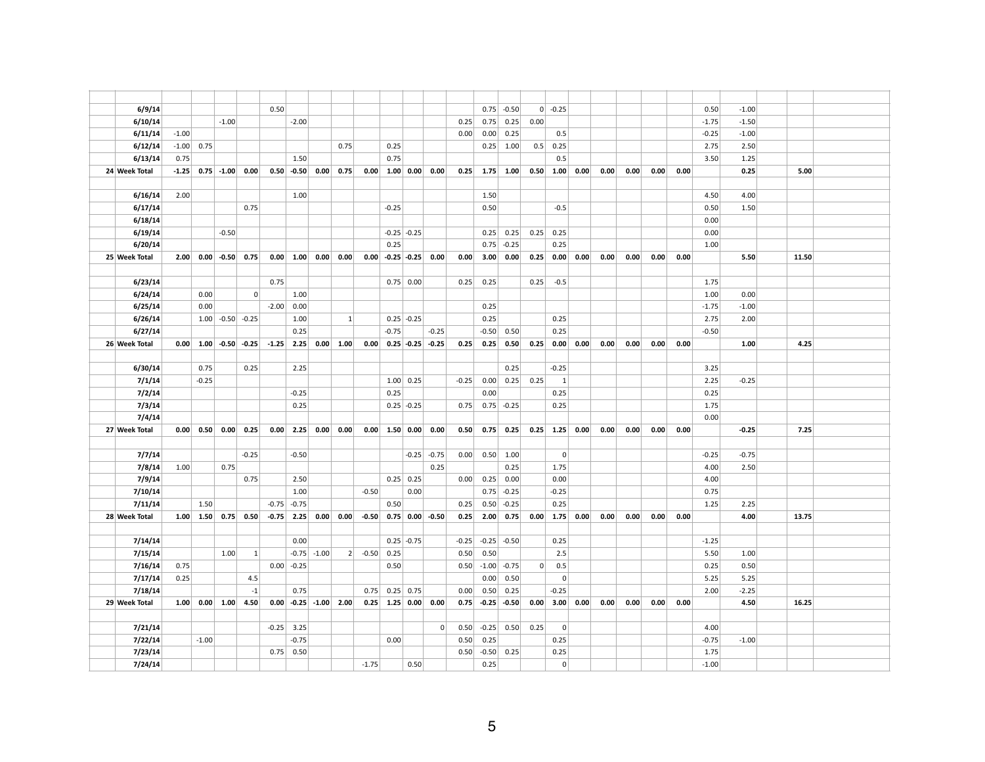| 6/9/14             |         |              |                                 |                 | 0.50    |                 |                 |                         |           |                         |                  |                    |         | 0.75    | $-0.50$         |      | $0 - 0.25$     |      |      |      |      |      | 0.50            | $-1.00$         |       |  |
|--------------------|---------|--------------|---------------------------------|-----------------|---------|-----------------|-----------------|-------------------------|-----------|-------------------------|------------------|--------------------|---------|---------|-----------------|------|----------------|------|------|------|------|------|-----------------|-----------------|-------|--|
| 6/10/14            |         |              | $-1.00$                         |                 |         | $-2.00$         |                 |                         |           |                         |                  |                    | 0.25    | 0.75    | 0.25            | 0.00 |                |      |      |      |      |      | $-1.75$         | $-1.50$         |       |  |
| 6/11/14            | $-1.00$ |              |                                 |                 |         |                 |                 |                         |           |                         |                  |                    | 0.00    | 0.00    | 0.25            |      | 0.5            |      |      |      |      |      | $-0.25$         | $-1.00$         |       |  |
| 6/12/14            |         | $-1.00$ 0.75 |                                 |                 |         |                 |                 | 0.75                    |           | 0.25                    |                  |                    |         |         | $0.25$ 1.00     | 0.5  | 0.25           |      |      |      |      |      | 2.75            | 2.50            |       |  |
| 6/13/14            | 0.75    |              |                                 |                 |         | 1.50            |                 |                         |           | 0.75                    |                  |                    |         |         |                 |      | 0.5            |      |      |      |      |      | 3.50            | 1.25            |       |  |
| 24 Week Total      |         |              | $-1.25$ 0.75 $-1.00$ 0.00       |                 |         | $0.50 - 0.50$   |                 | $0.00 \mid 0.75$        |           | $0.00$ 1.00 0.00 0.00   |                  |                    | 0.25    |         | $1.75$ 1.00     |      | $0.50$ 1.00    | 0.00 | 0.00 | 0.00 | 0.00 | 0.00 |                 | 0.25            | 5.00  |  |
|                    |         |              |                                 |                 |         |                 |                 |                         |           |                         |                  |                    |         |         |                 |      |                |      |      |      |      |      |                 |                 |       |  |
| 6/16/14            | 2.00    |              |                                 |                 |         | 1.00            |                 |                         |           |                         |                  |                    |         | 1.50    |                 |      |                |      |      |      |      |      | 4.50            | 4.00            |       |  |
| 6/17/14            |         |              |                                 | 0.75            |         |                 |                 |                         |           | $-0.25$                 |                  |                    |         | 0.50    |                 |      | $-0.5$         |      |      |      |      |      | 0.50            | 1.50            |       |  |
| 6/18/14            |         |              |                                 |                 |         |                 |                 |                         |           |                         |                  |                    |         |         |                 |      |                |      |      |      |      |      | 0.00            |                 |       |  |
| 6/19/14            |         |              | $-0.50$                         |                 |         |                 |                 |                         |           |                         | $-0.25$ $-0.25$  |                    |         | 0.25    | 0.25            | 0.25 | 0.25           |      |      |      |      |      | 0.00            |                 |       |  |
| 6/20/14            |         |              |                                 |                 |         |                 |                 |                         |           | 0.25                    |                  |                    |         | 0.75    | $-0.25$         |      | 0.25           |      |      |      |      |      | 1.00            |                 |       |  |
| 25 Week Total      |         |              | $2.00$ 0.00 -0.50 0.75          |                 |         | $0.00 \ 1.00$   |                 | 0.00 0.00               |           | $0.00$ -0.25 -0.25 0.00 |                  |                    | 0.00    | 3.00    | 0.00            | 0.25 | 0.00           | 0.00 | 0.00 | 0.00 | 0.00 | 0.00 |                 | 5.50            | 11.50 |  |
|                    |         |              |                                 |                 |         |                 |                 |                         |           |                         |                  |                    |         |         |                 |      |                |      |      |      |      |      |                 |                 |       |  |
| 6/23/14            |         |              |                                 |                 | 0.75    |                 |                 |                         |           |                         | $0.75$ 0.00      |                    | 0.25    | 0.25    |                 | 0.25 | $-0.5$         |      |      |      |      |      | 1.75            |                 |       |  |
| 6/24/14<br>6/25/14 |         | 0.00<br>0.00 |                                 | $\overline{0}$  | $-2.00$ | 1.00<br>0.00    |                 |                         |           |                         |                  |                    |         | 0.25    |                 |      |                |      |      |      |      |      | 1.00<br>$-1.75$ | 0.00<br>$-1.00$ |       |  |
| 6/26/14            |         |              | $1.00$ -0.50 -0.25              |                 |         | 1.00            |                 | 1                       |           |                         | $0.25 - 0.25$    |                    |         | 0.25    |                 |      | 0.25           |      |      |      |      |      | 2.75            | 2.00            |       |  |
| 6/27/14            |         |              |                                 |                 |         | 0.25            |                 |                         |           | $-0.75$                 |                  | $-0.25$            |         | $-0.50$ | 0.50            |      | 0.25           |      |      |      |      |      | $-0.50$         |                 |       |  |
| 26 Week Total      |         |              | $0.00$ 1.00 -0.50               | $-0.25$         |         | $-1.25$ 2.25    |                 | $0.00$ 1.00             | 0.00      |                         |                  | $0.25$ -0.25 -0.25 | 0.25    | 0.25    | 0.50            | 0.25 | 0.00           | 0.00 | 0.00 | 0.00 | 0.00 | 0.00 |                 | 1.00            | 4.25  |  |
|                    |         |              |                                 |                 |         |                 |                 |                         |           |                         |                  |                    |         |         |                 |      |                |      |      |      |      |      |                 |                 |       |  |
| 6/30/14            |         | 0.75         |                                 | 0.25            |         | 2.25            |                 |                         |           |                         |                  |                    |         |         | 0.25            |      | $-0.25$        |      |      |      |      |      | 3.25            |                 |       |  |
| 7/1/14             |         | $-0.25$      |                                 |                 |         |                 |                 |                         |           |                         | $1.00 \mid 0.25$ |                    | $-0.25$ | 0.00    | 0.25            | 0.25 | 1              |      |      |      |      |      | 2.25            | $-0.25$         |       |  |
| 7/2/14             |         |              |                                 |                 |         | $-0.25$         |                 |                         |           | 0.25                    |                  |                    |         | 0.00    |                 |      | 0.25           |      |      |      |      |      | 0.25            |                 |       |  |
| 7/3/14             |         |              |                                 |                 |         | 0.25            |                 |                         |           |                         | $0.25$ -0.25     |                    | 0.75    |         | $0.75$ -0.25    |      | 0.25           |      |      |      |      |      | 1.75            |                 |       |  |
| 7/4/14             |         |              |                                 |                 |         |                 |                 |                         |           |                         |                  |                    |         |         |                 |      |                |      |      |      |      |      | 0.00            |                 |       |  |
| 27 Week Total      |         |              | $0.00$ 0.50 0.00                | 0.25            |         |                 |                 | $0.00$ 2.25 0.00 0.00   |           | $0.00$ 1.50 0.00 0.00   |                  |                    | 0.50    |         | $0.75$ 0.25     |      | $0.25$ 1.25    | 0.00 | 0.00 | 0.00 | 0.00 | 0.00 |                 | $-0.25$         | 7.25  |  |
|                    |         |              |                                 |                 |         |                 |                 |                         |           |                         |                  |                    |         |         |                 |      |                |      |      |      |      |      |                 |                 |       |  |
| 7/7/14             |         |              |                                 | $-0.25$         |         | $-0.50$         |                 |                         |           |                         |                  | $-0.25$ $-0.75$    | 0.00    | 0.50    | 1.00            |      | $\mathbf 0$    |      |      |      |      |      | $-0.25$         | $-0.75$         |       |  |
| 7/8/14             | 1.00    |              | 0.75                            |                 |         |                 |                 |                         |           |                         |                  | 0.25               |         |         | 0.25            |      | 1.75           |      |      |      |      |      | 4.00            | 2.50            |       |  |
| 7/9/14             |         |              |                                 | 0.75            |         | 2.50            |                 |                         |           |                         | $0.25$ 0.25      |                    | 0.00    | 0.25    | 0.00            |      | 0.00           |      |      |      |      |      | 4.00            |                 |       |  |
| 7/10/14            |         |              |                                 |                 |         | 1.00            |                 |                         | $-0.50$   |                         | 0.00             |                    |         | 0.75    | $-0.25$         |      | $-0.25$        |      |      |      |      |      | 0.75            |                 |       |  |
| 7/11/14            |         | 1.50         |                                 |                 |         | $-0.75$ $-0.75$ |                 |                         |           | 0.50                    |                  |                    | 0.25    | 0.50    | $-0.25$         |      | 0.25           |      |      |      |      |      | 1.25            | 2.25            |       |  |
| 28 Week Total      |         |              | $1.00$ $1.50$ $0.75$ $0.50$     |                 | $-0.75$ | 2.25            |                 | $0.00 \,   \, 0.00  $   | $-0.50$   |                         |                  | $0.75$ 0.00 -0.50  | 0.25    | 2.00    | 0.75            |      | $0.00$ 1.75    | 0.00 | 0.00 | 0.00 | 0.00 | 0.00 |                 | 4.00            | 13.75 |  |
|                    |         |              |                                 |                 |         |                 |                 |                         |           |                         |                  |                    |         |         |                 |      |                |      |      |      |      |      |                 |                 |       |  |
| 7/14/14            |         |              |                                 |                 |         | 0.00            |                 |                         |           |                         | $0.25 - 0.75$    |                    | $-0.25$ |         | $-0.25$ $-0.50$ |      | 0.25           |      |      |      |      |      | $-1.25$         |                 |       |  |
| 7/15/14            |         |              | 1.00                            | $\vert 1 \vert$ |         |                 | $-0.75$ $-1.00$ |                         | $2$ -0.50 | 0.25                    |                  |                    | 0.50    | 0.50    |                 |      | 2.5            |      |      |      |      |      | 5.50            | 1.00            |       |  |
| 7/16/14            | 0.75    |              |                                 |                 |         | $0.00$ -0.25    |                 |                         |           | 0.50                    |                  |                    | 0.50    | $-1.00$ | $-0.75$         | 0    | 0.5            |      |      |      |      |      | 0.25            | 0.50            |       |  |
| 7/17/14            | 0.25    |              |                                 | 4.5             |         |                 |                 |                         |           |                         |                  |                    |         | 0.00    | 0.50            |      | $\overline{0}$ |      |      |      |      |      | 5.25            | 5.25            |       |  |
| 7/18/14            |         |              |                                 | $^{\mbox{-}}1$  |         | 0.75            |                 |                         | 0.75      |                         | $0.25$ 0.75      |                    | 0.00    | 0.50    | 0.25            |      | $-0.25$        |      |      |      |      |      | 2.00            | $-2.25$         |       |  |
| 29 Week Total      |         |              | $1.00 \mid 0.00 \mid 1.00 \mid$ | 4.50            |         |                 |                 | $0.00$ -0.25 -1.00 2.00 |           | $0.25$ 1.25 0.00        |                  | 0.00               | 0.75    |         | $-0.25$ $-0.50$ | 0.00 | 3.00           | 0.00 | 0.00 | 0.00 | 0.00 | 0.00 |                 | 4.50            | 16.25 |  |
| 7/21/14            |         |              |                                 |                 |         | $-0.25$ 3.25    |                 |                         |           |                         |                  | 0                  | 0.50    | $-0.25$ | 0.50            | 0.25 | $\mathbf 0$    |      |      |      |      |      | 4.00            |                 |       |  |
| 7/22/14            |         | $-1.00$      |                                 |                 |         | $-0.75$         |                 |                         |           | 0.00                    |                  |                    | 0.50    | 0.25    |                 |      | 0.25           |      |      |      |      |      | $-0.75$         | $-1.00$         |       |  |
| 7/23/14            |         |              |                                 |                 |         | $0.75$ 0.50     |                 |                         |           |                         |                  |                    | 0.50    | $-0.50$ | 0.25            |      | 0.25           |      |      |      |      |      | 1.75            |                 |       |  |
|                    |         |              |                                 |                 |         |                 |                 |                         |           |                         |                  |                    |         |         |                 |      |                |      |      |      |      |      |                 |                 |       |  |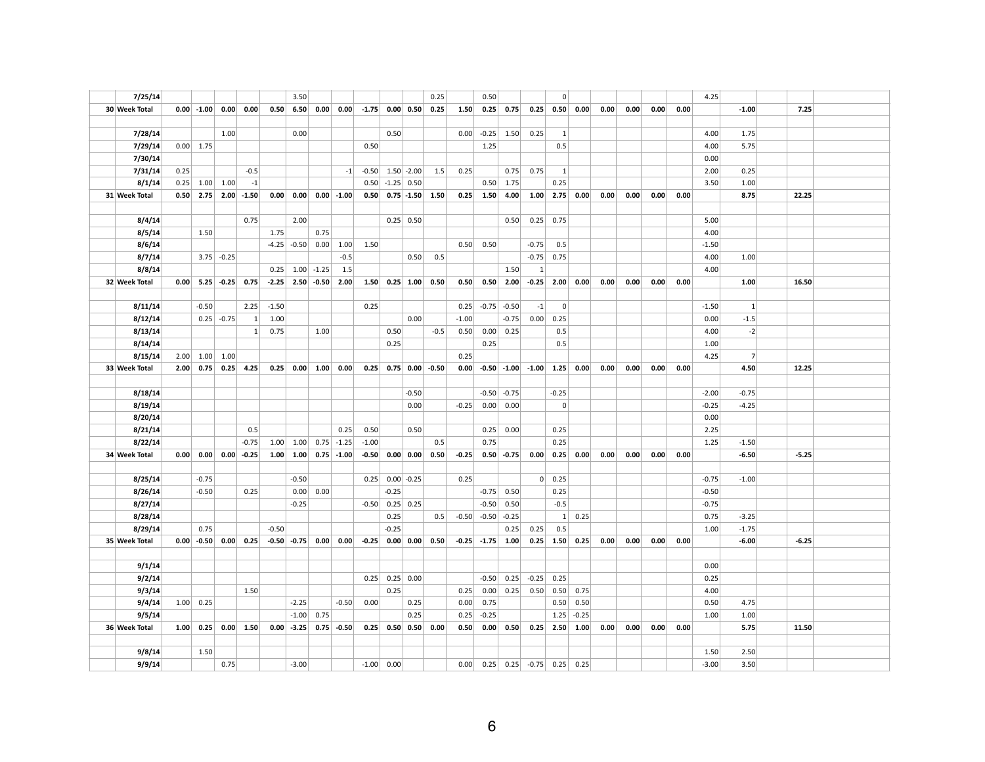| 7/25/14       |      |                       |                   |             |         | 3.50            |                  |                              |         |                                 |              | 0.25                     |         | 0.50    |                 |                         | $\mathbf 0$  |                  |      |      |      |      | 4.25    |           |         |  |
|---------------|------|-----------------------|-------------------|-------------|---------|-----------------|------------------|------------------------------|---------|---------------------------------|--------------|--------------------------|---------|---------|-----------------|-------------------------|--------------|------------------|------|------|------|------|---------|-----------|---------|--|
| 30 Week Total |      | $0.00$ -1.00          | 0.00              | 0.00        | 0.50    | 6.50            | 0.00             | 0.00                         |         | $-1.75$ 0.00 0.50               |              | 0.25                     | 1.50    | 0.25    | 0.75            | 0.25                    | 0.50         | 0.00             | 0.00 | 0.00 | 0.00 | 0.00 |         | $-1.00$   | 7.25    |  |
|               |      |                       |                   |             |         |                 |                  |                              |         |                                 |              |                          |         |         |                 |                         |              |                  |      |      |      |      |         |           |         |  |
| 7/28/14       |      |                       | 1.00              |             |         | 0.00            |                  |                              |         | 0.50                            |              |                          | 0.00    | $-0.25$ | 1.50            | 0.25                    | $\mathbf{1}$ |                  |      |      |      |      | 4.00    | 1.75      |         |  |
| 7/29/14       |      | $0.00$ 1.75           |                   |             |         |                 |                  |                              | 0.50    |                                 |              |                          |         | 1.25    |                 |                         | 0.5          |                  |      |      |      |      | 4.00    | 5.75      |         |  |
| 7/30/14       |      |                       |                   |             |         |                 |                  |                              |         |                                 |              |                          |         |         |                 |                         |              |                  |      |      |      |      | 0.00    |           |         |  |
| 7/31/14       | 0.25 |                       |                   | $-0.5$      |         |                 |                  | $-1$                         | $-0.50$ |                                 | $1.50$ -2.00 | 1.5                      | 0.25    |         | 0.75            | 0.75                    | $\mathbf{1}$ |                  |      |      |      |      | 2.00    | 0.25      |         |  |
| 8/1/14        |      | $0.25$ 1.00           | 1.00              | $^{\rm -1}$ |         |                 |                  |                              | 0.50    |                                 | $-1.25$ 0.50 |                          |         | 0.50    | 1.75            |                         | 0.25         |                  |      |      |      |      | 3.50    | 1.00      |         |  |
| 31 Week Total |      | $0.50 \mid 2.75 \mid$ | 2.00              | $-1.50$     | 0.00    | 0.00            |                  | $0.00 - 1.00$                |         |                                 |              | $0.50$ $0.75$ -1.50 1.50 | 0.25    | 1.50    | 4.00            | 1.00                    | 2.75         | 0.00             | 0.00 | 0.00 | 0.00 | 0.00 |         | 8.75      | 22.25   |  |
|               |      |                       |                   |             |         |                 |                  |                              |         |                                 |              |                          |         |         |                 |                         |              |                  |      |      |      |      |         |           |         |  |
| 8/4/14        |      |                       |                   | 0.75        |         | 2.00            |                  |                              |         |                                 | $0.25$ 0.50  |                          |         |         | 0.50            | 0.25                    | 0.75         |                  |      |      |      |      | 5.00    |           |         |  |
| 8/5/14        |      | 1.50                  |                   |             | 1.75    |                 | 0.75             |                              |         |                                 |              |                          |         |         |                 |                         |              |                  |      |      |      |      | 4.00    |           |         |  |
| 8/6/14        |      |                       |                   |             | $-4.25$ |                 | $-0.50$ 0.00     | 1.00                         | 1.50    |                                 |              |                          | 0.50    | 0.50    |                 | $-0.75$                 | 0.5          |                  |      |      |      |      | $-1.50$ |           |         |  |
| 8/7/14        |      |                       | $3.75$ -0.25      |             |         |                 |                  | $-0.5$                       |         |                                 | 0.50         | 0.5                      |         |         |                 | $-0.75$                 | 0.75         |                  |      |      |      |      | 4.00    | 1.00      |         |  |
| 8/8/14        |      |                       |                   |             | 0.25    |                 | $1.00$ -1.25     | 1.5                          |         |                                 |              |                          |         |         | 1.50            | $\mathbf{1}$            |              |                  |      |      |      |      | 4.00    |           |         |  |
| 32 Week Total |      |                       | $0.00$ 5.25 -0.25 | 0.75        | $-2.25$ |                 |                  | $2.50$ -0.50 2.00            |         | $1.50 \mid 0.25 \mid 1.00 \mid$ |              | 0.50                     | 0.50    | 0.50    | 2.00            | $-0.25$                 | 2.00         | 0.00             | 0.00 | 0.00 | 0.00 | 0.00 |         | 1.00      | 16.50   |  |
|               |      |                       |                   |             |         |                 |                  |                              |         |                                 |              |                          |         |         |                 |                         |              |                  |      |      |      |      |         |           |         |  |
| 8/11/14       |      | $-0.50$               |                   | 2.25        | $-1.50$ |                 |                  |                              | 0.25    |                                 |              |                          | 0.25    |         | $-0.75$ $-0.50$ | $-1$                    | $\mathbf 0$  |                  |      |      |      |      | $-1.50$ | $\vert$ 1 |         |  |
| 8/12/14       |      |                       | $0.25$ -0.75      | 1           | 1.00    |                 |                  |                              |         |                                 | 0.00         |                          | $-1.00$ |         | $-0.75$         | 0.00                    | 0.25         |                  |      |      |      |      | 0.00    | $-1.5$    |         |  |
| 8/13/14       |      |                       |                   | 1           | 0.75    |                 | 1.00             |                              |         | 0.50                            |              | $-0.5$                   | 0.50    | 0.00    | 0.25            |                         | 0.5          |                  |      |      |      |      | 4.00    | $-2$      |         |  |
| 8/14/14       |      |                       |                   |             |         |                 |                  |                              |         | 0.25                            |              |                          |         | 0.25    |                 |                         | 0.5          |                  |      |      |      |      | 1.00    |           |         |  |
| 8/15/14       |      | $2.00$ 1.00           | 1.00              |             |         |                 |                  |                              |         |                                 |              |                          | 0.25    |         |                 |                         |              |                  |      |      |      |      | 4.25    | 7         |         |  |
| 33 Week Total | 2.00 | 0.75                  | 0.25              | 4.25        |         |                 | $0.25$ 0.00 1.00 | 0.00                         |         |                                 |              | $0.25$ 0.75 0.00 -0.50   | 0.00    |         |                 | $-0.50$ $-1.00$ $-1.00$ | 1.25         | 0.00             | 0.00 | 0.00 | 0.00 | 0.00 |         | 4.50      | 12.25   |  |
|               |      |                       |                   |             |         |                 |                  |                              |         |                                 |              |                          |         |         |                 |                         |              |                  |      |      |      |      |         |           |         |  |
| 8/18/14       |      |                       |                   |             |         |                 |                  |                              |         |                                 | $-0.50$      |                          |         |         | $-0.50$ $-0.75$ |                         | $-0.25$      |                  |      |      |      |      | $-2.00$ | $-0.75$   |         |  |
| 8/19/14       |      |                       |                   |             |         |                 |                  |                              |         |                                 | 0.00         |                          | $-0.25$ | 0.00    | 0.00            |                         | $\pmb{0}$    |                  |      |      |      |      | $-0.25$ | $-4.25$   |         |  |
| 8/20/14       |      |                       |                   |             |         |                 |                  |                              |         |                                 |              |                          |         |         |                 |                         |              |                  |      |      |      |      | 0.00    |           |         |  |
| 8/21/14       |      |                       |                   | 0.5         |         |                 |                  | 0.25                         | 0.50    |                                 | 0.50         |                          |         | 0.25    | 0.00            |                         | 0.25         |                  |      |      |      |      | 2.25    |           |         |  |
| 8/22/14       |      |                       |                   | $-0.75$     | 1.00    |                 |                  | $1.00$ 0.75 -1.25            | $-1.00$ |                                 |              | 0.5                      |         | 0.75    |                 |                         | 0.25         |                  |      |      |      |      | 1.25    | $-1.50$   |         |  |
| 34 Week Total |      | $0.00 \,   \, 0.00  $ | 0.00              | $-0.25$     |         |                 |                  | $1.00$ $1.00$ $0.75$ $-1.00$ |         |                                 |              | $-0.50$ 0.00 0.00 0.50   | $-0.25$ |         | $0.50 - 0.75$   | 0.00                    |              | $0.25$ 0.00      | 0.00 | 0.00 | 0.00 | 0.00 |         | $-6.50$   | $-5.25$ |  |
|               |      |                       |                   |             |         |                 |                  |                              |         |                                 |              |                          |         |         |                 |                         |              |                  |      |      |      |      |         |           |         |  |
| 8/25/14       |      | $-0.75$               |                   |             |         | $-0.50$         |                  |                              | 0.25    |                                 | $0.00$ -0.25 |                          | 0.25    |         |                 | 0                       | 0.25         |                  |      |      |      |      | $-0.75$ | $-1.00$   |         |  |
| 8/26/14       |      | $-0.50$               |                   | 0.25        |         | 0.00            | 0.00             |                              |         | $-0.25$                         |              |                          |         | $-0.75$ | 0.50            |                         | 0.25         |                  |      |      |      |      | $-0.50$ |           |         |  |
| 8/27/14       |      |                       |                   |             |         | $-0.25$         |                  |                              |         | $-0.50$ 0.25 0.25               |              |                          |         | $-0.50$ | 0.50            |                         | $-0.5$       |                  |      |      |      |      | $-0.75$ |           |         |  |
| 8/28/14       |      |                       |                   |             |         |                 |                  |                              |         | 0.25                            |              | 0.5                      | $-0.50$ | $-0.50$ | $-0.25$         |                         | $\vert$ 1    | 0.25             |      |      |      |      | 0.75    | $-3.25$   |         |  |
| 8/29/14       |      | 0.75                  |                   |             | $-0.50$ |                 |                  |                              |         | $-0.25$                         |              |                          |         |         | 0.25            | 0.25                    | 0.5          |                  |      |      |      |      | 1.00    | $-1.75$   |         |  |
| 35 Week Total | 0.00 | $-0.50$               | 0.00              | 0.25        |         | $-0.50$ $-0.75$ | 0.00             | 0.00                         |         | $-0.25$ 0.00 0.00               |              | 0.50                     | $-0.25$ | $-1.75$ | 1.00            | 0.25                    | 1.50         | 0.25             | 0.00 | 0.00 | 0.00 | 0.00 |         | $-6.00$   | $-6.25$ |  |
| 9/1/14        |      |                       |                   |             |         |                 |                  |                              |         |                                 |              |                          |         |         |                 |                         |              |                  |      |      |      |      | 0.00    |           |         |  |
| 9/2/14        |      |                       |                   |             |         |                 |                  |                              | 0.25    |                                 | $0.25$ 0.00  |                          |         | $-0.50$ | 0.25            | $-0.25$                 | 0.25         |                  |      |      |      |      | 0.25    |           |         |  |
| 9/3/14        |      |                       |                   | 1.50        |         |                 |                  |                              |         | 0.25                            |              |                          | 0.25    | 0.00    | 0.25            | 0.50                    | 0.50         | 0.75             |      |      |      |      | 4.00    |           |         |  |
| 9/4/14        |      | 1.00   0.25           |                   |             |         | $-2.25$         |                  | $-0.50$                      | 0.00    |                                 | 0.25         |                          | 0.00    | 0.75    |                 |                         | 0.50         | 0.50             |      |      |      |      | 0.50    | 4.75      |         |  |
| 9/5/14        |      |                       |                   |             |         | $-1.00$         | 0.75             |                              |         |                                 | 0.25         |                          | 0.25    | $-0.25$ |                 |                         | 1.25         | $-0.25$          |      |      |      |      | 1.00    | 1.00      |         |  |
| 36 Week Total |      | $1.00 \, 0.25$        |                   | $0.00$ 1.50 |         | $0.00$ -3.25    |                  | $0.75 - 0.50$                |         |                                 |              | $0.25$ 0.50 0.50 0.00    | 0.50    | 0.00    | 0.50            |                         |              | $0.25$ 2.50 1.00 | 0.00 | 0.00 | 0.00 | 0.00 |         | 5.75      | 11.50   |  |
|               |      |                       |                   |             |         |                 |                  |                              |         |                                 |              |                          |         |         |                 |                         |              |                  |      |      |      |      |         |           |         |  |
| 9/8/14        |      | 1.50                  |                   |             |         |                 |                  |                              |         |                                 |              |                          |         |         |                 |                         |              |                  |      |      |      |      | 1.50    | 2.50      |         |  |
| 9/9/14        |      |                       | 0.75              |             |         | $-3.00$         |                  |                              |         | $-1.00$ 0.00                    |              |                          | 0.00    | 0.25    | 0.25            | $-0.75$ 0.25 0.25       |              |                  |      |      |      |      | $-3.00$ | 3.50      |         |  |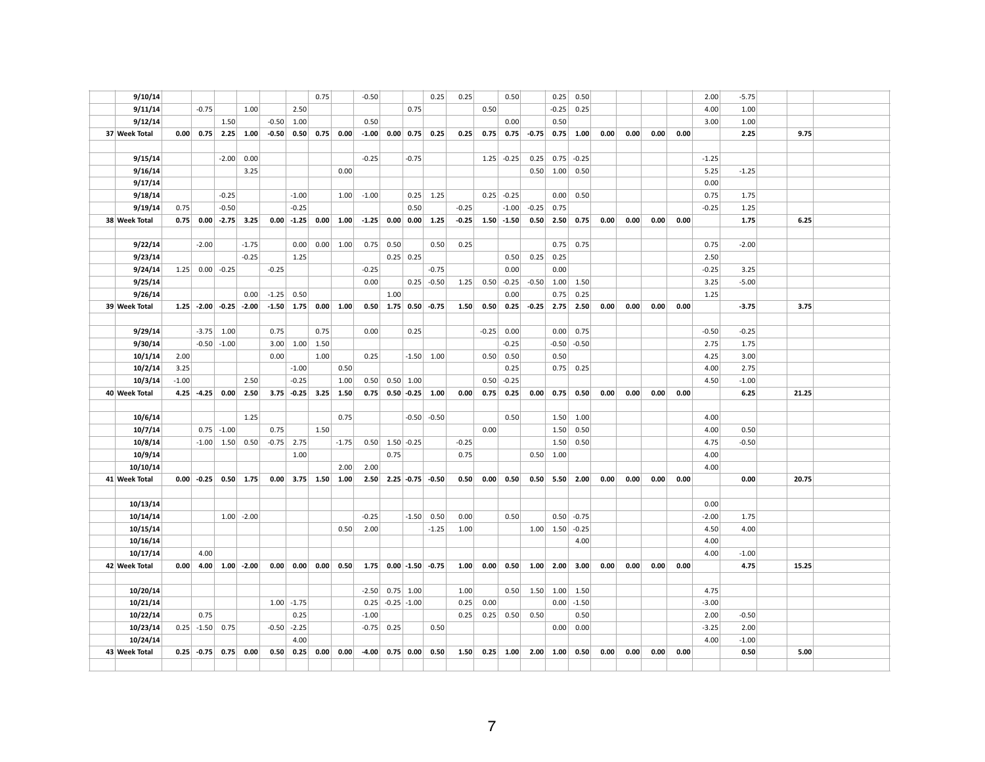| 9/11/14       |         | $-0.75$             |                          | 1.00           |              | 2.50            |                        |                          |         |                               | 0.75        |                        |         | 0.50    |               |                       | $-0.25$          | 0.25        |      |      |      |      | 4.00    | 1.00    |       |  |
|---------------|---------|---------------------|--------------------------|----------------|--------------|-----------------|------------------------|--------------------------|---------|-------------------------------|-------------|------------------------|---------|---------|---------------|-----------------------|------------------|-------------|------|------|------|------|---------|---------|-------|--|
| 9/12/14       |         |                     | 1.50                     |                |              | $-0.50$ 1.00    |                        |                          | 0.50    |                               |             |                        |         |         | 0.00          |                       | 0.50             |             |      |      |      |      | 3.00    | 1.00    |       |  |
| 37 Week Total |         | $0.00 \,   \, 0.75$ |                          | $2.25 \, 1.00$ |              |                 |                        | $-0.50$ 0.50 0.75 0.00   |         |                               |             | $-1.00$ 0.00 0.75 0.25 | 0.25    | 0.75    |               | $0.75 - 0.75$         |                  | $0.75$ 1.00 | 0.00 | 0.00 | 0.00 | 0.00 |         | 2.25    | 9.75  |  |
|               |         |                     |                          |                |              |                 |                        |                          |         |                               |             |                        |         |         |               |                       |                  |             |      |      |      |      |         |         |       |  |
| 9/15/14       |         |                     | $-2.00$                  | 0.00           |              |                 |                        |                          | $-0.25$ |                               | $-0.75$     |                        |         | 1.25    | $-0.25$       | 0.25                  | 0.75             | $-0.25$     |      |      |      |      | $-1.25$ |         |       |  |
| 9/16/14       |         |                     |                          | 3.25           |              |                 |                        | 0.00                     |         |                               |             |                        |         |         |               |                       | $0.50$ 1.00      | 0.50        |      |      |      |      | 5.25    | $-1.25$ |       |  |
| 9/17/14       |         |                     |                          |                |              |                 |                        |                          |         |                               |             |                        |         |         |               |                       |                  |             |      |      |      |      | 0.00    |         |       |  |
| 9/18/14       |         |                     | $-0.25$                  |                |              | $-1.00$         |                        | 1.00                     | $-1.00$ |                               |             | $0.25$ 1.25            |         |         | $0.25$ -0.25  |                       | 0.00             | 0.50        |      |      |      |      | 0.75    | 1.75    |       |  |
| 9/19/14       | 0.75    |                     | $-0.50$                  |                |              | $-0.25$         |                        |                          |         |                               | 0.50        |                        | $-0.25$ |         | $-1.00$       | $-0.25$               | 0.75             |             |      |      |      |      | $-0.25$ | 1.25    |       |  |
| 38 Week Total |         |                     | $0.75$ 0.00 -2.75 3.25   |                |              |                 |                        | $0.00$ -1.25 $0.00$ 1.00 |         |                               |             | $-1.25$ 0.00 0.00 1.25 | $-0.25$ |         | $1.50 - 1.50$ |                       | $0.50$ 2.50      | 0.75        | 0.00 | 0.00 | 0.00 | 0.00 |         | 1.75    | 6.25  |  |
| 9/22/14       |         | $-2.00$             |                          | $-1.75$        |              | 0.00            |                        | $0.00$ 1.00              |         | $0.75$ 0.50                   |             | 0.50                   | 0.25    |         |               |                       | 0.75             | 0.75        |      |      |      |      | 0.75    | $-2.00$ |       |  |
| 9/23/14       |         |                     |                          | $-0.25$        |              | 1.25            |                        |                          |         |                               | $0.25$ 0.25 |                        |         |         | 0.50          |                       | $0.25$ 0.25      |             |      |      |      |      | 2.50    |         |       |  |
| 9/24/14       | 1.25    |                     | $0.00$ -0.25             |                | $-0.25$      |                 |                        |                          | $-0.25$ |                               |             | $-0.75$                |         |         | 0.00          |                       | 0.00             |             |      |      |      |      | $-0.25$ | 3.25    |       |  |
| 9/25/14       |         |                     |                          |                |              |                 |                        |                          | 0.00    |                               |             | $0.25$ -0.50           | 1.25    |         | $0.50$ -0.25  | $-0.50$               | 1.00             | 1.50        |      |      |      |      | 3.25    | $-5.00$ |       |  |
| 9/26/14       |         |                     |                          | 0.00           | $-1.25$      | 0.50            |                        |                          |         | 1.00                          |             |                        |         |         | 0.00          |                       | 0.75             | 0.25        |      |      |      |      | 1.25    |         |       |  |
| 39 Week Total |         |                     | $1.25$ -2.00 -0.25 -2.00 |                |              |                 | $-1.50$ 1.75 0.00 1.00 |                          |         |                               |             | $0.50$ 1.75 0.50 -0.75 | 1.50    | 0.50    |               | $0.25$ -0.25 2.75     |                  | 2.50        | 0.00 | 0.00 | 0.00 | 0.00 |         | $-3.75$ | 3.75  |  |
| 9/29/14       |         | $-3.75$             | 1.00                     |                | 0.75         |                 | 0.75                   |                          | 0.00    |                               | 0.25        |                        |         | $-0.25$ | 0.00          |                       | 0.00             | 0.75        |      |      |      |      | $-0.50$ | $-0.25$ |       |  |
| 9/30/14       |         |                     | $-0.50$ $-1.00$          |                | 3.00         |                 | $1.00 \mid 1.50$       |                          |         |                               |             |                        |         |         | $-0.25$       |                       | $-0.50$          | $-0.50$     |      |      |      |      | 2.75    | 1.75    |       |  |
| 10/1/14       | 2.00    |                     |                          |                | 0.00         |                 | 1.00                   |                          | 0.25    |                               |             | $-1.50$ 1.00           |         | 0.50    | 0.50          |                       | 0.50             |             |      |      |      |      | 4.25    | 3.00    |       |  |
| 10/2/14       | 3.25    |                     |                          |                |              | $-1.00$         |                        | 0.50                     |         |                               |             |                        |         |         | 0.25          |                       | 0.75             | 0.25        |      |      |      |      | 4.00    | 2.75    |       |  |
| 10/3/14       | $-1.00$ |                     |                          | 2.50           |              | $-0.25$         |                        | 1.00                     | 0.50    | $0.50$ 1.00                   |             |                        |         | 0.50    | $-0.25$       |                       |                  |             |      |      |      |      | 4.50    | $-1.00$ |       |  |
| 40 Week Total |         | $4.25 - 4.25$       | 0.00                     | 2.50           |              |                 |                        | $3.75$ -0.25 3.25 1.50   |         | $0.75$ 0.50 -0.25 1.00        |             |                        | 0.00    | 0.75    | 0.25          | 0.00                  | 0.75             | 0.50        | 0.00 | 0.00 | 0.00 | 0.00 |         | 6.25    | 21.25 |  |
|               |         |                     |                          |                |              |                 |                        |                          |         |                               |             |                        |         |         |               |                       |                  |             |      |      |      |      |         |         |       |  |
| 10/6/14       |         |                     |                          | 1.25           |              |                 |                        | 0.75                     |         |                               |             | $-0.50$ $-0.50$        |         |         | 0.50          |                       | 1.50             | 1.00        |      |      |      |      | 4.00    |         |       |  |
| 10/7/14       |         |                     | $0.75$ -1.00             |                | 0.75         |                 | 1.50                   |                          |         |                               |             |                        |         | 0.00    |               |                       | 1.50             | 0.50        |      |      |      |      | 4.00    | 0.50    |       |  |
| 10/8/14       |         |                     | $-1.00$ 1.50             | 0.50           | $-0.75$ 2.75 |                 |                        | $-1.75$                  |         | $0.50$ 1.50 - 0.25            |             |                        | $-0.25$ |         |               |                       | 1.50             | 0.50        |      |      |      |      | 4.75    | $-0.50$ |       |  |
| 10/9/14       |         |                     |                          |                |              | 1.00            |                        |                          |         | 0.75                          |             |                        | 0.75    |         |               |                       | $0.50$ 1.00      |             |      |      |      |      | 4.00    |         |       |  |
| 10/10/14      |         |                     |                          |                |              |                 |                        | 2.00                     | 2.00    |                               |             |                        |         |         |               |                       |                  |             |      |      |      |      | 4.00    |         |       |  |
| 41 Week Total |         | $0.00$ -0.25        |                          | $0.50 \, 1.75$ |              |                 |                        | $0.00$ 3.75 1.50 1.00    |         | $2.50$ $2.25$ $-0.75$ $-0.50$ |             |                        | 0.50    | 0.00    | 0.50          |                       | $0.50$ 5.50 2.00 |             | 0.00 | 0.00 | 0.00 | 0.00 |         | 0.00    | 20.75 |  |
| 10/13/14      |         |                     |                          |                |              |                 |                        |                          |         |                               |             |                        |         |         |               |                       |                  |             |      |      |      |      | 0.00    |         |       |  |
| 10/14/14      |         |                     |                          | $1.00$ -2.00   |              |                 |                        |                          | $-0.25$ |                               | $-1.50$     | 0.50                   | 0.00    |         | 0.50          |                       | 0.50             | $-0.75$     |      |      |      |      | $-2.00$ | 1.75    |       |  |
| 10/15/14      |         |                     |                          |                |              |                 |                        | 0.50                     | 2.00    |                               |             | $-1.25$                | 1.00    |         |               |                       | $1.00$ 1.50      | $-0.25$     |      |      |      |      | 4.50    | 4.00    |       |  |
| 10/16/14      |         |                     |                          |                |              |                 |                        |                          |         |                               |             |                        |         |         |               |                       |                  | 4.00        |      |      |      |      | 4.00    |         |       |  |
| 10/17/14      |         | 4.00                |                          |                |              |                 |                        |                          |         |                               |             |                        |         |         |               |                       |                  |             |      |      |      |      | 4.00    | $-1.00$ |       |  |
| 42 Week Total |         |                     | $0.00$ 4.00 1.00 -2.00   |                |              |                 |                        | $0.00$ 0.00 0.00 0.50    |         | $1.75$ 0.00 -1.50 -0.75       |             |                        | 1.00    | 0.00    |               | $0.50$ 1.00 2.00 3.00 |                  |             | 0.00 | 0.00 | 0.00 | 0.00 |         | 4.75    | 15.25 |  |
|               |         |                     |                          |                |              |                 |                        |                          |         |                               |             |                        |         |         |               |                       |                  |             |      |      |      |      |         |         |       |  |
| 10/20/14      |         |                     |                          |                |              |                 |                        |                          | $-2.50$ |                               | $0.75$ 1.00 |                        | 1.00    |         | 0.50          | 1.50                  | 1.00             | 1.50        |      |      |      |      | 4.75    |         |       |  |
| 10/21/14      |         |                     |                          |                |              | $1.00$ -1.75    |                        |                          |         | $0.25$ -0.25 -1.00            |             |                        | 0.25    | 0.00    |               |                       | 0.00             | $-1.50$     |      |      |      |      | $-3.00$ |         |       |  |
| 10/22/14      |         | 0.75                |                          |                |              | 0.25            |                        |                          | $-1.00$ |                               |             |                        | 0.25    |         | $0.25$ 0.50   | 0.50                  |                  | 0.50        |      |      |      |      | 2.00    | $-0.50$ |       |  |
| 10/23/14      |         | $0.25$ -1.50        | 0.75                     |                |              | $-0.50$ $-2.25$ |                        |                          |         | $-0.75$ 0.25                  |             | 0.50                   |         |         |               |                       | 0.00             | 0.00        |      |      |      |      | $-3.25$ | 2.00    |       |  |
| 10/24/14      |         |                     |                          |                |              | 4.00            |                        |                          |         |                               |             |                        |         |         |               |                       |                  |             |      |      |      |      | 4.00    | $-1.00$ |       |  |
| 43 Week Total |         | $0.25$ -0.75        | 0.75                     | 0.00           | 0.50         |                 | $0.25$ 0.00            | 0.00                     |         | $-4.00$ 0.75 0.00 0.50        |             |                        | 1.50    |         | $0.25$ 1.00   | 2.00                  | 1.00             | 0.50        | 0.00 | 0.00 | 0.00 | 0.00 |         | 0.50    | 5.00  |  |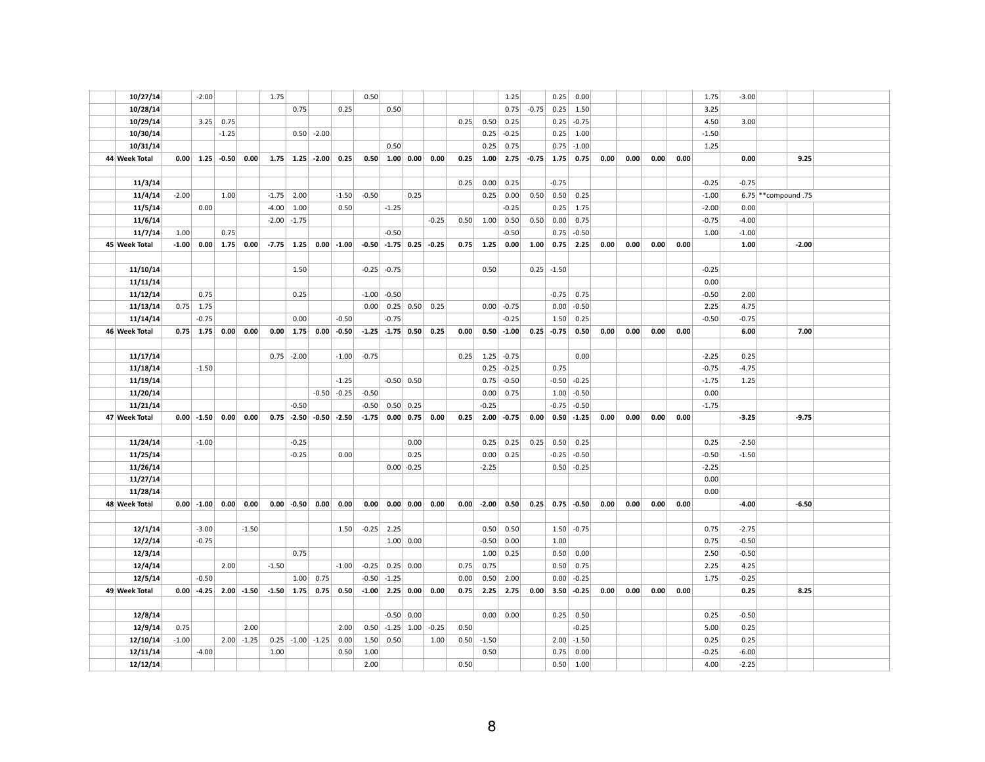| 10/27/14             |         | $-2.00$                     |         |               | 1.75    |                 |                    |                          | 0.50    |                              |              |                                                   |      |                 | 1.25         |               | 0.25          | 0.00            |      |      |      |      | 1.75            | $-3.00$         |                      |  |
|----------------------|---------|-----------------------------|---------|---------------|---------|-----------------|--------------------|--------------------------|---------|------------------------------|--------------|---------------------------------------------------|------|-----------------|--------------|---------------|---------------|-----------------|------|------|------|------|-----------------|-----------------|----------------------|--|
| 10/28/14             |         |                             |         |               |         | 0.75            |                    | 0.25                     |         | 0.50                         |              |                                                   |      |                 | 0.75         | $-0.75$       | 0.25          | 1.50            |      |      |      |      | 3.25            |                 |                      |  |
| 10/29/14             |         | 3.25                        | 0.75    |               |         |                 |                    |                          |         |                              |              |                                                   | 0.25 | 0.50            | 0.25         |               | 0.25          | $-0.75$         |      |      |      |      | 4.50            | 3.00            |                      |  |
| 10/30/14             |         |                             | $-1.25$ |               |         |                 | $0.50$ -2.00       |                          |         |                              |              |                                                   |      | 0.25            | $-0.25$      |               | 0.25          | 1.00            |      |      |      |      | $-1.50$         |                 |                      |  |
| 10/31/14             |         |                             |         |               |         |                 |                    |                          |         | 0.50                         |              |                                                   |      | 0.25            | 0.75         |               | 0.75          | $-1.00$         |      |      |      |      | 1.25            |                 |                      |  |
| 44 Week Total        |         | $0.00 \,   \, 1.25 \,   \,$ | $-0.50$ | 0.00          |         |                 | $1.75$ 1.25 -2.00  | 0.25                     |         | $0.50$ 1.00 0.00             |              | 0.00                                              | 0.25 | 1.00            |              | $2.75 - 0.75$ | 1.75          | 0.75            | 0.00 | 0.00 | 0.00 | 0.00 |                 | 0.00            | 9.25                 |  |
|                      |         |                             |         |               |         |                 |                    |                          |         |                              |              |                                                   |      |                 |              |               |               |                 |      |      |      |      |                 |                 |                      |  |
| 11/3/14              |         |                             |         |               |         |                 |                    |                          |         |                              |              |                                                   | 0.25 | 0.00            | 0.25         |               | $-0.75$       |                 |      |      |      |      | $-0.25$         | $-0.75$         |                      |  |
| 11/4/14              | $-2.00$ |                             | 1.00    |               | $-1.75$ | 2.00            |                    | $-1.50$                  | $-0.50$ |                              | 0.25         |                                                   |      | 0.25            | 0.00         | 0.50          | 0.50          | 0.25            |      |      |      |      | $-1.00$         |                 | 6.75 ** compound .75 |  |
| 11/5/14              |         | 0.00                        |         |               | $-4.00$ | 1.00            |                    | 0.50                     |         | $-1.25$                      |              |                                                   |      |                 | $-0.25$      |               | 0.25          | 1.75            |      |      |      |      | $-2.00$         | 0.00            |                      |  |
| 11/6/14              |         |                             |         |               |         | $-2.00$ $-1.75$ |                    |                          |         |                              |              | $-0.25$                                           | 0.50 | 1.00            | 0.50         | 0.50          | 0.00          | 0.75            |      |      |      |      | $-0.75$         | $-4.00$         |                      |  |
| 11/7/14              | 1.00    |                             | 0.75    |               |         |                 |                    |                          |         | $-0.50$                      |              |                                                   |      |                 | $-0.50$      |               | 0.75          | $-0.50$         |      |      |      |      | 1.00            | $-1.00$         |                      |  |
| 45 Week Total        |         | $-1.00$ 0.00 1.75           |         | 0.00          |         |                 |                    | $-7.75$ 1.25 0.00 -1.00  |         | $-0.50$ $-1.75$ 0.25 $-0.25$ |              |                                                   | 0.75 | 1.25            | 0.00         | 1.00          | 0.75          | 2.25            | 0.00 | 0.00 | 0.00 | 0.00 |                 | 1.00            | $-2.00$              |  |
|                      |         |                             |         |               |         |                 |                    |                          |         |                              |              |                                                   |      |                 |              |               |               |                 |      |      |      |      |                 |                 |                      |  |
| 11/10/14             |         |                             |         |               |         | 1.50            |                    |                          |         | $-0.25$ $-0.75$              |              |                                                   |      | 0.50            |              |               | $0.25$ -1.50  |                 |      |      |      |      | $-0.25$         |                 |                      |  |
| 11/11/14             |         |                             |         |               |         |                 |                    |                          |         |                              |              |                                                   |      |                 |              |               |               |                 |      |      |      |      | 0.00            |                 |                      |  |
| 11/12/14             |         | 0.75                        |         |               |         | 0.25            |                    |                          | $-1.00$ | $-0.50$                      |              |                                                   |      |                 |              |               | $-0.75$       | 0.75            |      |      |      |      | $-0.50$         | 2.00            |                      |  |
| 11/13/14             | 0.75    | 1.75                        |         |               |         |                 |                    |                          | 0.00    |                              |              | $0.25$ 0.50 0.25                                  |      |                 | $0.00$ -0.75 |               | 0.00          | $-0.50$         |      |      |      |      | 2.25            | 4.75            |                      |  |
| 11/14/14             |         | $-0.75$                     |         |               |         | 0.00            |                    | $-0.50$                  |         | $-0.75$                      |              |                                                   |      |                 | $-0.25$      |               | 1.50          | 0.25            |      |      |      |      | $-0.50$         | $-0.75$         |                      |  |
| 46 Week Total        |         | $0.75$ 1.75                 | 0.00    | 0.00          |         |                 |                    | $0.00$ 1.75 $0.00$ -0.50 |         | $-1.25$ $-1.75$ 0.50         |              | 0.25                                              | 0.00 |                 | $0.50$ -1.00 |               | $0.25 - 0.75$ | 0.50            | 0.00 | 0.00 | 0.00 | 0.00 |                 | 6.00            | 7.00                 |  |
|                      |         |                             |         |               |         |                 |                    |                          |         |                              |              |                                                   |      |                 |              |               |               |                 |      |      |      |      |                 |                 |                      |  |
| 11/17/14             |         |                             |         |               |         | $0.75$ -2.00    |                    | $-1.00$                  | $-0.75$ |                              |              |                                                   | 0.25 | 1.25            | $-0.75$      |               |               | 0.00            |      |      |      |      | $-2.25$         | 0.25            |                      |  |
| 11/18/14             |         | $-1.50$                     |         |               |         |                 |                    |                          |         |                              |              |                                                   |      | 0.25            | $-0.25$      |               | 0.75          |                 |      |      |      |      | $-0.75$         | $-4.75$         |                      |  |
| 11/19/14             |         |                             |         |               |         |                 |                    | $-1.25$                  |         |                              | $-0.50$ 0.50 |                                                   |      | 0.75            | $-0.50$      |               | $-0.50$       | $-0.25$         |      |      |      |      | $-1.75$         | 1.25            |                      |  |
| 11/20/14             |         |                             |         |               |         |                 |                    | $-0.50$ $-0.25$          | $-0.50$ |                              |              |                                                   |      | 0.00            | 0.75         |               | 1.00          | $-0.50$         |      |      |      |      | 0.00            |                 |                      |  |
| 11/21/14             |         |                             |         |               |         | $-0.50$         |                    |                          | $-0.50$ |                              | $0.50$ 0.25  |                                                   |      | $-0.25$         |              |               | $-0.75$       | $-0.50$         |      |      |      |      | $-1.75$         |                 |                      |  |
| 47 Week Total        |         | $0.00$ -1.50                | 0.00    | 0.00          |         |                 |                    | $0.75$ -2.50 -0.50 -2.50 | $-1.75$ |                              |              | $0.00 \mid 0.75 \mid 0.00 \mid$                   | 0.25 |                 | $2.00$ -0.75 | 0.00          |               | $0.50 - 1.25$   | 0.00 | 0.00 | 0.00 | 0.00 |                 | $-3.25$         | $-9.75$              |  |
|                      |         |                             |         |               |         |                 |                    |                          |         |                              |              |                                                   |      |                 |              |               |               |                 |      |      |      |      |                 |                 |                      |  |
| 11/24/14             |         | $-1.00$                     |         |               |         | $-0.25$         |                    |                          |         |                              | 0.00         |                                                   |      | 0.25            | 0.25         | 0.25          | 0.50          | 0.25            |      |      |      |      | 0.25            | $-2.50$         |                      |  |
| 11/25/14             |         |                             |         |               |         | $-0.25$         |                    | 0.00                     |         |                              | 0.25         |                                                   |      | 0.00            | 0.25         |               | $-0.25$       | $-0.50$         |      |      |      |      | $-0.50$         | $-1.50$         |                      |  |
| 11/26/14             |         |                             |         |               |         |                 |                    |                          |         |                              | $0.00$ -0.25 |                                                   |      | $-2.25$         |              |               | 0.50          | $-0.25$         |      |      |      |      | $-2.25$         |                 |                      |  |
| 11/27/14             |         |                             |         |               |         |                 |                    |                          |         |                              |              |                                                   |      |                 |              |               |               |                 |      |      |      |      | 0.00            |                 |                      |  |
| 11/28/14             |         |                             |         |               |         |                 |                    |                          |         |                              |              |                                                   |      |                 |              |               |               |                 |      |      |      |      | 0.00            |                 |                      |  |
| 48 Week Total        |         | $0.00$ -1.00                | 0.00    | 0.00          |         |                 | $0.00$ -0.50 0.00  | 0.00                     | 0.00    |                              |              | $0.00 \begin{array}{ c c } 0.00 \end{array}$ 0.00 | 0.00 | $-2.00$         | 0.50         | 0.25          |               | $0.75 - 0.50$   | 0.00 | 0.00 | 0.00 | 0.00 |                 | $-4.00$         | $-6.50$              |  |
|                      |         |                             |         |               |         |                 |                    |                          |         |                              |              |                                                   |      |                 |              |               |               |                 |      |      |      |      |                 |                 |                      |  |
| 12/1/14              |         | $-3.00$                     |         | $-1.50$       |         |                 |                    | 1.50                     |         | $-0.25$ 2.25                 |              |                                                   |      | 0.50            | 0.50         |               | 1.50          | $-0.75$         |      |      |      |      | 0.75            | $-2.75$         |                      |  |
| 12/2/14              |         | $-0.75$                     |         |               |         |                 |                    |                          |         |                              | 1.00   0.00  |                                                   |      | $-0.50$         | 0.00         |               | 1.00          |                 |      |      |      |      | 0.75            | $-0.50$         |                      |  |
| 12/3/14              |         |                             |         |               |         | 0.75            |                    |                          |         |                              |              |                                                   |      | 1.00            | 0.25         |               | 0.50          | 0.00            |      |      |      |      | 2.50            | $-0.50$         |                      |  |
| 12/4/14              |         |                             | 2.00    |               | $-1.50$ |                 |                    | $-1.00$                  | $-0.25$ |                              | $0.25$ 0.00  |                                                   | 0.75 | 0.75            |              |               | 0.50          | 0.75            |      |      |      |      | 2.25            | 4.25            |                      |  |
| 12/5/14              |         | $-0.50$                     |         |               |         |                 | 1.00   0.75        |                          |         | $-0.50$ $-1.25$              |              |                                                   | 0.00 | 0.50            | 2.00         |               | 0.00          | $-0.25$         |      |      |      |      | 1.75            | $-0.25$         |                      |  |
| 49 Week Total        |         | $0.00$ -4.25                |         | $2.00 - 1.50$ |         |                 |                    | $-1.50$ 1.75 0.75 0.50   |         | $-1.00$ 2.25 0.00 0.00       |              |                                                   | 0.75 | 2.25            | 2.75         | 0.00          | 3.50          | $-0.25$         | 0.00 | 0.00 | 0.00 | 0.00 |                 | 0.25            | 8.25                 |  |
|                      |         |                             |         |               |         |                 |                    |                          |         |                              |              |                                                   |      |                 |              |               |               |                 |      |      |      |      |                 |                 |                      |  |
|                      |         |                             |         |               |         |                 |                    |                          |         |                              |              |                                                   |      |                 |              |               |               |                 |      |      |      |      |                 |                 |                      |  |
|                      |         |                             |         |               |         |                 |                    |                          |         |                              |              |                                                   |      |                 |              |               |               |                 |      |      |      |      |                 |                 |                      |  |
| 12/8/14              |         |                             |         |               |         |                 |                    |                          |         |                              | $-0.50$ 0.00 |                                                   |      | 0.00            | 0.00         |               | 0.25          | 0.50            |      |      |      |      | 0.25            | $-0.50$         |                      |  |
| 12/9/14              | 0.75    |                             |         | 2.00          |         |                 |                    | 2.00                     |         | $0.50$ -1.25 1.00 -0.25      |              |                                                   | 0.50 |                 |              |               |               | $-0.25$         |      |      |      |      | 5.00            | 0.25            |                      |  |
| 12/10/14<br>12/11/14 | $-1.00$ | $-4.00$                     | 2.00    | $-1.25$       | 1.00    |                 | $0.25$ -1.00 -1.25 | 0.00<br>0.50             | 1.00    | $1.50 \mid 0.50$             |              | 1.00                                              | 0.50 | $-1.50$<br>0.50 |              |               | 2.00<br>0.75  | $-1.50$<br>0.00 |      |      |      |      | 0.25<br>$-0.25$ | 0.25<br>$-6.00$ |                      |  |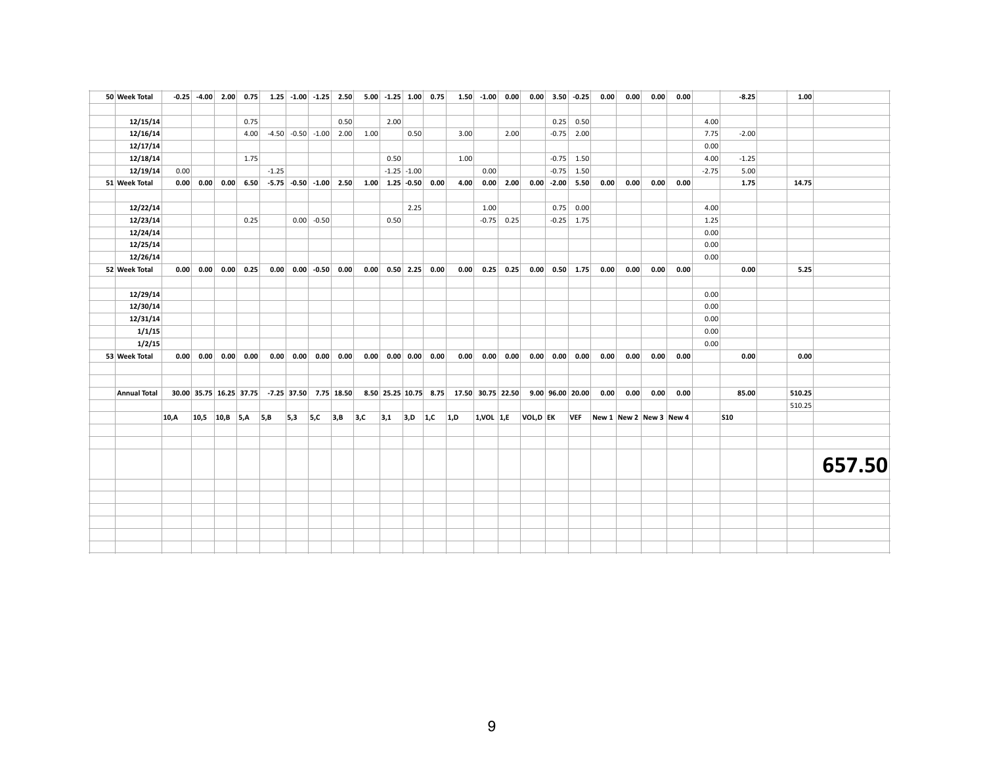| 50 Week Total       |      |                | $-0.25$ $-4.00$ 2.00 0.75 |      |         |     |              | $1.25$ -1.00 -1.25 2.50      |      | $5.00$ -1.25 1.00 0.75       |                 |     |                                         | $1.50$ -1.00 0.00 |                       |          | $0.00$ 3.50 -0.25                       |              | 0.00 | 0.00                    | 0.00 | 0.00 |         | $-8.25$    | 1.00   |        |
|---------------------|------|----------------|---------------------------|------|---------|-----|--------------|------------------------------|------|------------------------------|-----------------|-----|-----------------------------------------|-------------------|-----------------------|----------|-----------------------------------------|--------------|------|-------------------------|------|------|---------|------------|--------|--------|
|                     |      |                |                           |      |         |     |              |                              |      |                              |                 |     |                                         |                   |                       |          |                                         |              |      |                         |      |      |         |            |        |        |
| 12/15/14            |      |                |                           | 0.75 |         |     |              | 0.50                         |      | 2.00                         |                 |     |                                         |                   |                       |          |                                         | $0.25$ 0.50  |      |                         |      |      | 4.00    |            |        |        |
| 12/16/14            |      |                |                           | 4.00 |         |     |              | $-4.50$ $-0.50$ $-1.00$ 2.00 | 1.00 |                              | 0.50            |     | 3.00                                    |                   | 2.00                  |          |                                         | $-0.75$ 2.00 |      |                         |      |      | 7.75    | $-2.00$    |        |        |
| 12/17/14            |      |                |                           |      |         |     |              |                              |      |                              |                 |     |                                         |                   |                       |          |                                         |              |      |                         |      |      | 0.00    |            |        |        |
| 12/18/14            |      |                |                           | 1.75 |         |     |              |                              |      | 0.50                         |                 |     | 1.00                                    |                   |                       |          |                                         | $-0.75$ 1.50 |      |                         |      |      | 4.00    | $-1.25$    |        |        |
| 12/19/14            | 0.00 |                |                           |      | $-1.25$ |     |              |                              |      |                              | $-1.25$ $-1.00$ |     |                                         | 0.00              |                       |          |                                         | $-0.75$ 1.50 |      |                         |      |      | $-2.75$ | 5.00       |        |        |
| 51 Week Total       |      | $0.00 \, 0.00$ | 0.00                      | 6.50 |         |     |              | $-5.75$ $-0.50$ $-1.00$ 2.50 |      | $1.00$ $1.25$ $-0.50$ $0.00$ |                 |     | 4.00                                    |                   | $0.00$ 2.00           |          | $0.00$ -2.00 5.50                       |              | 0.00 | 0.00                    | 0.00 | 0.00 |         | 1.75       | 14.75  |        |
|                     |      |                |                           |      |         |     |              |                              |      |                              |                 |     |                                         |                   |                       |          |                                         |              |      |                         |      |      |         |            |        |        |
| 12/22/14            |      |                |                           |      |         |     |              |                              |      |                              | 2.25            |     |                                         | 1.00              |                       |          |                                         | $0.75$ 0.00  |      |                         |      |      | 4.00    |            |        |        |
| 12/23/14            |      |                |                           | 0.25 |         |     | $0.00$ -0.50 |                              |      | 0.50                         |                 |     |                                         |                   | $-0.75$ 0.25          |          |                                         | $-0.25$ 1.75 |      |                         |      |      | 1.25    |            |        |        |
| 12/24/14            |      |                |                           |      |         |     |              |                              |      |                              |                 |     |                                         |                   |                       |          |                                         |              |      |                         |      |      | 0.00    |            |        |        |
| 12/25/14            |      |                |                           |      |         |     |              |                              |      |                              |                 |     |                                         |                   |                       |          |                                         |              |      |                         |      |      | 0.00    |            |        |        |
| 12/26/14            |      |                |                           |      |         |     |              |                              |      |                              |                 |     |                                         |                   |                       |          |                                         |              |      |                         |      |      | 0.00    |            |        |        |
| 52 Week Total       |      | 0.00   0.00    | 0.00                      | 0.25 |         |     |              | $0.00$ 0.00 -0.50 0.00       |      | $0.00$ 0.50 2.25 0.00        |                 |     | 0.00                                    |                   | $0.25$ 0.25           |          | $0.00$ 0.50 1.75                        |              | 0.00 | 0.00                    | 0.00 | 0.00 |         | 0.00       | 5.25   |        |
|                     |      |                |                           |      |         |     |              |                              |      |                              |                 |     |                                         |                   |                       |          |                                         |              |      |                         |      |      |         |            |        |        |
| 12/29/14            |      |                |                           |      |         |     |              |                              |      |                              |                 |     |                                         |                   |                       |          |                                         |              |      |                         |      |      | 0.00    |            |        |        |
| 12/30/14            |      |                |                           |      |         |     |              |                              |      |                              |                 |     |                                         |                   |                       |          |                                         |              |      |                         |      |      | 0.00    |            |        |        |
| 12/31/14            |      |                |                           |      |         |     |              |                              |      |                              |                 |     |                                         |                   |                       |          |                                         |              |      |                         |      |      | 0.00    |            |        |        |
| 1/1/15              |      |                |                           |      |         |     |              |                              |      |                              |                 |     |                                         |                   |                       |          |                                         |              |      |                         |      |      | 0.00    |            |        |        |
| 1/2/15              |      |                |                           |      |         |     |              |                              |      |                              |                 |     |                                         |                   |                       |          |                                         |              |      |                         |      |      | 0.00    |            |        |        |
| 53 Week Total       |      | 0.00   0.00    | 0.00                      | 0.00 |         |     |              | $0.00$ $0.00$ $0.00$ $0.00$  |      | $0.00$ $0.00$ $0.00$ $0.00$  |                 |     | 0.00                                    |                   | $0.00 \,   \, 0.00  $ |          | $0.00$ $0.00$ $0.00$                    |              | 0.00 | 0.00                    | 0.00 | 0.00 |         | 0.00       | 0.00   |        |
|                     |      |                |                           |      |         |     |              |                              |      |                              |                 |     |                                         |                   |                       |          |                                         |              |      |                         |      |      |         |            |        |        |
|                     |      |                |                           |      |         |     |              |                              |      |                              |                 |     |                                         |                   |                       |          |                                         |              |      |                         |      |      |         |            |        |        |
| <b>Annual Total</b> |      |                | 30.00 35.75 16.25 37.75   |      |         |     |              | $-7.25$ 37.50 7.75 18.50     |      |                              |                 |     | 8.50 25.25 10.75 8.75 17.50 30.75 22.50 |                   |                       |          | $9.00 \,   \, 96.00 \,   \, 20.00 \,  $ |              | 0.00 | 0.00                    | 0.00 | 0.00 |         | 85.00      | 510.25 |        |
|                     |      |                |                           |      |         |     |              |                              |      |                              |                 |     |                                         |                   |                       |          |                                         |              |      |                         |      |      |         |            | 510.25 |        |
|                     | 10.A | 10,5           | $10,B$ 5,A                |      | 5,B     | 5,3 | 5,C          | 3,B                          | 3,C  | 3,1                          | 3,D             | 1,C | 1,D                                     | $1,$ VOL $1,$ E   |                       | VOL,D EK |                                         | <b>VEF</b>   |      | New 1 New 2 New 3 New 4 |      |      |         | <b>S10</b> |        |        |
|                     |      |                |                           |      |         |     |              |                              |      |                              |                 |     |                                         |                   |                       |          |                                         |              |      |                         |      |      |         |            |        |        |
|                     |      |                |                           |      |         |     |              |                              |      |                              |                 |     |                                         |                   |                       |          |                                         |              |      |                         |      |      |         |            |        |        |
|                     |      |                |                           |      |         |     |              |                              |      |                              |                 |     |                                         |                   |                       |          |                                         |              |      |                         |      |      |         |            |        |        |
|                     |      |                |                           |      |         |     |              |                              |      |                              |                 |     |                                         |                   |                       |          |                                         |              |      |                         |      |      |         |            |        | 657.50 |
|                     |      |                |                           |      |         |     |              |                              |      |                              |                 |     |                                         |                   |                       |          |                                         |              |      |                         |      |      |         |            |        |        |
|                     |      |                |                           |      |         |     |              |                              |      |                              |                 |     |                                         |                   |                       |          |                                         |              |      |                         |      |      |         |            |        |        |
|                     |      |                |                           |      |         |     |              |                              |      |                              |                 |     |                                         |                   |                       |          |                                         |              |      |                         |      |      |         |            |        |        |
|                     |      |                |                           |      |         |     |              |                              |      |                              |                 |     |                                         |                   |                       |          |                                         |              |      |                         |      |      |         |            |        |        |
|                     |      |                |                           |      |         |     |              |                              |      |                              |                 |     |                                         |                   |                       |          |                                         |              |      |                         |      |      |         |            |        |        |
|                     |      |                |                           |      |         |     |              |                              |      |                              |                 |     |                                         |                   |                       |          |                                         |              |      |                         |      |      |         |            |        |        |
|                     |      |                |                           |      |         |     |              |                              |      |                              |                 |     |                                         |                   |                       |          |                                         |              |      |                         |      |      |         |            |        |        |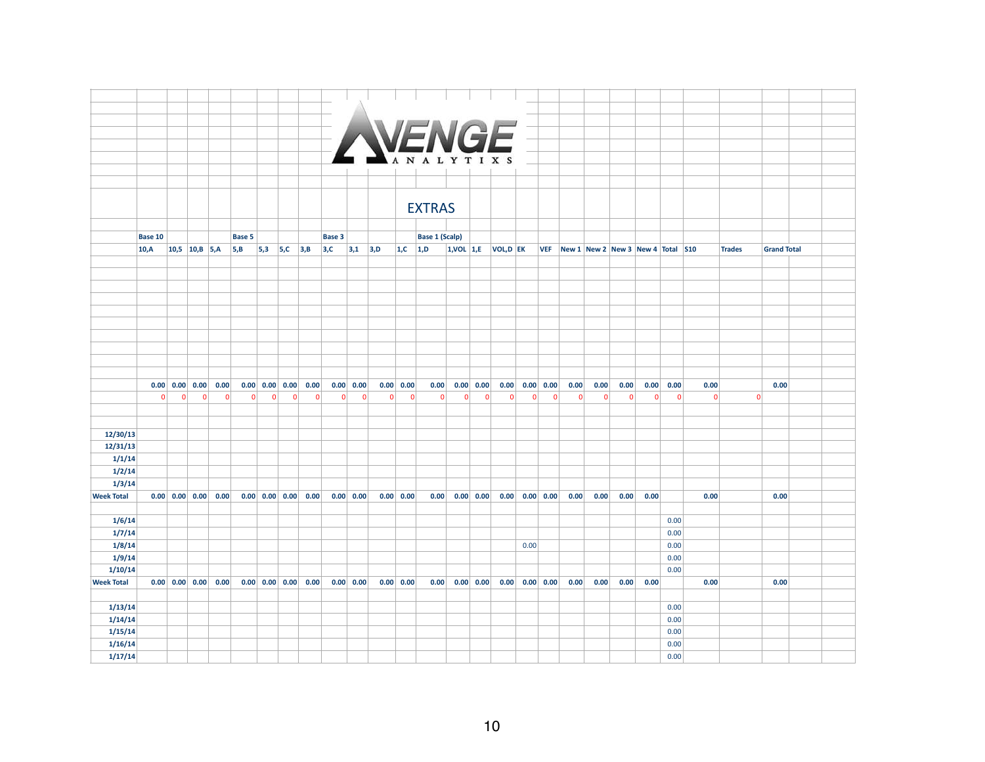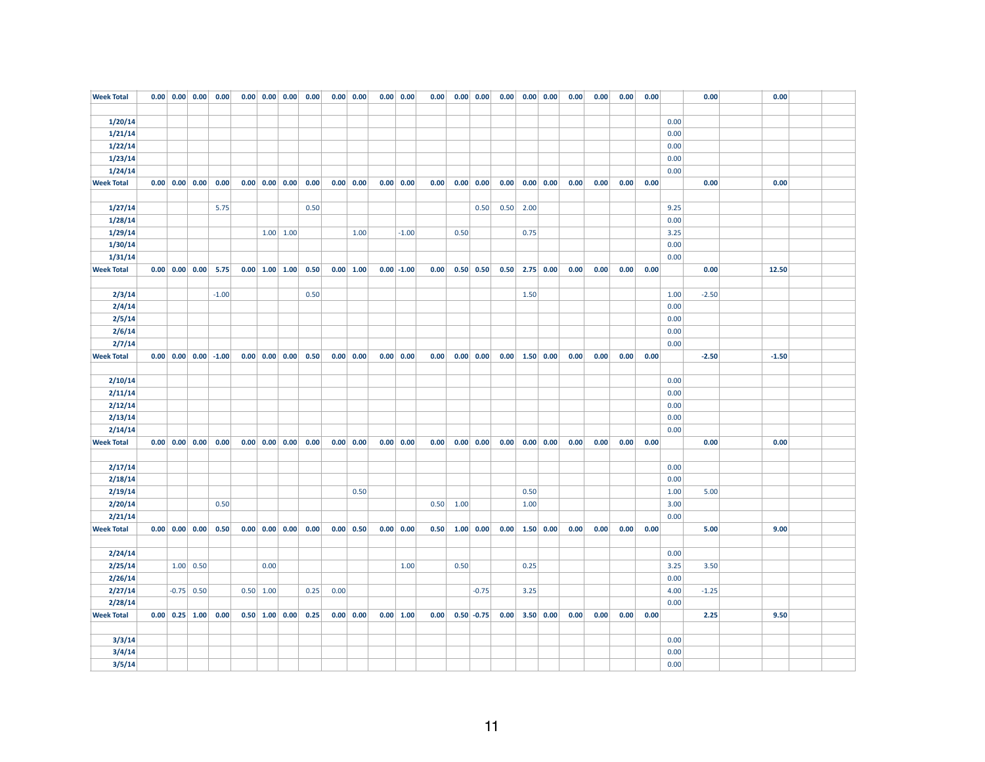| 1/20/14<br>0.00<br>1/21/14<br>0.00<br>1/22/14<br>0.00<br>1/23/14<br>0.00<br>1/24/14<br>0.00<br>$0.00$ $0.00$ $0.00$<br>0.00<br>0.00<br><b>Week Total</b><br>$0.00 \begin{array}{ c c c } 0.00 & 0.00 \end{array}$<br>0.00<br>$0.00 \begin{array}{ c c c } 0.00 & 0.00 \end{array}$<br>0.00<br>$0.00 \,   \, 0.00$<br>0.00 0.00<br>0.00<br>$0.00 \, 0.00$<br>0.00<br>0.00<br>0.00<br>0.00<br>1/27/14<br>5.75<br>0.50<br>0.50<br>$0.50$ 2.00<br>9.25<br>1/28/14<br>0.00<br>1/29/14<br>$1.00 \mid 1.00$<br>$-1.00$<br>0.75<br>3.25<br>1.00<br>0.50<br>1/30/14<br>0.00<br>1/31/14<br>0.00<br><b>Week Total</b><br>$0.00 \begin{array}{ c c c } 0.00 & 0.00 & 5.75 \end{array}$<br>$0.00$ 1.00 1.00<br>$0.50 \, 0.50$<br>$2.75$ 0.00<br>0.00<br>12.50<br>0.50<br>0.00   1.00<br>$0.00$ -1.00<br>0.00<br>0.50<br>0.00<br>0.00<br>0.00<br>0.00<br>2/3/14<br>$-1.00$<br>0.50<br>1.50<br>$-2.50$<br>1.00 |  |
|-------------------------------------------------------------------------------------------------------------------------------------------------------------------------------------------------------------------------------------------------------------------------------------------------------------------------------------------------------------------------------------------------------------------------------------------------------------------------------------------------------------------------------------------------------------------------------------------------------------------------------------------------------------------------------------------------------------------------------------------------------------------------------------------------------------------------------------------------------------------------------------------------|--|
|                                                                                                                                                                                                                                                                                                                                                                                                                                                                                                                                                                                                                                                                                                                                                                                                                                                                                                 |  |
|                                                                                                                                                                                                                                                                                                                                                                                                                                                                                                                                                                                                                                                                                                                                                                                                                                                                                                 |  |
|                                                                                                                                                                                                                                                                                                                                                                                                                                                                                                                                                                                                                                                                                                                                                                                                                                                                                                 |  |
|                                                                                                                                                                                                                                                                                                                                                                                                                                                                                                                                                                                                                                                                                                                                                                                                                                                                                                 |  |
|                                                                                                                                                                                                                                                                                                                                                                                                                                                                                                                                                                                                                                                                                                                                                                                                                                                                                                 |  |
|                                                                                                                                                                                                                                                                                                                                                                                                                                                                                                                                                                                                                                                                                                                                                                                                                                                                                                 |  |
|                                                                                                                                                                                                                                                                                                                                                                                                                                                                                                                                                                                                                                                                                                                                                                                                                                                                                                 |  |
|                                                                                                                                                                                                                                                                                                                                                                                                                                                                                                                                                                                                                                                                                                                                                                                                                                                                                                 |  |
|                                                                                                                                                                                                                                                                                                                                                                                                                                                                                                                                                                                                                                                                                                                                                                                                                                                                                                 |  |
|                                                                                                                                                                                                                                                                                                                                                                                                                                                                                                                                                                                                                                                                                                                                                                                                                                                                                                 |  |
|                                                                                                                                                                                                                                                                                                                                                                                                                                                                                                                                                                                                                                                                                                                                                                                                                                                                                                 |  |
|                                                                                                                                                                                                                                                                                                                                                                                                                                                                                                                                                                                                                                                                                                                                                                                                                                                                                                 |  |
|                                                                                                                                                                                                                                                                                                                                                                                                                                                                                                                                                                                                                                                                                                                                                                                                                                                                                                 |  |
|                                                                                                                                                                                                                                                                                                                                                                                                                                                                                                                                                                                                                                                                                                                                                                                                                                                                                                 |  |
|                                                                                                                                                                                                                                                                                                                                                                                                                                                                                                                                                                                                                                                                                                                                                                                                                                                                                                 |  |
|                                                                                                                                                                                                                                                                                                                                                                                                                                                                                                                                                                                                                                                                                                                                                                                                                                                                                                 |  |
| 2/4/14<br>0.00                                                                                                                                                                                                                                                                                                                                                                                                                                                                                                                                                                                                                                                                                                                                                                                                                                                                                  |  |
| 2/5/14<br>0.00                                                                                                                                                                                                                                                                                                                                                                                                                                                                                                                                                                                                                                                                                                                                                                                                                                                                                  |  |
| 2/6/14<br>0.00                                                                                                                                                                                                                                                                                                                                                                                                                                                                                                                                                                                                                                                                                                                                                                                                                                                                                  |  |
| 2/7/14<br>0.00                                                                                                                                                                                                                                                                                                                                                                                                                                                                                                                                                                                                                                                                                                                                                                                                                                                                                  |  |
| $0.00 \begin{array}{ c c } 0.00 & 0.00 \end{array}$<br>0.00   0.00<br>0.00<br>$-2.50$<br>$-1.50$<br><b>Week Total</b><br>$0.00 \begin{array}{ c c c } 0.00 & 0.00 & -1.00 \end{array}$<br>0.50<br>$0.00 \,   \, 0.00 \,   \,$<br>0.00<br>$0.00 \,   \, 0.00  $<br>$0.00$ 1.50 0.00<br>0.00<br>0.00<br>0.00                                                                                                                                                                                                                                                                                                                                                                                                                                                                                                                                                                                      |  |
|                                                                                                                                                                                                                                                                                                                                                                                                                                                                                                                                                                                                                                                                                                                                                                                                                                                                                                 |  |
| 2/10/14<br>0.00                                                                                                                                                                                                                                                                                                                                                                                                                                                                                                                                                                                                                                                                                                                                                                                                                                                                                 |  |
| 2/11/14<br>0.00                                                                                                                                                                                                                                                                                                                                                                                                                                                                                                                                                                                                                                                                                                                                                                                                                                                                                 |  |
| 2/12/14<br>0.00                                                                                                                                                                                                                                                                                                                                                                                                                                                                                                                                                                                                                                                                                                                                                                                                                                                                                 |  |
| 2/13/14<br>0.00                                                                                                                                                                                                                                                                                                                                                                                                                                                                                                                                                                                                                                                                                                                                                                                                                                                                                 |  |
| 2/14/14<br>0.00                                                                                                                                                                                                                                                                                                                                                                                                                                                                                                                                                                                                                                                                                                                                                                                                                                                                                 |  |
| <b>Week Total</b><br>$0.00 \begin{array}{ c c c } 0.00 & 0.00 & 0.00 \end{array}$<br>$0.00 \begin{array}{ c c } 0.00 \end{array}$ 0.00<br>0.00<br>$0.00 \,   \, 0.00$<br>0.00 0.00<br>0.00<br>$0.00 \, 0.00$<br>$0.00$ $0.00$ $0.00$<br>0.00<br>0.00<br>0.00<br>0.00<br>0.00<br>0.00                                                                                                                                                                                                                                                                                                                                                                                                                                                                                                                                                                                                            |  |
|                                                                                                                                                                                                                                                                                                                                                                                                                                                                                                                                                                                                                                                                                                                                                                                                                                                                                                 |  |
| 2/17/14<br>0.00                                                                                                                                                                                                                                                                                                                                                                                                                                                                                                                                                                                                                                                                                                                                                                                                                                                                                 |  |
| 2/18/14<br>0.00                                                                                                                                                                                                                                                                                                                                                                                                                                                                                                                                                                                                                                                                                                                                                                                                                                                                                 |  |
| 2/19/14<br>0.50<br>0.50<br>1.00<br>5.00                                                                                                                                                                                                                                                                                                                                                                                                                                                                                                                                                                                                                                                                                                                                                                                                                                                         |  |
| 2/20/14<br>0.50<br>0.50<br>1.00<br>1.00<br>3.00                                                                                                                                                                                                                                                                                                                                                                                                                                                                                                                                                                                                                                                                                                                                                                                                                                                 |  |
| 2/21/14<br>0.00                                                                                                                                                                                                                                                                                                                                                                                                                                                                                                                                                                                                                                                                                                                                                                                                                                                                                 |  |
| <b>Week Total</b><br>$0.00$ $0.00$ $0.00$ $0.50$<br>$0.00 \begin{array}{ c c } 0.00 & 0.00 \end{array}$<br>0.00<br>0.00 0.00<br>$0.00$ 1.50 0.00<br>0.00<br>9.00<br>$0.00 \,   \, 0.50$<br>0.50<br>$1.00 \, 0.00$<br>0.00<br>0.00<br>0.00<br>5.00                                                                                                                                                                                                                                                                                                                                                                                                                                                                                                                                                                                                                                               |  |
|                                                                                                                                                                                                                                                                                                                                                                                                                                                                                                                                                                                                                                                                                                                                                                                                                                                                                                 |  |
| 2/24/14<br>0.00                                                                                                                                                                                                                                                                                                                                                                                                                                                                                                                                                                                                                                                                                                                                                                                                                                                                                 |  |
| 2/25/14<br>1.00   0.50<br>0.00<br>1.00<br>0.50<br>0.25<br>3.25<br>3.50                                                                                                                                                                                                                                                                                                                                                                                                                                                                                                                                                                                                                                                                                                                                                                                                                          |  |
| 2/26/14<br>0.00                                                                                                                                                                                                                                                                                                                                                                                                                                                                                                                                                                                                                                                                                                                                                                                                                                                                                 |  |
| 2/27/14<br>$-0.75$ 0.50<br>$0.50$ 1.00<br>0.00<br>3.25<br>4.00<br>$-1.25$<br>0.25<br>$-0.75$                                                                                                                                                                                                                                                                                                                                                                                                                                                                                                                                                                                                                                                                                                                                                                                                    |  |
| 2/28/14<br>0.00                                                                                                                                                                                                                                                                                                                                                                                                                                                                                                                                                                                                                                                                                                                                                                                                                                                                                 |  |
| <b>Week Total</b><br>$0.00$ 1.00<br>9.50<br>$0.00 \begin{array}{ c c c } 0.25 & 1.00 \end{array}$<br>0.00<br>$0.50$ 1.00 0.00<br>0.25<br>$0.00 \,   \, 0.00 \,   \,$<br>0.00<br>$0.50 - 0.75$<br>$0.00$ 3.50 0.00<br>0.00<br>0.00<br>0.00<br>0.00<br>2.25                                                                                                                                                                                                                                                                                                                                                                                                                                                                                                                                                                                                                                       |  |
|                                                                                                                                                                                                                                                                                                                                                                                                                                                                                                                                                                                                                                                                                                                                                                                                                                                                                                 |  |
| 3/3/14<br>0.00                                                                                                                                                                                                                                                                                                                                                                                                                                                                                                                                                                                                                                                                                                                                                                                                                                                                                  |  |
| 3/4/14<br>0.00                                                                                                                                                                                                                                                                                                                                                                                                                                                                                                                                                                                                                                                                                                                                                                                                                                                                                  |  |
| 3/5/14<br>0.00                                                                                                                                                                                                                                                                                                                                                                                                                                                                                                                                                                                                                                                                                                                                                                                                                                                                                  |  |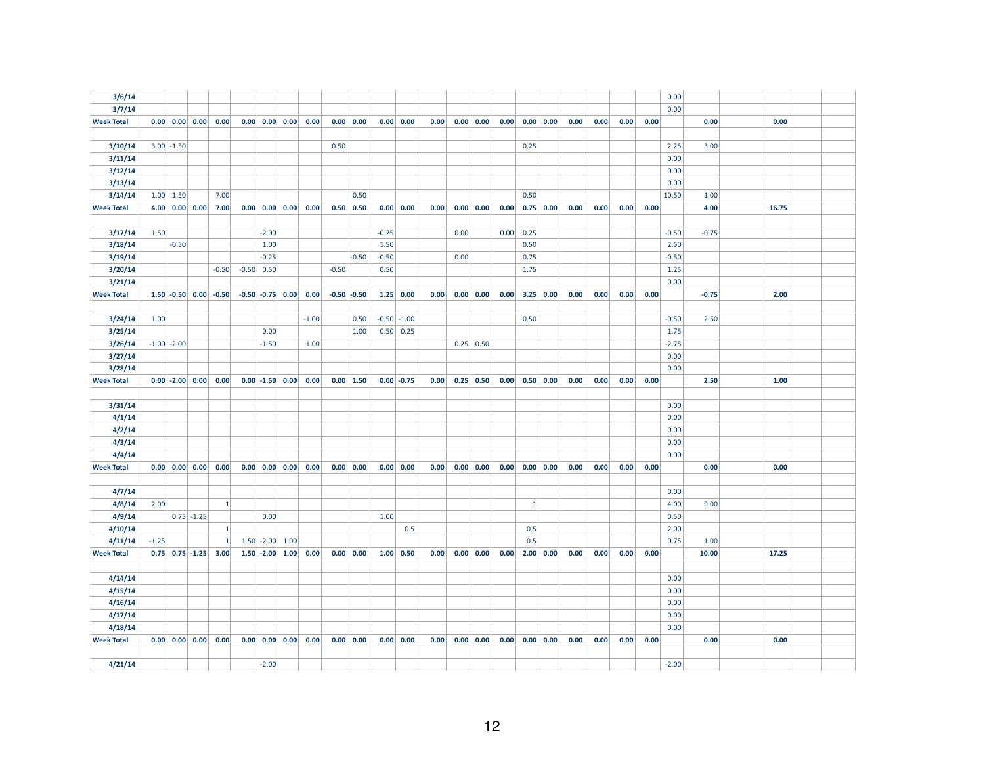| 3/6/14            |                 |                       |                                                       |                                                              |                                                       |                                                              |         |                     |         |                 |      |      |                       |      |              |                                                     |      |      |      |      | 0.00    |         |       |  |
|-------------------|-----------------|-----------------------|-------------------------------------------------------|--------------------------------------------------------------|-------------------------------------------------------|--------------------------------------------------------------|---------|---------------------|---------|-----------------|------|------|-----------------------|------|--------------|-----------------------------------------------------|------|------|------|------|---------|---------|-------|--|
| 3/7/14            |                 |                       |                                                       |                                                              |                                                       |                                                              |         |                     |         |                 |      |      |                       |      |              |                                                     |      |      |      |      | 0.00    |         |       |  |
| <b>Week Total</b> |                 |                       |                                                       | $0.00 \begin{array}{ c c c } 0.00 & 0.00 & 0.00 \end{array}$ |                                                       | $0.00 \begin{array}{ c c c } 0.00 & 0.00 & 0.00 \end{array}$ |         | $0.00 \,   \, 0.00$ |         | 0.00   0.00     | 0.00 |      | $0.00 \,   \, 0.00$   |      |              | $0.00 \begin{array}{ c c } 0.00 & 0.00 \end{array}$ | 0.00 | 0.00 | 0.00 | 0.00 |         | 0.00    | 0.00  |  |
|                   |                 |                       |                                                       |                                                              |                                                       |                                                              |         |                     |         |                 |      |      |                       |      |              |                                                     |      |      |      |      |         |         |       |  |
| 3/10/14           |                 | $3.00$ -1.50          |                                                       |                                                              |                                                       |                                                              | 0.50    |                     |         |                 |      |      |                       |      | 0.25         |                                                     |      |      |      |      | 2.25    | 3.00    |       |  |
| 3/11/14           |                 |                       |                                                       |                                                              |                                                       |                                                              |         |                     |         |                 |      |      |                       |      |              |                                                     |      |      |      |      | 0.00    |         |       |  |
| 3/12/14           |                 |                       |                                                       |                                                              |                                                       |                                                              |         |                     |         |                 |      |      |                       |      |              |                                                     |      |      |      |      | 0.00    |         |       |  |
| 3/13/14           |                 |                       |                                                       |                                                              |                                                       |                                                              |         |                     |         |                 |      |      |                       |      |              |                                                     |      |      |      |      | 0.00    |         |       |  |
| 3/14/14           |                 | $1.00 \mid 1.50 \mid$ |                                                       | 7.00                                                         |                                                       |                                                              |         | 0.50                |         |                 |      |      |                       |      | 0.50         |                                                     |      |      |      |      | 10.50   | 1.00    |       |  |
| <b>Week Total</b> |                 |                       | $4.00 \begin{array}{ c c } 0.00 \end{array}$ 0.00     | 7.00                                                         | $0.00 \begin{array}{ c c c } 0.00 & 0.00 \end{array}$ | 0.00                                                         |         | $0.50 \, 0.50$      |         | 0.00 0.00       | 0.00 |      | $0.00 \, 0.00$        | 0.00 |              | $0.75$ 0.00                                         | 0.00 | 0.00 | 0.00 | 0.00 |         | 4.00    | 16.75 |  |
|                   |                 |                       |                                                       |                                                              |                                                       |                                                              |         |                     |         |                 |      |      |                       |      |              |                                                     |      |      |      |      |         |         |       |  |
| 3/17/14           | 1.50            |                       |                                                       |                                                              | $-2.00$                                               |                                                              |         |                     | $-0.25$ |                 |      | 0.00 |                       | 0.00 | 0.25         |                                                     |      |      |      |      | $-0.50$ | $-0.75$ |       |  |
| 3/18/14           |                 | $-0.50$               |                                                       |                                                              | 1.00                                                  |                                                              |         |                     | 1.50    |                 |      |      |                       |      | 0.50         |                                                     |      |      |      |      | 2.50    |         |       |  |
| 3/19/14           |                 |                       |                                                       |                                                              | $-0.25$                                               |                                                              |         | $-0.50$             | $-0.50$ |                 |      | 0.00 |                       |      | 0.75         |                                                     |      |      |      |      | $-0.50$ |         |       |  |
| 3/20/14           |                 |                       |                                                       | $-0.50$                                                      | $-0.50$ 0.50                                          |                                                              | $-0.50$ |                     | 0.50    |                 |      |      |                       |      | 1.75         |                                                     |      |      |      |      | 1.25    |         |       |  |
| 3/21/14           |                 |                       |                                                       |                                                              |                                                       |                                                              |         |                     |         |                 |      |      |                       |      |              |                                                     |      |      |      |      | 0.00    |         |       |  |
| <b>Week Total</b> |                 |                       |                                                       | $1.50$ -0.50 0.00 -0.50                                      | $-0.50$ $-0.75$ 0.00                                  | 0.00                                                         |         | $-0.50$ $-0.50$     |         | $1.25$ 0.00     | 0.00 |      | $0.00 \,   \, 0.00  $ | 0.00 |              | $3.25$ 0.00                                         | 0.00 | 0.00 | 0.00 | 0.00 |         | $-0.75$ | 2.00  |  |
|                   |                 |                       |                                                       |                                                              |                                                       |                                                              |         |                     |         |                 |      |      |                       |      |              |                                                     |      |      |      |      |         |         |       |  |
| 3/24/14           | 1.00            |                       |                                                       |                                                              |                                                       | $-1.00$                                                      |         | 0.50                |         | $-0.50$ $-1.00$ |      |      |                       |      | 0.50         |                                                     |      |      |      |      | $-0.50$ | 2.50    |       |  |
| 3/25/14           |                 |                       |                                                       |                                                              | 0.00                                                  |                                                              |         | 1.00                |         | 0.50   0.25     |      |      |                       |      |              |                                                     |      |      |      |      | 1.75    |         |       |  |
| 3/26/14           | $-1.00$ $-2.00$ |                       |                                                       |                                                              | $-1.50$                                               | 1.00                                                         |         |                     |         |                 |      |      | $0.25$ 0.50           |      |              |                                                     |      |      |      |      | $-2.75$ |         |       |  |
| 3/27/14           |                 |                       |                                                       |                                                              |                                                       |                                                              |         |                     |         |                 |      |      |                       |      |              |                                                     |      |      |      |      | 0.00    |         |       |  |
| 3/28/14           |                 |                       |                                                       |                                                              |                                                       |                                                              |         |                     |         |                 |      |      |                       |      |              |                                                     |      |      |      |      | 0.00    |         |       |  |
| <b>Week Total</b> |                 |                       | $0.00$ -2.00 0.00                                     | 0.00                                                         | $0.00$ -1.50 0.00                                     | 0.00                                                         |         | 0.00 1.50           |         | $0.00 - 0.75$   | 0.00 |      | $0.25 \, 0.50$        | 0.00 |              | $0.50 \, 0.00$                                      | 0.00 | 0.00 | 0.00 | 0.00 |         | 2.50    | 1.00  |  |
|                   |                 |                       |                                                       |                                                              |                                                       |                                                              |         |                     |         |                 |      |      |                       |      |              |                                                     |      |      |      |      |         |         |       |  |
| 3/31/14           |                 |                       |                                                       |                                                              |                                                       |                                                              |         |                     |         |                 |      |      |                       |      |              |                                                     |      |      |      |      | 0.00    |         |       |  |
| 4/1/14            |                 |                       |                                                       |                                                              |                                                       |                                                              |         |                     |         |                 |      |      |                       |      |              |                                                     |      |      |      |      | 0.00    |         |       |  |
| 4/2/14            |                 |                       |                                                       |                                                              |                                                       |                                                              |         |                     |         |                 |      |      |                       |      |              |                                                     |      |      |      |      | 0.00    |         |       |  |
| 4/3/14            |                 |                       |                                                       |                                                              |                                                       |                                                              |         |                     |         |                 |      |      |                       |      |              |                                                     |      |      |      |      | 0.00    |         |       |  |
| 4/4/14            |                 |                       |                                                       |                                                              |                                                       |                                                              |         |                     |         |                 |      |      |                       |      |              |                                                     |      |      |      |      | 0.00    |         |       |  |
| <b>Week Total</b> |                 |                       | $0.00 \begin{array}{ c c c } 0.00 & 0.00 \end{array}$ | 0.00                                                         | $0.00 \begin{array}{ c c c } 0.00 & 0.00 \end{array}$ | 0.00                                                         |         | 0.00 0.00           |         | 0.00 0.00       | 0.00 |      | 0.00   0.00           | 0.00 |              | 0.00 0.00                                           | 0.00 | 0.00 | 0.00 | 0.00 |         | 0.00    | 0.00  |  |
|                   |                 |                       |                                                       |                                                              |                                                       |                                                              |         |                     |         |                 |      |      |                       |      |              |                                                     |      |      |      |      |         |         |       |  |
| 4/7/14            |                 |                       |                                                       |                                                              |                                                       |                                                              |         |                     |         |                 |      |      |                       |      |              |                                                     |      |      |      |      | 0.00    |         |       |  |
| 4/8/14            | 2.00            |                       |                                                       | $\vert$ 1                                                    |                                                       |                                                              |         |                     |         |                 |      |      |                       |      | $\mathbf{1}$ |                                                     |      |      |      |      | 4.00    | 9.00    |       |  |
| 4/9/14            |                 |                       | $0.75$ -1.25                                          |                                                              | 0.00                                                  |                                                              |         |                     | 1.00    |                 |      |      |                       |      |              |                                                     |      |      |      |      | 0.50    |         |       |  |
| 4/10/14           |                 |                       |                                                       | $\mathbf{1}$                                                 |                                                       |                                                              |         |                     |         | 0.5             |      |      |                       |      | 0.5          |                                                     |      |      |      |      | 2.00    |         |       |  |
| 4/11/14           | $-1.25$         |                       |                                                       | $\mathbf{1}$                                                 | $1.50$ -2.00 1.00                                     |                                                              |         |                     |         |                 |      |      |                       |      | 0.5          |                                                     |      |      |      |      | 0.75    | 1.00    |       |  |
| <b>Week Total</b> |                 |                       | $0.75$ 0.75 -1.25                                     | 3.00                                                         | $1.50$ -2.00 1.00                                     | 0.00                                                         |         | $0.00 \, 0.00$      |         | $1.00 \ 0.50$   | 0.00 |      | 0.00   0.00           | 0.00 |              | $2.00 \, 0.00$                                      | 0.00 | 0.00 | 0.00 | 0.00 |         | 10.00   | 17.25 |  |
|                   |                 |                       |                                                       |                                                              |                                                       |                                                              |         |                     |         |                 |      |      |                       |      |              |                                                     |      |      |      |      |         |         |       |  |
| 4/14/14           |                 |                       |                                                       |                                                              |                                                       |                                                              |         |                     |         |                 |      |      |                       |      |              |                                                     |      |      |      |      | 0.00    |         |       |  |
| 4/15/14           |                 |                       |                                                       |                                                              |                                                       |                                                              |         |                     |         |                 |      |      |                       |      |              |                                                     |      |      |      |      | 0.00    |         |       |  |
| 4/16/14           |                 |                       |                                                       |                                                              |                                                       |                                                              |         |                     |         |                 |      |      |                       |      |              |                                                     |      |      |      |      | 0.00    |         |       |  |
| 4/17/14           |                 |                       |                                                       |                                                              |                                                       |                                                              |         |                     |         |                 |      |      |                       |      |              |                                                     |      |      |      |      | 0.00    |         |       |  |
| 4/18/14           |                 |                       |                                                       |                                                              |                                                       |                                                              |         |                     |         |                 |      |      |                       |      |              |                                                     |      |      |      |      | 0.00    |         |       |  |
| <b>Week Total</b> |                 |                       | $0.00 \begin{array}{ c c } 0.00 & 0.00 \end{array}$   | 0.00                                                         | $0.00 \begin{array}{ c c c } 0.00 & 0.00 \end{array}$ | 0.00                                                         |         | 0.00 0.00           |         | 0.00 0.00       | 0.00 |      | $0.00 \, 0.00$        | 0.00 |              | 0.00 0.00                                           | 0.00 | 0.00 | 0.00 | 0.00 |         | 0.00    | 0.00  |  |
|                   |                 |                       |                                                       |                                                              |                                                       |                                                              |         |                     |         |                 |      |      |                       |      |              |                                                     |      |      |      |      |         |         |       |  |
| 4/21/14           |                 |                       |                                                       |                                                              | $-2.00$                                               |                                                              |         |                     |         |                 |      |      |                       |      |              |                                                     |      |      |      |      | $-2.00$ |         |       |  |
|                   |                 |                       |                                                       |                                                              |                                                       |                                                              |         |                     |         |                 |      |      |                       |      |              |                                                     |      |      |      |      |         |         |       |  |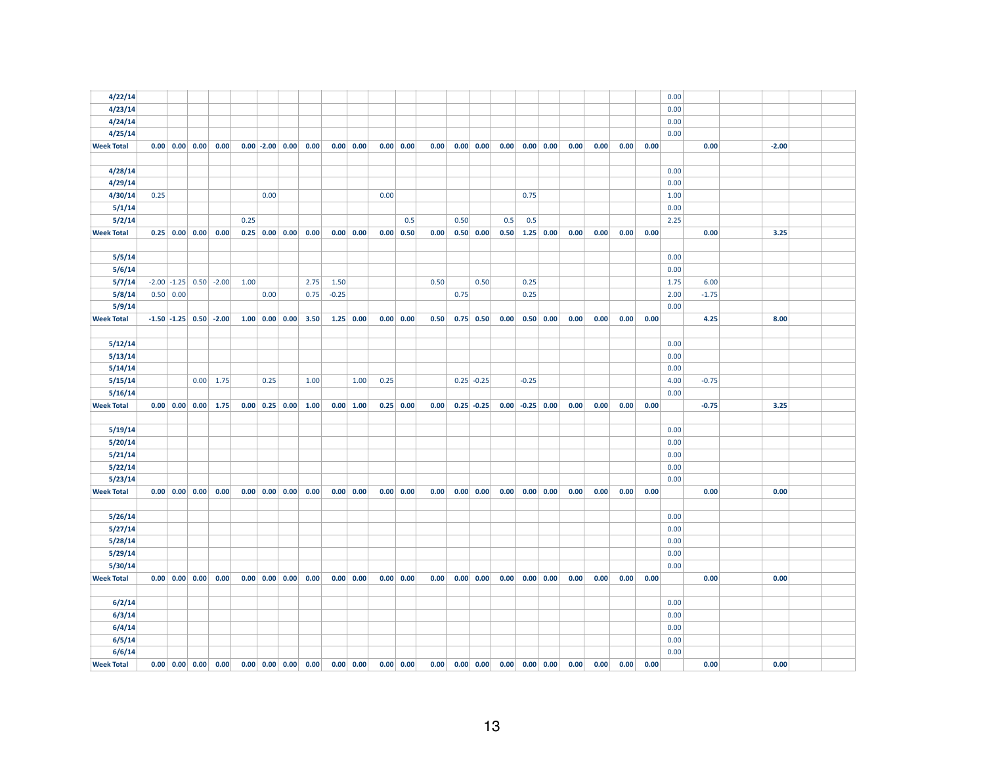| 4/22/14           |      |             |                                                       |                                           |      |                  |                                                              |         |                             |      |                          |      |                  |                     |      |                              |                     |      |      |      |      | 0.00 |         |         |  |
|-------------------|------|-------------|-------------------------------------------------------|-------------------------------------------|------|------------------|--------------------------------------------------------------|---------|-----------------------------|------|--------------------------|------|------------------|---------------------|------|------------------------------|---------------------|------|------|------|------|------|---------|---------|--|
| 4/23/14           |      |             |                                                       |                                           |      |                  |                                                              |         |                             |      |                          |      |                  |                     |      |                              |                     |      |      |      |      | 0.00 |         |         |  |
| 4/24/14           |      |             |                                                       |                                           |      |                  |                                                              |         |                             |      |                          |      |                  |                     |      |                              |                     |      |      |      |      | 0.00 |         |         |  |
| 4/25/14           |      |             |                                                       |                                           |      |                  |                                                              |         |                             |      |                          |      |                  |                     |      |                              |                     |      |      |      |      | 0.00 |         |         |  |
| <b>Week Total</b> |      |             | $0.00 \mid 0.00 \mid 0.00 \mid$                       | 0.00                                      |      |                  | $0.00$ -2.00 0.00 0.00                                       |         | $0.00 \,   \, 0.00 \,   \,$ |      | 0.00 0.00                | 0.00 |                  | $0.00 \,   \, 0.00$ | 0.00 |                              | 0.00   0.00         | 0.00 | 0.00 | 0.00 | 0.00 |      | 0.00    | $-2.00$ |  |
|                   |      |             |                                                       |                                           |      |                  |                                                              |         |                             |      |                          |      |                  |                     |      |                              |                     |      |      |      |      |      |         |         |  |
| 4/28/14           |      |             |                                                       |                                           |      |                  |                                                              |         |                             |      |                          |      |                  |                     |      |                              |                     |      |      |      |      | 0.00 |         |         |  |
| 4/29/14           |      |             |                                                       |                                           |      |                  |                                                              |         |                             |      |                          |      |                  |                     |      |                              |                     |      |      |      |      | 0.00 |         |         |  |
| 4/30/14           | 0.25 |             |                                                       |                                           |      | 0.00             |                                                              |         |                             | 0.00 |                          |      |                  |                     |      | 0.75                         |                     |      |      |      |      | 1.00 |         |         |  |
| 5/1/14            |      |             |                                                       |                                           |      |                  |                                                              |         |                             |      |                          |      |                  |                     |      |                              |                     |      |      |      |      | 0.00 |         |         |  |
| 5/2/14            |      |             |                                                       |                                           | 0.25 |                  |                                                              |         |                             |      | 0.5                      |      | 0.50             |                     | 0.5  | 0.5                          |                     |      |      |      |      | 2.25 |         |         |  |
| <b>Week Total</b> |      |             | $0.25$ 0.00 0.00                                      | 0.00                                      |      | $0.25$ 0.00 0.00 | 0.00                                                         |         | 0.00 0.00                   | 0.00 | 0.50                     | 0.00 |                  | $0.50 \,   \, 0.00$ | 0.50 |                              | $1.25$ 0.00         | 0.00 | 0.00 | 0.00 | 0.00 |      | 0.00    | 3.25    |  |
|                   |      |             |                                                       |                                           |      |                  |                                                              |         |                             |      |                          |      |                  |                     |      |                              |                     |      |      |      |      |      |         |         |  |
| 5/5/14            |      |             |                                                       |                                           |      |                  |                                                              |         |                             |      |                          |      |                  |                     |      |                              |                     |      |      |      |      | 0.00 |         |         |  |
| 5/6/14            |      |             |                                                       |                                           |      |                  |                                                              |         |                             |      |                          |      |                  |                     |      |                              |                     |      |      |      |      | 0.00 |         |         |  |
| 5/7/14            |      |             |                                                       | $-2.00$ $-1.25$ 0.50 $-2.00$              | 1.00 |                  | 2.75                                                         | 1.50    |                             |      |                          | 0.50 |                  | 0.50                |      | 0.25                         |                     |      |      |      |      | 1.75 | 6.00    |         |  |
| 5/8/14            |      | 0.50   0.00 |                                                       |                                           |      | 0.00             | 0.75                                                         | $-0.25$ |                             |      |                          |      | 0.75             |                     |      | 0.25                         |                     |      |      |      |      | 2.00 | $-1.75$ |         |  |
| 5/9/14            |      |             |                                                       |                                           |      |                  |                                                              |         |                             |      |                          |      |                  |                     |      |                              |                     |      |      |      |      | 0.00 |         |         |  |
| <b>Week Total</b> |      |             |                                                       | $-1.50$ $-1.25$ 0.50 $-2.00$              |      |                  | $1.00 \begin{array}{ c c c } 0.00 & 0.00 & 3.50 \end{array}$ |         | $1.25 \, 0.00$              | 0.00 | 0.00                     | 0.50 |                  | $0.75$ 0.50         | 0.00 |                              | $0.50 \,   \, 0.00$ | 0.00 | 0.00 | 0.00 | 0.00 |      | 4.25    | 8.00    |  |
|                   |      |             |                                                       |                                           |      |                  |                                                              |         |                             |      |                          |      |                  |                     |      |                              |                     |      |      |      |      |      |         |         |  |
| 5/12/14           |      |             |                                                       |                                           |      |                  |                                                              |         |                             |      |                          |      |                  |                     |      |                              |                     |      |      |      |      | 0.00 |         |         |  |
| 5/13/14           |      |             |                                                       |                                           |      |                  |                                                              |         |                             |      |                          |      |                  |                     |      |                              |                     |      |      |      |      | 0.00 |         |         |  |
| 5/14/14           |      |             |                                                       |                                           |      |                  |                                                              |         |                             |      |                          |      |                  |                     |      |                              |                     |      |      |      |      | 0.00 |         |         |  |
| 5/15/14           |      |             | 0.00                                                  | 1.75                                      |      | 0.25             | 1.00                                                         |         | 1.00                        | 0.25 |                          |      |                  | $0.25$ -0.25        |      | $-0.25$                      |                     |      |      |      |      | 4.00 | $-0.75$ |         |  |
| 5/16/14           |      |             |                                                       |                                           |      |                  |                                                              |         |                             |      |                          |      |                  |                     |      |                              |                     |      |      |      |      | 0.00 |         |         |  |
| <b>Week Total</b> |      |             | $0.00 \begin{array}{ c c c } 0.00 & 0.00 \end{array}$ | 1.75                                      |      |                  | $0.00 \begin{array}{ c c c } 0.25 & 0.00 & 1.00 \end{array}$ |         | $0.00 \,   1.00$            |      | $0.25$ 0.00              | 0.00 |                  | $0.25 - 0.25$       |      | $0.00$ -0.25 0.00            |                     | 0.00 | 0.00 | 0.00 | 0.00 |      | $-0.75$ | 3.25    |  |
|                   |      |             |                                                       |                                           |      |                  |                                                              |         |                             |      |                          |      |                  |                     |      |                              |                     |      |      |      |      |      |         |         |  |
| 5/19/14           |      |             |                                                       |                                           |      |                  |                                                              |         |                             |      |                          |      |                  |                     |      |                              |                     |      |      |      |      | 0.00 |         |         |  |
| 5/20/14           |      |             |                                                       |                                           |      |                  |                                                              |         |                             |      |                          |      |                  |                     |      |                              |                     |      |      |      |      | 0.00 |         |         |  |
| 5/21/14           |      |             |                                                       |                                           |      |                  |                                                              |         |                             |      |                          |      |                  |                     |      |                              |                     |      |      |      |      | 0.00 |         |         |  |
| 5/22/14           |      |             |                                                       |                                           |      |                  |                                                              |         |                             |      |                          |      |                  |                     |      |                              |                     |      |      |      |      | 0.00 |         |         |  |
| 5/23/14           |      |             |                                                       |                                           |      |                  |                                                              |         |                             |      |                          |      |                  |                     |      |                              |                     |      |      |      |      | 0.00 |         |         |  |
| <b>Week Total</b> |      |             | $0.00 \begin{array}{ c c c } 0.00 & 0.00 \end{array}$ | 0.00                                      |      |                  | $0.00 \begin{array}{ c c c } 0.00 & 0.00 & 0.00 \end{array}$ |         | $0.00 \, 0.00$              |      | $0.00 \, 0.00$           | 0.00 |                  | $0.00 \, 0.00$      |      | $0.00 \big  0.00 \big  0.00$ |                     | 0.00 | 0.00 | 0.00 | 0.00 |      | 0.00    | 0.00    |  |
|                   |      |             |                                                       |                                           |      |                  |                                                              |         |                             |      |                          |      |                  |                     |      |                              |                     |      |      |      |      |      |         |         |  |
| 5/26/14           |      |             |                                                       |                                           |      |                  |                                                              |         |                             |      |                          |      |                  |                     |      |                              |                     |      |      |      |      | 0.00 |         |         |  |
| 5/27/14           |      |             |                                                       |                                           |      |                  |                                                              |         |                             |      |                          |      |                  |                     |      |                              |                     |      |      |      |      | 0.00 |         |         |  |
| 5/28/14           |      |             |                                                       |                                           |      |                  |                                                              |         |                             |      |                          |      |                  |                     |      |                              |                     |      |      |      |      | 0.00 |         |         |  |
| 5/29/14           |      |             |                                                       |                                           |      |                  |                                                              |         |                             |      |                          |      |                  |                     |      |                              |                     |      |      |      |      | 0.00 |         |         |  |
| 5/30/14           |      |             |                                                       |                                           |      |                  |                                                              |         |                             |      |                          |      |                  |                     |      |                              |                     |      |      |      |      | 0.00 |         |         |  |
| <b>Week Total</b> |      |             | $0.00 \begin{array}{ c c c } 0.00 & 0.00 \end{array}$ | 0.00                                      |      |                  | $0.00 \begin{array}{ c c c } 0.00 & 0.00 & 0.00 \end{array}$ |         | $0.00 \ 0.00$               |      | 0.00   0.00              | 0.00 |                  | $0.00 \, 0.00$      | 0.00 |                              | 0.00 0.00           | 0.00 | 0.00 | 0.00 | 0.00 |      | 0.00    | 0.00    |  |
|                   |      |             |                                                       |                                           |      |                  |                                                              |         |                             |      |                          |      |                  |                     |      |                              |                     |      |      |      |      |      |         |         |  |
| 6/2/14            |      |             |                                                       |                                           |      |                  |                                                              |         |                             |      |                          |      |                  |                     |      |                              |                     |      |      |      |      | 0.00 |         |         |  |
| 6/3/14            |      |             |                                                       |                                           |      |                  |                                                              |         |                             |      |                          |      |                  |                     |      |                              |                     |      |      |      |      | 0.00 |         |         |  |
| 6/4/14            |      |             |                                                       |                                           |      |                  |                                                              |         |                             |      |                          |      |                  |                     |      |                              |                     |      |      |      |      | 0.00 |         |         |  |
| 6/5/14            |      |             |                                                       |                                           |      |                  |                                                              |         |                             |      |                          |      |                  |                     |      |                              |                     |      |      |      |      | 0.00 |         |         |  |
| 6/6/14            |      |             |                                                       |                                           |      |                  |                                                              |         |                             |      |                          |      |                  |                     |      |                              |                     |      |      |      |      | 0.00 |         |         |  |
| <b>Week Total</b> |      |             |                                                       | $0.00 \mid 0.00 \mid 0.00 \mid 0.00 \mid$ |      |                  | $0.00 \begin{array}{ c c c } 0.00 & 0.00 & 0.00 \end{array}$ |         | 0.00   0.00                 |      | $0.00 \,   \, 0.00 \,  $ |      | $0.00$ 0.00 0.00 |                     |      | $0.00$ 0.00 0.00             |                     | 0.00 | 0.00 | 0.00 | 0.00 |      | 0.00    | 0.00    |  |
|                   |      |             |                                                       |                                           |      |                  |                                                              |         |                             |      |                          |      |                  |                     |      |                              |                     |      |      |      |      |      |         |         |  |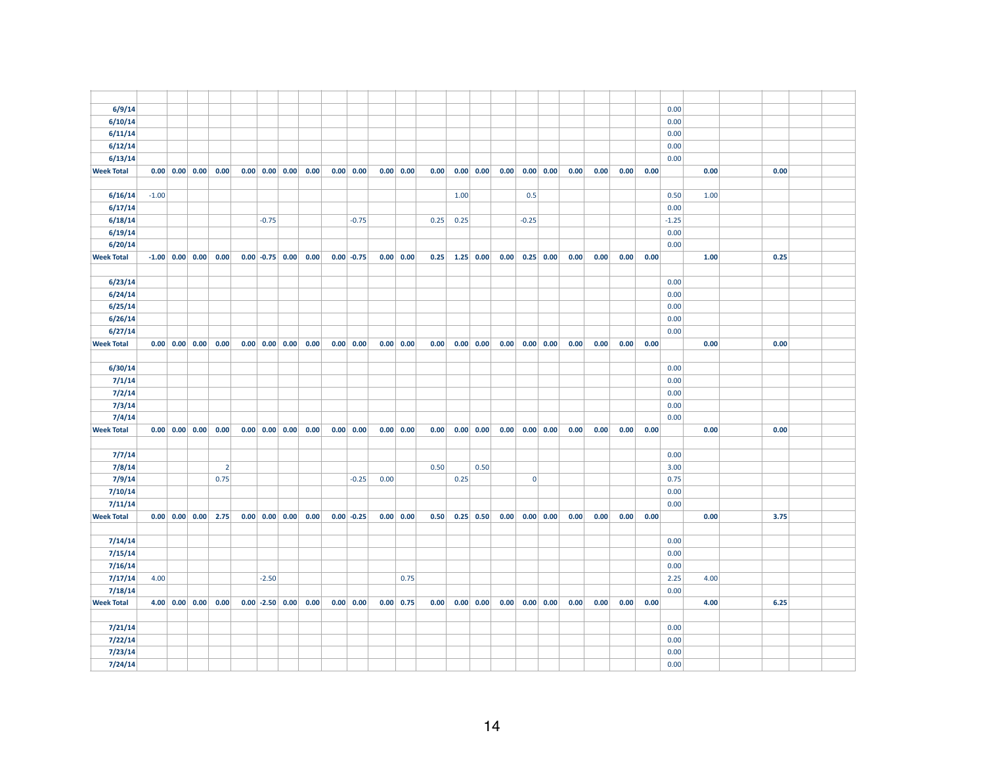| 6/9/14            |         |                                                     |                |         |                                                                  |                             |      |                |      |      |                       |      |                |                |      |      |      |      | 0.00    |      |      |  |
|-------------------|---------|-----------------------------------------------------|----------------|---------|------------------------------------------------------------------|-----------------------------|------|----------------|------|------|-----------------------|------|----------------|----------------|------|------|------|------|---------|------|------|--|
| 6/10/14           |         |                                                     |                |         |                                                                  |                             |      |                |      |      |                       |      |                |                |      |      |      |      | 0.00    |      |      |  |
| 6/11/14           |         |                                                     |                |         |                                                                  |                             |      |                |      |      |                       |      |                |                |      |      |      |      | 0.00    |      |      |  |
| 6/12/14           |         |                                                     |                |         |                                                                  |                             |      |                |      |      |                       |      |                |                |      |      |      |      | 0.00    |      |      |  |
| 6/13/14           |         |                                                     |                |         |                                                                  |                             |      |                |      |      |                       |      |                |                |      |      |      |      | 0.00    |      |      |  |
| <b>Week Total</b> |         | $0.00 \ 0.00 \ 0.00$                                | 0.00           |         | $0.00$ 0.00 0.00 0.00                                            | $0.00 \, 0.00$              |      | 0.00 0.00      | 0.00 |      | $0.00 \, 0.00$        | 0.00 |                | $0.00 \, 0.00$ | 0.00 | 0.00 | 0.00 | 0.00 |         | 0.00 | 0.00 |  |
|                   |         |                                                     |                |         |                                                                  |                             |      |                |      |      |                       |      |                |                |      |      |      |      |         |      |      |  |
| 6/16/14           | $-1.00$ |                                                     |                |         |                                                                  |                             |      |                |      | 1.00 |                       |      | 0.5            |                |      |      |      |      | 0.50    | 1.00 |      |  |
| 6/17/14           |         |                                                     |                |         |                                                                  |                             |      |                |      |      |                       |      |                |                |      |      |      |      | 0.00    |      |      |  |
| 6/18/14           |         |                                                     |                | $-0.75$ |                                                                  | $-0.75$                     |      |                | 0.25 | 0.25 |                       |      | $-0.25$        |                |      |      |      |      | $-1.25$ |      |      |  |
| 6/19/14           |         |                                                     |                |         |                                                                  |                             |      |                |      |      |                       |      |                |                |      |      |      |      | 0.00    |      |      |  |
| 6/20/14           |         |                                                     |                |         |                                                                  |                             |      |                |      |      |                       |      |                |                |      |      |      |      | 0.00    |      |      |  |
| <b>Week Total</b> |         | $-1.00$ 0.00 0.00                                   | 0.00           |         | $0.00$ -0.75 0.00 0.00                                           | $0.00$ -0.75                |      | 0.00 0.00      | 0.25 |      | $1.25 \ 0.00$         | 0.00 |                | $0.25$ 0.00    | 0.00 | 0.00 | 0.00 | 0.00 |         | 1.00 | 0.25 |  |
|                   |         |                                                     |                |         |                                                                  |                             |      |                |      |      |                       |      |                |                |      |      |      |      |         |      |      |  |
| 6/23/14           |         |                                                     |                |         |                                                                  |                             |      |                |      |      |                       |      |                |                |      |      |      |      | 0.00    |      |      |  |
| 6/24/14           |         |                                                     |                |         |                                                                  |                             |      |                |      |      |                       |      |                |                |      |      |      |      | 0.00    |      |      |  |
| 6/25/14           |         |                                                     |                |         |                                                                  |                             |      |                |      |      |                       |      |                |                |      |      |      |      | 0.00    |      |      |  |
| 6/26/14           |         |                                                     |                |         |                                                                  |                             |      |                |      |      |                       |      |                |                |      |      |      |      | 0.00    |      |      |  |
| 6/27/14           |         |                                                     |                |         |                                                                  |                             |      |                |      |      |                       |      |                |                |      |      |      |      | 0.00    |      |      |  |
| <b>Week Total</b> |         | $0.00 \mid 0.00 \mid 0.00 \mid$                     | 0.00           |         | $0.00$ 0.00 0.00 0.00                                            | $0.00 \,   \, 0.00 \,   \,$ |      | 0.00 0.00      | 0.00 |      | 0.00   0.00           | 0.00 |                | 0.00   0.00    | 0.00 | 0.00 | 0.00 | 0.00 |         | 0.00 | 0.00 |  |
|                   |         |                                                     |                |         |                                                                  |                             |      |                |      |      |                       |      |                |                |      |      |      |      |         |      |      |  |
| 6/30/14           |         |                                                     |                |         |                                                                  |                             |      |                |      |      |                       |      |                |                |      |      |      |      | 0.00    |      |      |  |
| 7/1/14            |         |                                                     |                |         |                                                                  |                             |      |                |      |      |                       |      |                |                |      |      |      |      | 0.00    |      |      |  |
| 7/2/14            |         |                                                     |                |         |                                                                  |                             |      |                |      |      |                       |      |                |                |      |      |      |      | 0.00    |      |      |  |
| 7/3/14            |         |                                                     |                |         |                                                                  |                             |      |                |      |      |                       |      |                |                |      |      |      |      | 0.00    |      |      |  |
| 7/4/14            |         |                                                     |                |         |                                                                  |                             |      |                |      |      |                       |      |                |                |      |      |      |      | 0.00    |      |      |  |
| <b>Week Total</b> |         | $0.00 \,   \, 0.00 \,   \, 0.00 \,   \,$            | 0.00           |         | $0.00 \begin{array}{ c c c c c } 0.00 & 0.00 & 0.00 \end{array}$ | $0.00 \,   \, 0.00$         |      | 0.00 0.00      | 0.00 |      | $0.00 \,   \, 0.00  $ | 0.00 |                | $0.00 \, 0.00$ | 0.00 | 0.00 | 0.00 | 0.00 |         | 0.00 | 0.00 |  |
|                   |         |                                                     |                |         |                                                                  |                             |      |                |      |      |                       |      |                |                |      |      |      |      |         |      |      |  |
| 7/7/14            |         |                                                     |                |         |                                                                  |                             |      |                |      |      |                       |      |                |                |      |      |      |      | 0.00    |      |      |  |
| 7/8/14            |         |                                                     | $\overline{2}$ |         |                                                                  |                             |      |                | 0.50 |      | 0.50                  |      |                |                |      |      |      |      | 3.00    |      |      |  |
| 7/9/14            |         |                                                     | 0.75           |         |                                                                  | $-0.25$                     | 0.00 |                |      | 0.25 |                       |      | $\overline{0}$ |                |      |      |      |      | 0.75    |      |      |  |
| 7/10/14           |         |                                                     |                |         |                                                                  |                             |      |                |      |      |                       |      |                |                |      |      |      |      | 0.00    |      |      |  |
| 7/11/14           |         |                                                     |                |         |                                                                  |                             |      |                |      |      |                       |      |                |                |      |      |      |      | 0.00    |      |      |  |
| <b>Week Total</b> |         | $0.00 \begin{array}{ c c c } 0.00 \end{array}$ 0.00 | 2.75           |         | $0.00 \begin{array}{ c c c } 0.00 & 0.00 & 0.00 \end{array}$     | $0.00$ -0.25                |      | 0.00 0.00      | 0.50 |      | $0.25$ 0.50           | 0.00 |                | $0.00 \, 0.00$ | 0.00 | 0.00 | 0.00 | 0.00 |         | 0.00 | 3.75 |  |
|                   |         |                                                     |                |         |                                                                  |                             |      |                |      |      |                       |      |                |                |      |      |      |      |         |      |      |  |
| 7/14/14           |         |                                                     |                |         |                                                                  |                             |      |                |      |      |                       |      |                |                |      |      |      |      | 0.00    |      |      |  |
| 7/15/14           |         |                                                     |                |         |                                                                  |                             |      |                |      |      |                       |      |                |                |      |      |      |      | 0.00    |      |      |  |
| 7/16/14           |         |                                                     |                |         |                                                                  |                             |      |                |      |      |                       |      |                |                |      |      |      |      | 0.00    |      |      |  |
| 7/17/14           | 4.00    |                                                     |                | $-2.50$ |                                                                  |                             |      | 0.75           |      |      |                       |      |                |                |      |      |      |      | 2.25    | 4.00 |      |  |
| 7/18/14           |         |                                                     |                |         |                                                                  |                             |      |                |      |      |                       |      |                |                |      |      |      |      | 0.00    |      |      |  |
| <b>Week Total</b> |         | $4.00 \mid 0.00 \mid 0.00 \mid$                     | 0.00           |         | $0.00$ -2.50 $0.00$ 0.00                                         | $0.00 \,   \, 0.00 \,   \,$ |      | $0.00 \, 0.75$ | 0.00 |      | 0.00   0.00           | 0.00 |                | 0.00   0.00    | 0.00 | 0.00 | 0.00 | 0.00 |         | 4.00 | 6.25 |  |
|                   |         |                                                     |                |         |                                                                  |                             |      |                |      |      |                       |      |                |                |      |      |      |      |         |      |      |  |
| 7/21/14           |         |                                                     |                |         |                                                                  |                             |      |                |      |      |                       |      |                |                |      |      |      |      | 0.00    |      |      |  |
| 7/22/14           |         |                                                     |                |         |                                                                  |                             |      |                |      |      |                       |      |                |                |      |      |      |      | 0.00    |      |      |  |
| 7/23/14           |         |                                                     |                |         |                                                                  |                             |      |                |      |      |                       |      |                |                |      |      |      |      | 0.00    |      |      |  |
| 7/24/14           |         |                                                     |                |         |                                                                  |                             |      |                |      |      |                       |      |                |                |      |      |      |      | 0.00    |      |      |  |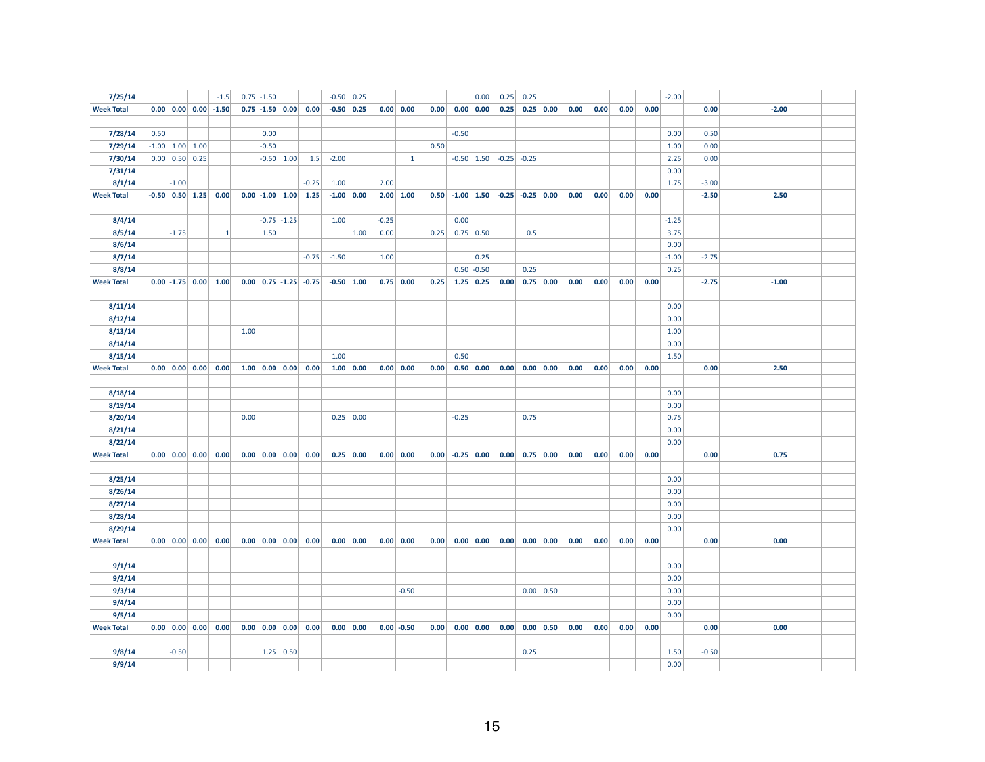| 7/25/14           |      |                   |                                                       | $-1.5$                                                        |      | $0.75$ -1.50                                          |                 |                                                              |         | $-0.50$ 0.25                |         |                  |      |         | 0.00                        | 0.25 | 0.25            |                      |      |      |      |      | $-2.00$ |         |         |  |
|-------------------|------|-------------------|-------------------------------------------------------|---------------------------------------------------------------|------|-------------------------------------------------------|-----------------|--------------------------------------------------------------|---------|-----------------------------|---------|------------------|------|---------|-----------------------------|------|-----------------|----------------------|------|------|------|------|---------|---------|---------|--|
| <b>Week Total</b> |      |                   |                                                       | $0.00 \begin{array}{ c c c } 0.00 & 0.00 & -1.50 \end{array}$ |      | $0.75$ -1.50 0.00                                     |                 | 0.00                                                         |         | $-0.50$ 0.25                |         | 0.00   0.00      | 0.00 |         | $0.00 \,   \, 0.00 \,   \,$ | 0.25 |                 | $0.25$ 0.00          | 0.00 | 0.00 | 0.00 | 0.00 |         | 0.00    | $-2.00$ |  |
|                   |      |                   |                                                       |                                                               |      |                                                       |                 |                                                              |         |                             |         |                  |      |         |                             |      |                 |                      |      |      |      |      |         |         |         |  |
| 7/28/14           | 0.50 |                   |                                                       |                                                               |      | 0.00                                                  |                 |                                                              |         |                             |         |                  |      | $-0.50$ |                             |      |                 |                      |      |      |      |      | 0.00    | 0.50    |         |  |
| 7/29/14           |      | $-1.00$ 1.00 1.00 |                                                       |                                                               |      | $-0.50$                                               |                 |                                                              |         |                             |         |                  | 0.50 |         |                             |      |                 |                      |      |      |      |      | 1.00    | 0.00    |         |  |
| 7/30/14           |      | $0.00$ 0.50 0.25  |                                                       |                                                               |      |                                                       | $-0.50$ 1.00    | 1.5                                                          | $-2.00$ |                             |         | $\vert 1 \vert$  |      |         | $-0.50$ 1.50                |      | $-0.25$ $-0.25$ |                      |      |      |      |      | 2.25    | 0.00    |         |  |
| 7/31/14           |      |                   |                                                       |                                                               |      |                                                       |                 |                                                              |         |                             |         |                  |      |         |                             |      |                 |                      |      |      |      |      | 0.00    |         |         |  |
| 8/1/14            |      | $-1.00$           |                                                       |                                                               |      |                                                       |                 | $-0.25$                                                      | 1.00    |                             | 2.00    |                  |      |         |                             |      |                 |                      |      |      |      |      | 1.75    | $-3.00$ |         |  |
| <b>Week Total</b> |      |                   |                                                       | $-0.50$ 0.50 1.25 0.00                                        |      |                                                       |                 | $0.00$ -1.00 1.00 1.25                                       |         | $-1.00$ 0.00                |         | $2.00 \mid 1.00$ | 0.50 |         | $-1.00$ 1.50                |      |                 | $-0.25$ $-0.25$ 0.00 | 0.00 | 0.00 | 0.00 | 0.00 |         | $-2.50$ | 2.50    |  |
|                   |      |                   |                                                       |                                                               |      |                                                       |                 |                                                              |         |                             |         |                  |      |         |                             |      |                 |                      |      |      |      |      |         |         |         |  |
| 8/4/14            |      |                   |                                                       |                                                               |      |                                                       | $-0.75$ $-1.25$ |                                                              | 1.00    |                             | $-0.25$ |                  |      | 0.00    |                             |      |                 |                      |      |      |      |      | $-1.25$ |         |         |  |
| 8/5/14            |      | $-1.75$           |                                                       | $\mathbf{1}$                                                  |      | 1.50                                                  |                 |                                                              |         | 1.00                        | 0.00    |                  | 0.25 |         | $0.75$ 0.50                 |      | 0.5             |                      |      |      |      |      | 3.75    |         |         |  |
| 8/6/14            |      |                   |                                                       |                                                               |      |                                                       |                 |                                                              |         |                             |         |                  |      |         |                             |      |                 |                      |      |      |      |      | 0.00    |         |         |  |
| 8/7/14            |      |                   |                                                       |                                                               |      |                                                       |                 | $-0.75$                                                      | $-1.50$ |                             | 1.00    |                  |      |         | 0.25                        |      |                 |                      |      |      |      |      | $-1.00$ | $-2.75$ |         |  |
| 8/8/14            |      |                   |                                                       |                                                               |      |                                                       |                 |                                                              |         |                             |         |                  |      |         | $0.50 - 0.50$               |      | 0.25            |                      |      |      |      |      | 0.25    |         |         |  |
| <b>Week Total</b> |      |                   |                                                       | $0.00$ -1.75 $0.00$ 1.00                                      |      |                                                       |                 | $0.00 \begin{array}{ c c c c c c } 0.75 & -0.75 \end{array}$ |         | $-0.50$ 1.00                |         | $0.75$ 0.00      | 0.25 |         | $1.25 \mid 0.25$            | 0.00 |                 | $0.75$ 0.00          | 0.00 | 0.00 | 0.00 | 0.00 |         | $-2.75$ | $-1.00$ |  |
|                   |      |                   |                                                       |                                                               |      |                                                       |                 |                                                              |         |                             |         |                  |      |         |                             |      |                 |                      |      |      |      |      |         |         |         |  |
| 8/11/14           |      |                   |                                                       |                                                               |      |                                                       |                 |                                                              |         |                             |         |                  |      |         |                             |      |                 |                      |      |      |      |      | 0.00    |         |         |  |
| 8/12/14           |      |                   |                                                       |                                                               |      |                                                       |                 |                                                              |         |                             |         |                  |      |         |                             |      |                 |                      |      |      |      |      | 0.00    |         |         |  |
| 8/13/14           |      |                   |                                                       |                                                               | 1.00 |                                                       |                 |                                                              |         |                             |         |                  |      |         |                             |      |                 |                      |      |      |      |      | 1.00    |         |         |  |
| 8/14/14           |      |                   |                                                       |                                                               |      |                                                       |                 |                                                              |         |                             |         |                  |      |         |                             |      |                 |                      |      |      |      |      | 0.00    |         |         |  |
| 8/15/14           |      |                   |                                                       |                                                               |      |                                                       |                 |                                                              | 1.00    |                             |         |                  |      | 0.50    |                             |      |                 |                      |      |      |      |      | 1.50    |         |         |  |
| <b>Week Total</b> |      |                   |                                                       | $0.00 \begin{array}{ c c c } 0.00 & 0.00 & 0.00 \end{array}$  |      | $1.00 \begin{array}{ c c c } 0.00 & 0.00 \end{array}$ |                 | 0.00                                                         |         | 1.00   0.00                 |         | 0.00 0.00        | 0.00 |         | $0.50 \,   \, 0.00 \,  $    |      |                 | $0.00$ $0.00$ $0.00$ | 0.00 | 0.00 | 0.00 | 0.00 |         | 0.00    | 2.50    |  |
|                   |      |                   |                                                       |                                                               |      |                                                       |                 |                                                              |         |                             |         |                  |      |         |                             |      |                 |                      |      |      |      |      |         |         |         |  |
| 8/18/14           |      |                   |                                                       |                                                               |      |                                                       |                 |                                                              |         |                             |         |                  |      |         |                             |      |                 |                      |      |      |      |      | 0.00    |         |         |  |
| 8/19/14           |      |                   |                                                       |                                                               |      |                                                       |                 |                                                              |         |                             |         |                  |      |         |                             |      |                 |                      |      |      |      |      | 0.00    |         |         |  |
| 8/20/14           |      |                   |                                                       |                                                               | 0.00 |                                                       |                 |                                                              |         | $0.25$ 0.00                 |         |                  |      | $-0.25$ |                             |      | 0.75            |                      |      |      |      |      | 0.75    |         |         |  |
| 8/21/14           |      |                   |                                                       |                                                               |      |                                                       |                 |                                                              |         |                             |         |                  |      |         |                             |      |                 |                      |      |      |      |      | 0.00    |         |         |  |
| 8/22/14           |      |                   |                                                       |                                                               |      |                                                       |                 |                                                              |         |                             |         |                  |      |         |                             |      |                 |                      |      |      |      |      | 0.00    |         |         |  |
| <b>Week Total</b> |      |                   | $0.00 \begin{array}{ c c c } 0.00 & 0.00 \end{array}$ | 0.00                                                          |      | $0.00 \begin{array}{ c c } 0.00 & 0.00 \end{array}$   |                 | 0.00                                                         |         | $0.25 \, 0.00$              |         | 0.00 0.00        | 0.00 |         | $-0.25$ 0.00                | 0.00 |                 | $0.75$ 0.00          | 0.00 | 0.00 | 0.00 | 0.00 |         | 0.00    | 0.75    |  |
|                   |      |                   |                                                       |                                                               |      |                                                       |                 |                                                              |         |                             |         |                  |      |         |                             |      |                 |                      |      |      |      |      |         |         |         |  |
| 8/25/14           |      |                   |                                                       |                                                               |      |                                                       |                 |                                                              |         |                             |         |                  |      |         |                             |      |                 |                      |      |      |      |      | 0.00    |         |         |  |
| 8/26/14           |      |                   |                                                       |                                                               |      |                                                       |                 |                                                              |         |                             |         |                  |      |         |                             |      |                 |                      |      |      |      |      | 0.00    |         |         |  |
| 8/27/14           |      |                   |                                                       |                                                               |      |                                                       |                 |                                                              |         |                             |         |                  |      |         |                             |      |                 |                      |      |      |      |      | 0.00    |         |         |  |
| 8/28/14           |      |                   |                                                       |                                                               |      |                                                       |                 |                                                              |         |                             |         |                  |      |         |                             |      |                 |                      |      |      |      |      | 0.00    |         |         |  |
| 8/29/14           |      |                   |                                                       |                                                               |      |                                                       |                 |                                                              |         |                             |         |                  |      |         |                             |      |                 |                      |      |      |      |      | 0.00    |         |         |  |
| <b>Week Total</b> |      |                   | $0.00 \begin{array}{ c c c } 0.00 & 0.00 \end{array}$ | 0.00                                                          |      | $0.00 \begin{array}{ c c } 0.00 \end{array}$ 0.00     |                 | 0.00                                                         |         | $0.00 \,   \, 0.00$         |         | 0.00 0.00        | 0.00 |         | $0.00 \, 0.00$              |      |                 | $0.00$ $0.00$ $0.00$ | 0.00 | 0.00 | 0.00 | 0.00 |         | 0.00    | 0.00    |  |
|                   |      |                   |                                                       |                                                               |      |                                                       |                 |                                                              |         |                             |         |                  |      |         |                             |      |                 |                      |      |      |      |      |         |         |         |  |
| 9/1/14            |      |                   |                                                       |                                                               |      |                                                       |                 |                                                              |         |                             |         |                  |      |         |                             |      |                 |                      |      |      |      |      | 0.00    |         |         |  |
| 9/2/14            |      |                   |                                                       |                                                               |      |                                                       |                 |                                                              |         |                             |         |                  |      |         |                             |      |                 |                      |      |      |      |      | 0.00    |         |         |  |
| 9/3/14            |      |                   |                                                       |                                                               |      |                                                       |                 |                                                              |         |                             |         | $-0.50$          |      |         |                             |      |                 | 0.00   0.50          |      |      |      |      | 0.00    |         |         |  |
| 9/4/14            |      |                   |                                                       |                                                               |      |                                                       |                 |                                                              |         |                             |         |                  |      |         |                             |      |                 |                      |      |      |      |      | 0.00    |         |         |  |
| 9/5/14            |      |                   |                                                       |                                                               |      |                                                       |                 |                                                              |         |                             |         |                  |      |         |                             |      |                 |                      |      |      |      |      | 0.00    |         |         |  |
| <b>Week Total</b> |      |                   | $0.00 \,   \, 0.00 \,   \, 0.00 \,   \,$              | 0.00                                                          |      | $0.00 \begin{array}{ c c c } 0.00 & 0.00 \end{array}$ |                 | 0.00                                                         |         | $0.00 \,   \, 0.00 \,   \,$ |         | $0.00 - 0.50$    | 0.00 |         | 0.00   0.00                 |      |                 | $0.00$ 0.00 0.50     | 0.00 | 0.00 | 0.00 | 0.00 |         | 0.00    | 0.00    |  |
|                   |      |                   |                                                       |                                                               |      |                                                       |                 |                                                              |         |                             |         |                  |      |         |                             |      |                 |                      |      |      |      |      |         |         |         |  |
| 9/8/14            |      | $-0.50$           |                                                       |                                                               |      |                                                       | $1.25$ 0.50     |                                                              |         |                             |         |                  |      |         |                             |      | 0.25            |                      |      |      |      |      | 1.50    | $-0.50$ |         |  |
| 9/9/14            |      |                   |                                                       |                                                               |      |                                                       |                 |                                                              |         |                             |         |                  |      |         |                             |      |                 |                      |      |      |      |      | 0.00    |         |         |  |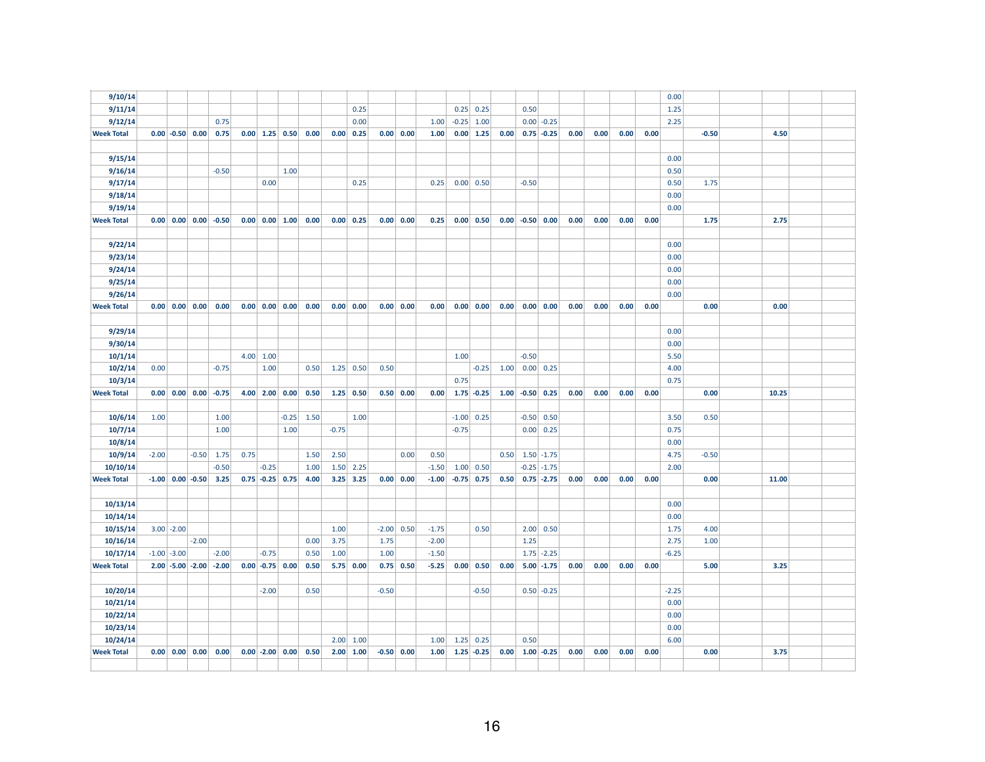| 9/10/14           |                 |              |                                                       |                          |      |                                                       |         |                                                              |         |                   |         |              |         |         |                       |      |         |                     |      |      |      |      | 0.00    |         |       |      |  |
|-------------------|-----------------|--------------|-------------------------------------------------------|--------------------------|------|-------------------------------------------------------|---------|--------------------------------------------------------------|---------|-------------------|---------|--------------|---------|---------|-----------------------|------|---------|---------------------|------|------|------|------|---------|---------|-------|------|--|
| 9/11/14           |                 |              |                                                       |                          |      |                                                       |         |                                                              |         | 0.25              |         |              |         | 0.25    | 0.25                  |      | 0.50    |                     |      |      |      |      | 1.25    |         |       |      |  |
| 9/12/14           |                 |              |                                                       | 0.75                     |      |                                                       |         |                                                              |         | 0.00              |         |              | 1.00    | $-0.25$ | 1.00                  |      |         | $0.00$ -0.25        |      |      |      |      | 2.25    |         |       |      |  |
| <b>Week Total</b> |                 |              | $0.00$ -0.50 0.00                                     | 0.75                     |      |                                                       |         | $0.00$ 1.25 0.50 0.00                                        |         | $0.00 \ 0.25$     | 0.00    | 0.00         | 1.00    |         | $0.00 \,   1.25$      | 0.00 |         | $0.75 - 0.25$       | 0.00 | 0.00 | 0.00 | 0.00 |         | $-0.50$ |       | 4.50 |  |
|                   |                 |              |                                                       |                          |      |                                                       |         |                                                              |         |                   |         |              |         |         |                       |      |         |                     |      |      |      |      |         |         |       |      |  |
| 9/15/14           |                 |              |                                                       |                          |      |                                                       |         |                                                              |         |                   |         |              |         |         |                       |      |         |                     |      |      |      |      | 0.00    |         |       |      |  |
| 9/16/14           |                 |              |                                                       | $-0.50$                  |      |                                                       | 1.00    |                                                              |         |                   |         |              |         |         |                       |      |         |                     |      |      |      |      | 0.50    |         |       |      |  |
| 9/17/14           |                 |              |                                                       |                          |      | 0.00                                                  |         |                                                              |         | 0.25              |         |              | 0.25    |         | 0.00   0.50           |      | $-0.50$ |                     |      |      |      |      | 0.50    | 1.75    |       |      |  |
| 9/18/14           |                 |              |                                                       |                          |      |                                                       |         |                                                              |         |                   |         |              |         |         |                       |      |         |                     |      |      |      |      | 0.00    |         |       |      |  |
| 9/19/14           |                 |              |                                                       |                          |      |                                                       |         |                                                              |         |                   |         |              |         |         |                       |      |         |                     |      |      |      |      | 0.00    |         |       |      |  |
| <b>Week Total</b> |                 |              | $0.00 \begin{array}{ c c } 0.00 & 0.00 \end{array}$   | $-0.50$                  |      | $0.00 \begin{array}{ c c c } 0.00 & 1.00 \end{array}$ |         | 0.00                                                         |         | 0.00 0.25         | 0.00    | 0.00         | 0.25    |         | $0.00 \,   \, 0.50$   | 0.00 |         | $-0.50$ 0.00        | 0.00 | 0.00 | 0.00 | 0.00 |         | 1.75    |       | 2.75 |  |
|                   |                 |              |                                                       |                          |      |                                                       |         |                                                              |         |                   |         |              |         |         |                       |      |         |                     |      |      |      |      |         |         |       |      |  |
| 9/22/14           |                 |              |                                                       |                          |      |                                                       |         |                                                              |         |                   |         |              |         |         |                       |      |         |                     |      |      |      |      | 0.00    |         |       |      |  |
| 9/23/14           |                 |              |                                                       |                          |      |                                                       |         |                                                              |         |                   |         |              |         |         |                       |      |         |                     |      |      |      |      | 0.00    |         |       |      |  |
| 9/24/14           |                 |              |                                                       |                          |      |                                                       |         |                                                              |         |                   |         |              |         |         |                       |      |         |                     |      |      |      |      | 0.00    |         |       |      |  |
| 9/25/14           |                 |              |                                                       |                          |      |                                                       |         |                                                              |         |                   |         |              |         |         |                       |      |         |                     |      |      |      |      | 0.00    |         |       |      |  |
| 9/26/14           |                 |              |                                                       |                          |      |                                                       |         |                                                              |         |                   |         |              |         |         |                       |      |         |                     |      |      |      |      | 0.00    |         |       |      |  |
| <b>Week Total</b> |                 |              | $0.00 \begin{array}{ c c c } 0.00 & 0.00 \end{array}$ | 0.00                     |      |                                                       |         | $0.00 \begin{array}{ c c c } 0.00 & 0.00 & 0.00 \end{array}$ |         | 0.00 0.00         |         | 0.00 0.00    | 0.00    |         | $0.00 \,   \, 0.00  $ | 0.00 |         | 0.00 0.00           | 0.00 | 0.00 | 0.00 | 0.00 |         | 0.00    |       | 0.00 |  |
|                   |                 |              |                                                       |                          |      |                                                       |         |                                                              |         |                   |         |              |         |         |                       |      |         |                     |      |      |      |      |         |         |       |      |  |
| 9/29/14           |                 |              |                                                       |                          |      |                                                       |         |                                                              |         |                   |         |              |         |         |                       |      |         |                     |      |      |      |      | 0.00    |         |       |      |  |
| 9/30/14           |                 |              |                                                       |                          |      |                                                       |         |                                                              |         |                   |         |              |         |         |                       |      |         |                     |      |      |      |      | 0.00    |         |       |      |  |
| 10/1/14           |                 |              |                                                       |                          |      | $4.00$ 1.00                                           |         |                                                              |         |                   |         |              |         | 1.00    |                       |      | $-0.50$ |                     |      |      |      |      | 5.50    |         |       |      |  |
| 10/2/14           | 0.00            |              |                                                       | $-0.75$                  |      | 1.00                                                  |         | 0.50                                                         |         | $1.25$ 0.50       | 0.50    |              |         |         | $-0.25$               | 1.00 |         | 0.00   0.25         |      |      |      |      | 4.00    |         |       |      |  |
| 10/3/14           |                 |              |                                                       |                          |      |                                                       |         |                                                              |         |                   |         |              |         | 0.75    |                       |      |         |                     |      |      |      |      | 0.75    |         |       |      |  |
| <b>Week Total</b> |                 |              | $0.00 \mid 0.00 \mid 0.00 \mid$                       | $-0.75$                  |      | $4.00$ 2.00 0.00                                      |         | 0.50                                                         |         | $1.25 \, 0.50$    |         | 0.50   0.00  | 0.00    |         | $1.75 - 0.25$         |      |         | $1.00$ -0.50 0.25   | 0.00 | 0.00 | 0.00 | 0.00 |         | 0.00    | 10.25 |      |  |
|                   |                 |              |                                                       |                          |      |                                                       |         |                                                              |         |                   |         |              |         |         |                       |      |         |                     |      |      |      |      |         |         |       |      |  |
| 10/6/14           | 1.00            |              |                                                       | 1.00                     |      |                                                       | $-0.25$ | 1.50                                                         |         | 1.00              |         |              |         |         | $-1.00$ 0.25          |      |         | $-0.50$ 0.50        |      |      |      |      | 3.50    | 0.50    |       |      |  |
| 10/7/14           |                 |              |                                                       | 1.00                     |      |                                                       | 1.00    |                                                              | $-0.75$ |                   |         |              |         | $-0.75$ |                       |      |         | 0.00 0.25           |      |      |      |      | 0.75    |         |       |      |  |
| 10/8/14           |                 |              |                                                       |                          |      |                                                       |         |                                                              |         |                   |         |              |         |         |                       |      |         |                     |      |      |      |      | 0.00    |         |       |      |  |
| 10/9/14           | $-2.00$         |              | $-0.50$                                               | 1.75                     | 0.75 |                                                       |         | 1.50                                                         | 2.50    |                   |         | 0.00         | 0.50    |         |                       | 0.50 |         | $1.50 - 1.75$       |      |      |      |      | 4.75    | $-0.50$ |       |      |  |
| 10/10/14          |                 |              |                                                       | $-0.50$                  |      | $-0.25$                                               |         | 1.00                                                         |         | $1.50$ 2.25       |         |              | $-1.50$ | 1.00    | 0.50                  |      |         | $-0.25$ $-1.75$     |      |      |      |      | 2.00    |         |       |      |  |
| <b>Week Total</b> |                 |              | $-1.00$ 0.00 $-0.50$                                  | 3.25                     |      | $0.75$ -0.25 0.75                                     |         | 4.00                                                         |         | $3.25$ 3.25       |         | 0.00 0.00    | $-1.00$ |         | $-0.75$ 0.75          |      |         | $0.50$ $0.75$ -2.75 | 0.00 | 0.00 | 0.00 | 0.00 |         | 0.00    | 11.00 |      |  |
|                   |                 |              |                                                       |                          |      |                                                       |         |                                                              |         |                   |         |              |         |         |                       |      |         |                     |      |      |      |      |         |         |       |      |  |
| 10/13/14          |                 |              |                                                       |                          |      |                                                       |         |                                                              |         |                   |         |              |         |         |                       |      |         |                     |      |      |      |      | 0.00    |         |       |      |  |
| 10/14/14          |                 |              |                                                       |                          |      |                                                       |         |                                                              |         |                   |         |              |         |         |                       |      |         |                     |      |      |      |      | 0.00    |         |       |      |  |
| 10/15/14          |                 | $3.00$ -2.00 |                                                       |                          |      |                                                       |         |                                                              | 1.00    |                   | $-2.00$ | 0.50         | $-1.75$ |         | 0.50                  |      |         | 2.00   0.50         |      |      |      |      | 1.75    | 4.00    |       |      |  |
| 10/16/14          |                 |              | $-2.00$                                               |                          |      |                                                       |         | 0.00                                                         | 3.75    |                   | 1.75    |              | $-2.00$ |         |                       |      | 1.25    |                     |      |      |      |      | 2.75    | 1.00    |       |      |  |
| 10/17/14          | $-1.00$ $-3.00$ |              |                                                       | $-2.00$                  |      | $-0.75$                                               |         | 0.50                                                         | 1.00    |                   | 1.00    |              | $-1.50$ |         |                       |      |         | $1.75$ -2.25        |      |      |      |      | $-6.25$ |         |       |      |  |
| <b>Week Total</b> |                 |              |                                                       | $2.00$ -5.00 -2.00 -2.00 |      | $0.00$ -0.75 0.00                                     |         | 0.50                                                         |         | 5.75 0.00         |         | $0.75$ 0.50  | $-5.25$ |         | 0.00 0.50             | 0.00 |         | $5.00 - 1.75$       | 0.00 | 0.00 | 0.00 | 0.00 |         | 5.00    |       | 3.25 |  |
|                   |                 |              |                                                       |                          |      |                                                       |         |                                                              |         |                   |         |              |         |         |                       |      |         |                     |      |      |      |      |         |         |       |      |  |
| 10/20/14          |                 |              |                                                       |                          |      | $-2.00$                                               |         | 0.50                                                         |         |                   | $-0.50$ |              |         |         | $-0.50$               |      |         | $0.50 - 0.25$       |      |      |      |      | $-2.25$ |         |       |      |  |
| 10/21/14          |                 |              |                                                       |                          |      |                                                       |         |                                                              |         |                   |         |              |         |         |                       |      |         |                     |      |      |      |      | 0.00    |         |       |      |  |
| 10/22/14          |                 |              |                                                       |                          |      |                                                       |         |                                                              |         |                   |         |              |         |         |                       |      |         |                     |      |      |      |      | 0.00    |         |       |      |  |
| 10/23/14          |                 |              |                                                       |                          |      |                                                       |         |                                                              |         |                   |         |              |         |         |                       |      |         |                     |      |      |      |      | 0.00    |         |       |      |  |
| 10/24/14          |                 |              |                                                       |                          |      |                                                       |         |                                                              |         | $2.00 \mid 1.00$  |         |              | 1.00    |         | $1.25$ 0.25           |      | 0.50    |                     |      |      |      |      | 6.00    |         |       |      |  |
| <b>Week Total</b> |                 |              | $0.00 \begin{array}{ c c c } 0.00 & 0.00 \end{array}$ | 0.00                     |      | $0.00$ -2.00 0.00                                     |         | 0.50                                                         |         | $2.00 \quad 1.00$ |         | $-0.50$ 0.00 | 1.00    |         | $1.25 - 0.25$         |      |         | $0.00$ 1.00 -0.25   | 0.00 | 0.00 | 0.00 | 0.00 |         | 0.00    |       | 3.75 |  |
|                   |                 |              |                                                       |                          |      |                                                       |         |                                                              |         |                   |         |              |         |         |                       |      |         |                     |      |      |      |      |         |         |       |      |  |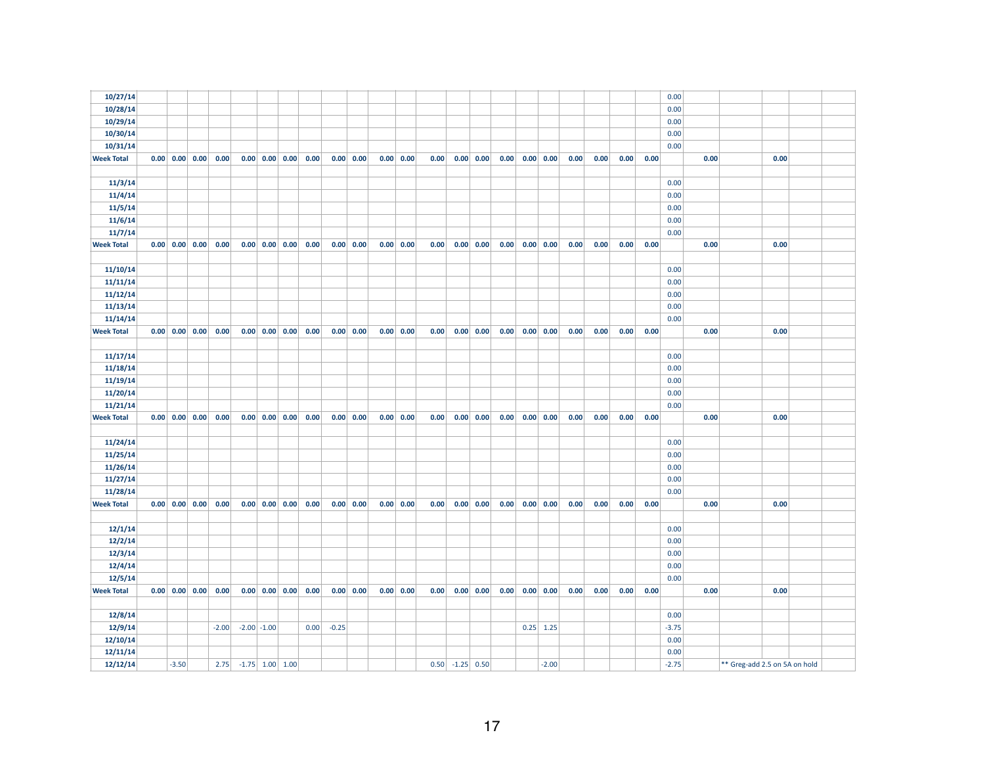| 10/27/14          |         |                                                       |         |                   |                 |                                                              |         |                             |      |             |      |                   |                     |      |             |      |      |      |      | 0.00    |      |                               |      |  |
|-------------------|---------|-------------------------------------------------------|---------|-------------------|-----------------|--------------------------------------------------------------|---------|-----------------------------|------|-------------|------|-------------------|---------------------|------|-------------|------|------|------|------|---------|------|-------------------------------|------|--|
| 10/28/14          |         |                                                       |         |                   |                 |                                                              |         |                             |      |             |      |                   |                     |      |             |      |      |      |      | 0.00    |      |                               |      |  |
| 10/29/14          |         |                                                       |         |                   |                 |                                                              |         |                             |      |             |      |                   |                     |      |             |      |      |      |      | 0.00    |      |                               |      |  |
| 10/30/14          |         |                                                       |         |                   |                 |                                                              |         |                             |      |             |      |                   |                     |      |             |      |      |      |      | 0.00    |      |                               |      |  |
| 10/31/14          |         |                                                       |         |                   |                 |                                                              |         |                             |      |             |      |                   |                     |      |             |      |      |      |      | 0.00    |      |                               |      |  |
| <b>Week Total</b> |         | $0.00 \begin{array}{ c c c } 0.00 & 0.00 \end{array}$ | 0.00    |                   |                 | $0.00 \begin{array}{ c c c } 0.00 & 0.00 & 0.00 \end{array}$ |         | 0.00 0.00                   | 0.00 | 0.00        | 0.00 |                   | $0.00 \,   \, 0.00$ | 0.00 | 0.00 0.00   | 0.00 | 0.00 | 0.00 | 0.00 |         | 0.00 |                               | 0.00 |  |
|                   |         |                                                       |         |                   |                 |                                                              |         |                             |      |             |      |                   |                     |      |             |      |      |      |      |         |      |                               |      |  |
| 11/3/14           |         |                                                       |         |                   |                 |                                                              |         |                             |      |             |      |                   |                     |      |             |      |      |      |      | 0.00    |      |                               |      |  |
| 11/4/14           |         |                                                       |         |                   |                 |                                                              |         |                             |      |             |      |                   |                     |      |             |      |      |      |      | 0.00    |      |                               |      |  |
| 11/5/14           |         |                                                       |         |                   |                 |                                                              |         |                             |      |             |      |                   |                     |      |             |      |      |      |      | 0.00    |      |                               |      |  |
| 11/6/14           |         |                                                       |         |                   |                 |                                                              |         |                             |      |             |      |                   |                     |      |             |      |      |      |      | 0.00    |      |                               |      |  |
| 11/7/14           |         |                                                       |         |                   |                 |                                                              |         |                             |      |             |      |                   |                     |      |             |      |      |      |      | 0.00    |      |                               |      |  |
| <b>Week Total</b> |         | $0.00 \mid 0.00 \mid 0.00 \mid$                       | 0.00    |                   |                 | $0.00$ $0.00$ $0.00$ $0.00$                                  |         | $0.00 \,   \, 0.00$         |      | 0.00   0.00 | 0.00 |                   | 0.00   0.00         | 0.00 | 0.00   0.00 | 0.00 | 0.00 | 0.00 | 0.00 |         | 0.00 |                               | 0.00 |  |
|                   |         |                                                       |         |                   |                 |                                                              |         |                             |      |             |      |                   |                     |      |             |      |      |      |      |         |      |                               |      |  |
| 11/10/14          |         |                                                       |         |                   |                 |                                                              |         |                             |      |             |      |                   |                     |      |             |      |      |      |      | 0.00    |      |                               |      |  |
| 11/11/14          |         |                                                       |         |                   |                 |                                                              |         |                             |      |             |      |                   |                     |      |             |      |      |      |      | 0.00    |      |                               |      |  |
| 11/12/14          |         |                                                       |         |                   |                 |                                                              |         |                             |      |             |      |                   |                     |      |             |      |      |      |      | 0.00    |      |                               |      |  |
| 11/13/14          |         |                                                       |         |                   |                 |                                                              |         |                             |      |             |      |                   |                     |      |             |      |      |      |      | 0.00    |      |                               |      |  |
| 11/14/14          |         |                                                       |         |                   |                 |                                                              |         |                             |      |             |      |                   |                     |      |             |      |      |      |      | 0.00    |      |                               |      |  |
| <b>Week Total</b> |         | $0.00 \begin{array}{ c c } 0.00 & 0.00 \end{array}$   | 0.00    |                   |                 | $0.00 \begin{array}{ c c c } 0.00 & 0.00 & 0.00 \end{array}$ |         | $0.00 \, 0.00$              |      | 0.00 0.00   | 0.00 |                   | $0.00 \, 0.00$      | 0.00 | 0.00 0.00   | 0.00 | 0.00 | 0.00 | 0.00 |         | 0.00 |                               | 0.00 |  |
|                   |         |                                                       |         |                   |                 |                                                              |         |                             |      |             |      |                   |                     |      |             |      |      |      |      |         |      |                               |      |  |
| 11/17/14          |         |                                                       |         |                   |                 |                                                              |         |                             |      |             |      |                   |                     |      |             |      |      |      |      | 0.00    |      |                               |      |  |
| 11/18/14          |         |                                                       |         |                   |                 |                                                              |         |                             |      |             |      |                   |                     |      |             |      |      |      |      | 0.00    |      |                               |      |  |
| 11/19/14          |         |                                                       |         |                   |                 |                                                              |         |                             |      |             |      |                   |                     |      |             |      |      |      |      | 0.00    |      |                               |      |  |
| 11/20/14          |         |                                                       |         |                   |                 |                                                              |         |                             |      |             |      |                   |                     |      |             |      |      |      |      | 0.00    |      |                               |      |  |
| 11/21/14          |         |                                                       |         |                   |                 |                                                              |         |                             |      |             |      |                   |                     |      |             |      |      |      |      | 0.00    |      |                               |      |  |
| <b>Week Total</b> |         | $0.00 \ 0.00 \ 0.00$                                  | 0.00    |                   |                 | $0.00$ $0.00$ $0.00$ $0.00$                                  |         | $0.00 \,   \, 0.00 \,   \,$ |      | 0.00 0.00   | 0.00 |                   | 0.00   0.00         | 0.00 | 0.00 0.00   | 0.00 | 0.00 | 0.00 | 0.00 |         | 0.00 |                               | 0.00 |  |
|                   |         |                                                       |         |                   |                 |                                                              |         |                             |      |             |      |                   |                     |      |             |      |      |      |      |         |      |                               |      |  |
| 11/24/14          |         |                                                       |         |                   |                 |                                                              |         |                             |      |             |      |                   |                     |      |             |      |      |      |      | 0.00    |      |                               |      |  |
| 11/25/14          |         |                                                       |         |                   |                 |                                                              |         |                             |      |             |      |                   |                     |      |             |      |      |      |      | 0.00    |      |                               |      |  |
| 11/26/14          |         |                                                       |         |                   |                 |                                                              |         |                             |      |             |      |                   |                     |      |             |      |      |      |      | 0.00    |      |                               |      |  |
| 11/27/14          |         |                                                       |         |                   |                 |                                                              |         |                             |      |             |      |                   |                     |      |             |      |      |      |      | 0.00    |      |                               |      |  |
| 11/28/14          |         |                                                       |         |                   |                 |                                                              |         |                             |      |             |      |                   |                     |      |             |      |      |      |      | 0.00    |      |                               |      |  |
| <b>Week Total</b> |         | $0.00 \begin{array}{ c c } 0.00 & 0.00 \end{array}$   | 0.00    |                   |                 | $0.00 \begin{array}{ c c c } 0.00 & 0.00 & 0.00 \end{array}$ |         | $0.00 \, 0.00$              |      | 0.00 0.00   | 0.00 |                   | $0.00 \,   \, 0.00$ | 0.00 | 0.00 0.00   | 0.00 | 0.00 | 0.00 | 0.00 |         | 0.00 |                               | 0.00 |  |
|                   |         |                                                       |         |                   |                 |                                                              |         |                             |      |             |      |                   |                     |      |             |      |      |      |      |         |      |                               |      |  |
| 12/1/14           |         |                                                       |         |                   |                 |                                                              |         |                             |      |             |      |                   |                     |      |             |      |      |      |      | 0.00    |      |                               |      |  |
| 12/2/14           |         |                                                       |         |                   |                 |                                                              |         |                             |      |             |      |                   |                     |      |             |      |      |      |      | 0.00    |      |                               |      |  |
| 12/3/14           |         |                                                       |         |                   |                 |                                                              |         |                             |      |             |      |                   |                     |      |             |      |      |      |      | 0.00    |      |                               |      |  |
| 12/4/14           |         |                                                       |         |                   |                 |                                                              |         |                             |      |             |      |                   |                     |      |             |      |      |      |      | 0.00    |      |                               |      |  |
| 12/5/14           |         |                                                       |         |                   |                 |                                                              |         |                             |      |             |      |                   |                     |      |             |      |      |      |      | 0.00    |      |                               |      |  |
| <b>Week Total</b> |         | $0.00 \begin{array}{ c c } 0.00 & 0.00 \end{array}$   | 0.00    |                   |                 | $0.00 \begin{array}{ c c c } 0.00 & 0.00 & 0.00 \end{array}$ |         | 0.00 0.00                   |      | 0.00 0.00   | 0.00 |                   | $0.00 \,   \, 0.00$ | 0.00 | 0.00 0.00   | 0.00 | 0.00 | 0.00 | 0.00 |         | 0.00 |                               | 0.00 |  |
|                   |         |                                                       |         |                   |                 |                                                              |         |                             |      |             |      |                   |                     |      |             |      |      |      |      |         |      |                               |      |  |
| 12/8/14           |         |                                                       |         |                   |                 |                                                              |         |                             |      |             |      |                   |                     |      |             |      |      |      |      | 0.00    |      |                               |      |  |
| 12/9/14           |         |                                                       | $-2.00$ |                   | $-2.00$ $-1.00$ | 0.00                                                         | $-0.25$ |                             |      |             |      |                   |                     |      | $0.25$ 1.25 |      |      |      |      | $-3.75$ |      |                               |      |  |
| 12/10/14          |         |                                                       |         |                   |                 |                                                              |         |                             |      |             |      |                   |                     |      |             |      |      |      |      | 0.00    |      |                               |      |  |
| 12/11/14          |         |                                                       |         |                   |                 |                                                              |         |                             |      |             |      |                   |                     |      |             |      |      |      |      | 0.00    |      |                               |      |  |
| 12/12/14          | $-3.50$ |                                                       | 2.75    | $-1.75$ 1.00 1.00 |                 |                                                              |         |                             |      |             |      | $0.50$ -1.25 0.50 |                     |      | $-2.00$     |      |      |      |      | $-2.75$ |      | ** Greg-add 2.5 on 5A on hold |      |  |
|                   |         |                                                       |         |                   |                 |                                                              |         |                             |      |             |      |                   |                     |      |             |      |      |      |      |         |      |                               |      |  |